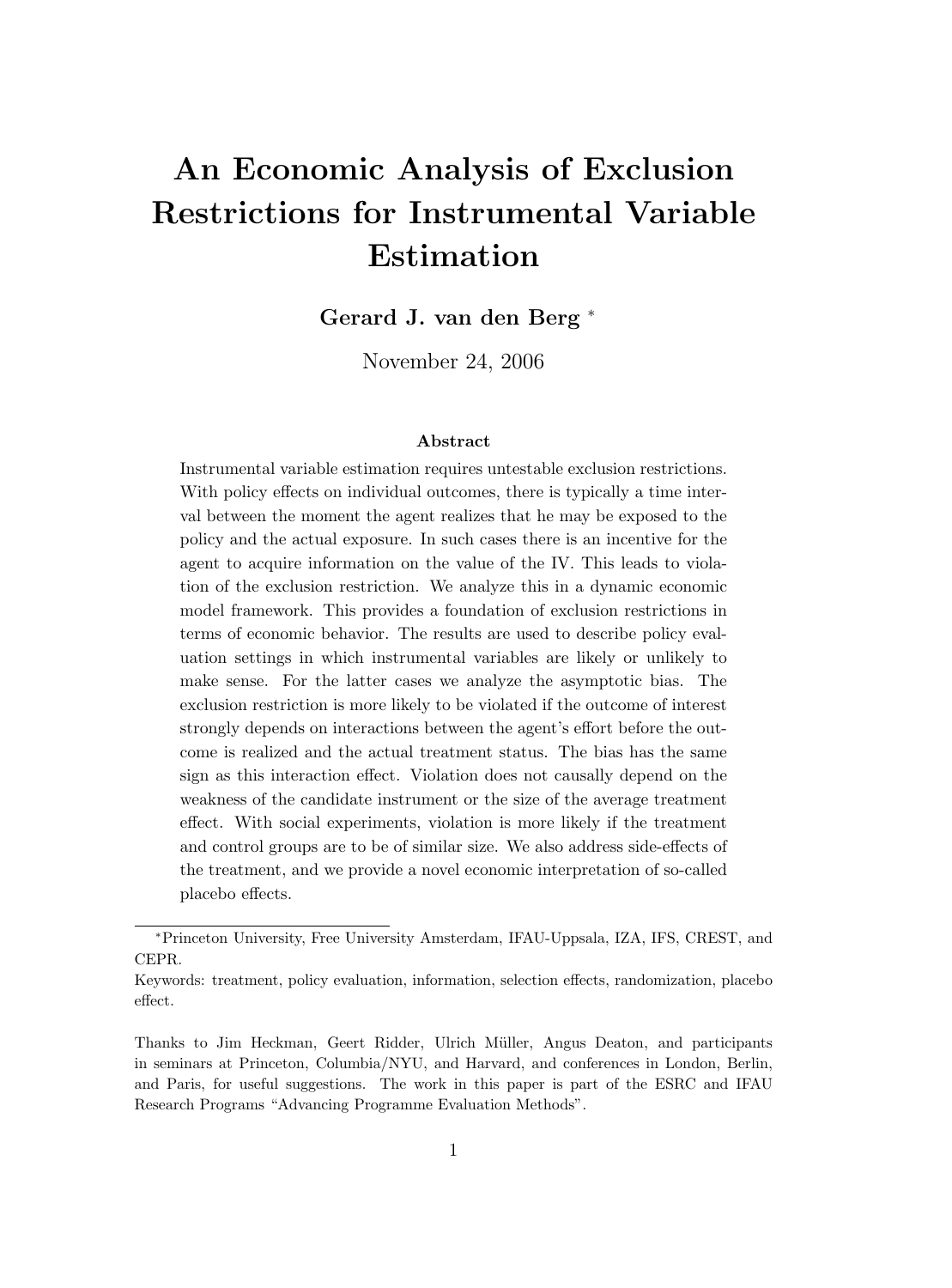# **An Economic Analysis of Exclusion Restrictions for Instrumental Variable Estimation**

**Gerard J. van den Berg** <sup>∗</sup>

November 24, 2006

#### **Abstract**

Instrumental variable estimation requires untestable exclusion restrictions. With policy effects on individual outcomes, there is typically a time interval between the moment the agent realizes that he may be exposed to the policy and the actual exposure. In such cases there is an incentive for the agent to acquire information on the value of the IV. This leads to violation of the exclusion restriction. We analyze this in a dynamic economic model framework. This provides a foundation of exclusion restrictions in terms of economic behavior. The results are used to describe policy evaluation settings in which instrumental variables are likely or unlikely to make sense. For the latter cases we analyze the asymptotic bias. The exclusion restriction is more likely to be violated if the outcome of interest strongly depends on interactions between the agent's effort before the outcome is realized and the actual treatment status. The bias has the same sign as this interaction effect. Violation does not causally depend on the weakness of the candidate instrument or the size of the average treatment effect. With social experiments, violation is more likely if the treatment and control groups are to be of similar size. We also address side-effects of the treatment, and we provide a novel economic interpretation of so-called placebo effects.

<sup>∗</sup>Princeton University, Free University Amsterdam, IFAU-Uppsala, IZA, IFS, CREST, and CEPR.

Keywords: treatment, policy evaluation, information, selection effects, randomization, placebo effect.

Thanks to Jim Heckman, Geert Ridder, Ulrich M¨uller, Angus Deaton, and participants in seminars at Princeton, Columbia/NYU, and Harvard, and conferences in London, Berlin, and Paris, for useful suggestions. The work in this paper is part of the ESRC and IFAU Research Programs "Advancing Programme Evaluation Methods".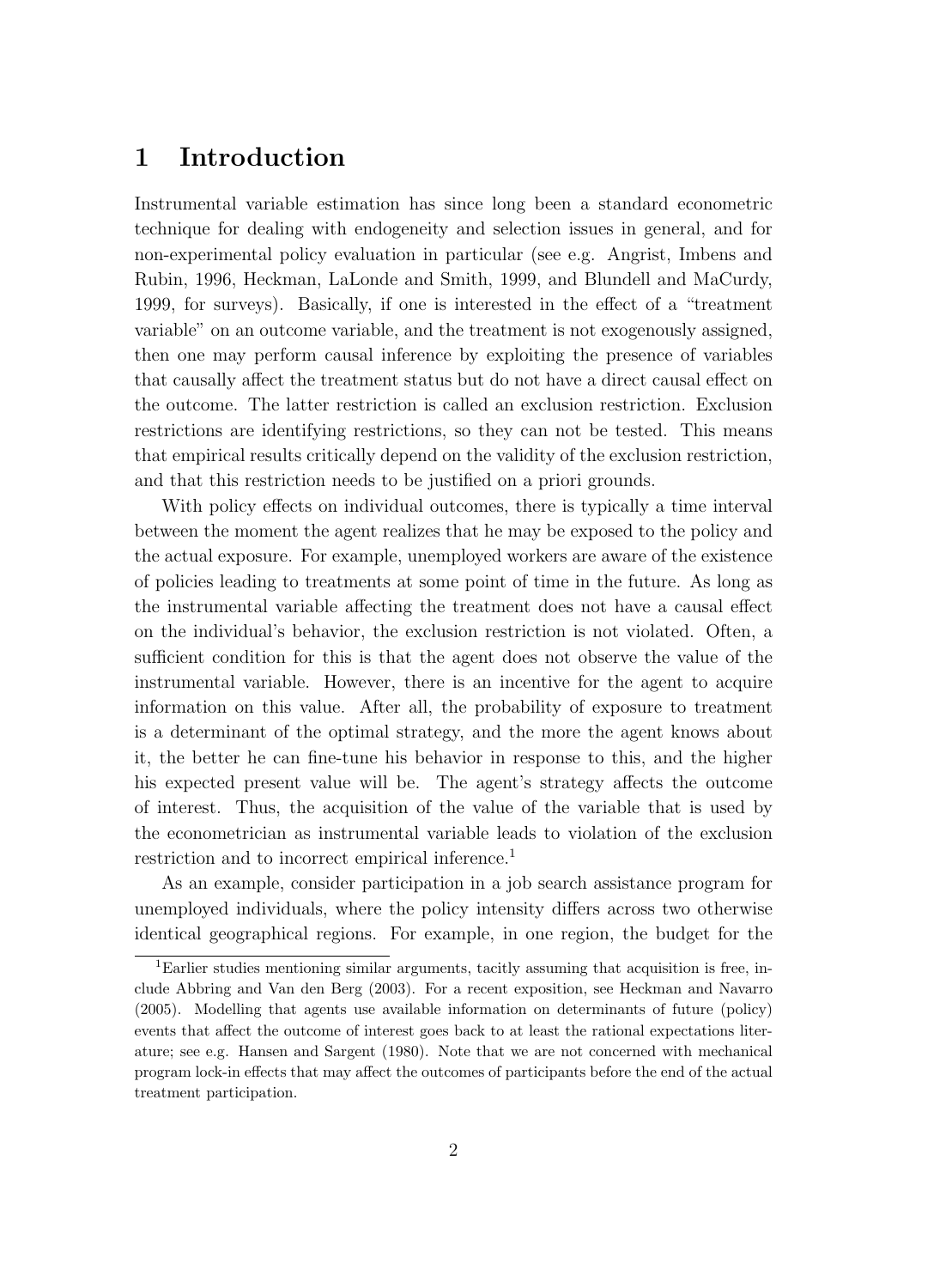## **1 Introduction**

Instrumental variable estimation has since long been a standard econometric technique for dealing with endogeneity and selection issues in general, and for non-experimental policy evaluation in particular (see e.g. Angrist, Imbens and Rubin, 1996, Heckman, LaLonde and Smith, 1999, and Blundell and MaCurdy, 1999, for surveys). Basically, if one is interested in the effect of a "treatment variable" on an outcome variable, and the treatment is not exogenously assigned, then one may perform causal inference by exploiting the presence of variables that causally affect the treatment status but do not have a direct causal effect on the outcome. The latter restriction is called an exclusion restriction. Exclusion restrictions are identifying restrictions, so they can not be tested. This means that empirical results critically depend on the validity of the exclusion restriction, and that this restriction needs to be justified on a priori grounds.

With policy effects on individual outcomes, there is typically a time interval between the moment the agent realizes that he may be exposed to the policy and the actual exposure. For example, unemployed workers are aware of the existence of policies leading to treatments at some point of time in the future. As long as the instrumental variable affecting the treatment does not have a causal effect on the individual's behavior, the exclusion restriction is not violated. Often, a sufficient condition for this is that the agent does not observe the value of the instrumental variable. However, there is an incentive for the agent to acquire information on this value. After all, the probability of exposure to treatment is a determinant of the optimal strategy, and the more the agent knows about it, the better he can fine-tune his behavior in response to this, and the higher his expected present value will be. The agent's strategy affects the outcome of interest. Thus, the acquisition of the value of the variable that is used by the econometrician as instrumental variable leads to violation of the exclusion restriction and to incorrect empirical inference.<sup>1</sup>

As an example, consider participation in a job search assistance program for unemployed individuals, where the policy intensity differs across two otherwise identical geographical regions. For example, in one region, the budget for the

<sup>1</sup>Earlier studies mentioning similar arguments, tacitly assuming that acquisition is free, include Abbring and Van den Berg (2003). For a recent exposition, see Heckman and Navarro (2005). Modelling that agents use available information on determinants of future (policy) events that affect the outcome of interest goes back to at least the rational expectations literature; see e.g. Hansen and Sargent (1980). Note that we are not concerned with mechanical program lock-in effects that may affect the outcomes of participants before the end of the actual treatment participation.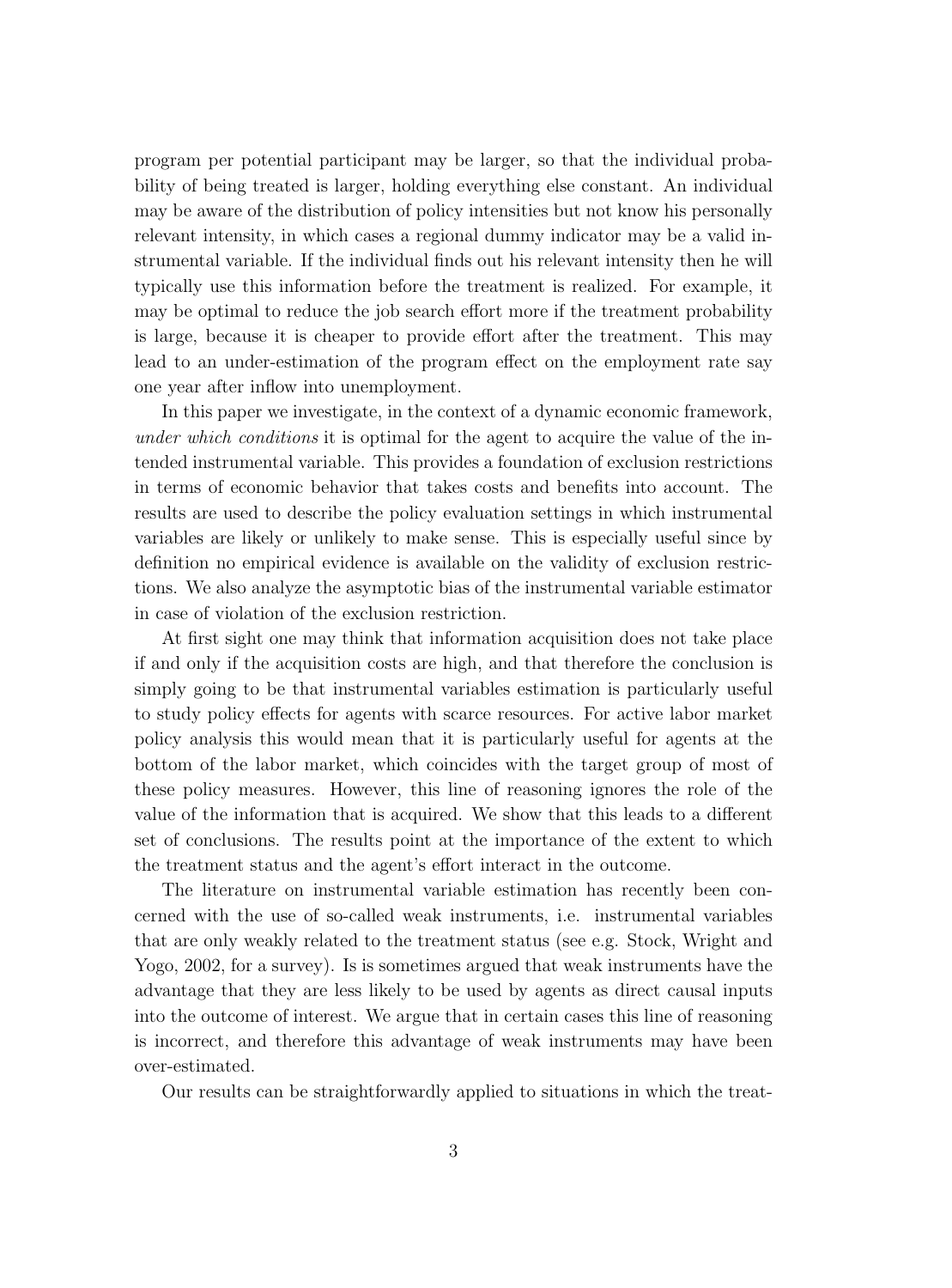program per potential participant may be larger, so that the individual probability of being treated is larger, holding everything else constant. An individual may be aware of the distribution of policy intensities but not know his personally relevant intensity, in which cases a regional dummy indicator may be a valid instrumental variable. If the individual finds out his relevant intensity then he will typically use this information before the treatment is realized. For example, it may be optimal to reduce the job search effort more if the treatment probability is large, because it is cheaper to provide effort after the treatment. This may lead to an under-estimation of the program effect on the employment rate say one year after inflow into unemployment.

In this paper we investigate, in the context of a dynamic economic framework, under which conditions it is optimal for the agent to acquire the value of the intended instrumental variable. This provides a foundation of exclusion restrictions in terms of economic behavior that takes costs and benefits into account. The results are used to describe the policy evaluation settings in which instrumental variables are likely or unlikely to make sense. This is especially useful since by definition no empirical evidence is available on the validity of exclusion restrictions. We also analyze the asymptotic bias of the instrumental variable estimator in case of violation of the exclusion restriction.

At first sight one may think that information acquisition does not take place if and only if the acquisition costs are high, and that therefore the conclusion is simply going to be that instrumental variables estimation is particularly useful to study policy effects for agents with scarce resources. For active labor market policy analysis this would mean that it is particularly useful for agents at the bottom of the labor market, which coincides with the target group of most of these policy measures. However, this line of reasoning ignores the role of the value of the information that is acquired. We show that this leads to a different set of conclusions. The results point at the importance of the extent to which the treatment status and the agent's effort interact in the outcome.

The literature on instrumental variable estimation has recently been concerned with the use of so-called weak instruments, i.e. instrumental variables that are only weakly related to the treatment status (see e.g. Stock, Wright and Yogo, 2002, for a survey). Is is sometimes argued that weak instruments have the advantage that they are less likely to be used by agents as direct causal inputs into the outcome of interest. We argue that in certain cases this line of reasoning is incorrect, and therefore this advantage of weak instruments may have been over-estimated.

Our results can be straightforwardly applied to situations in which the treat-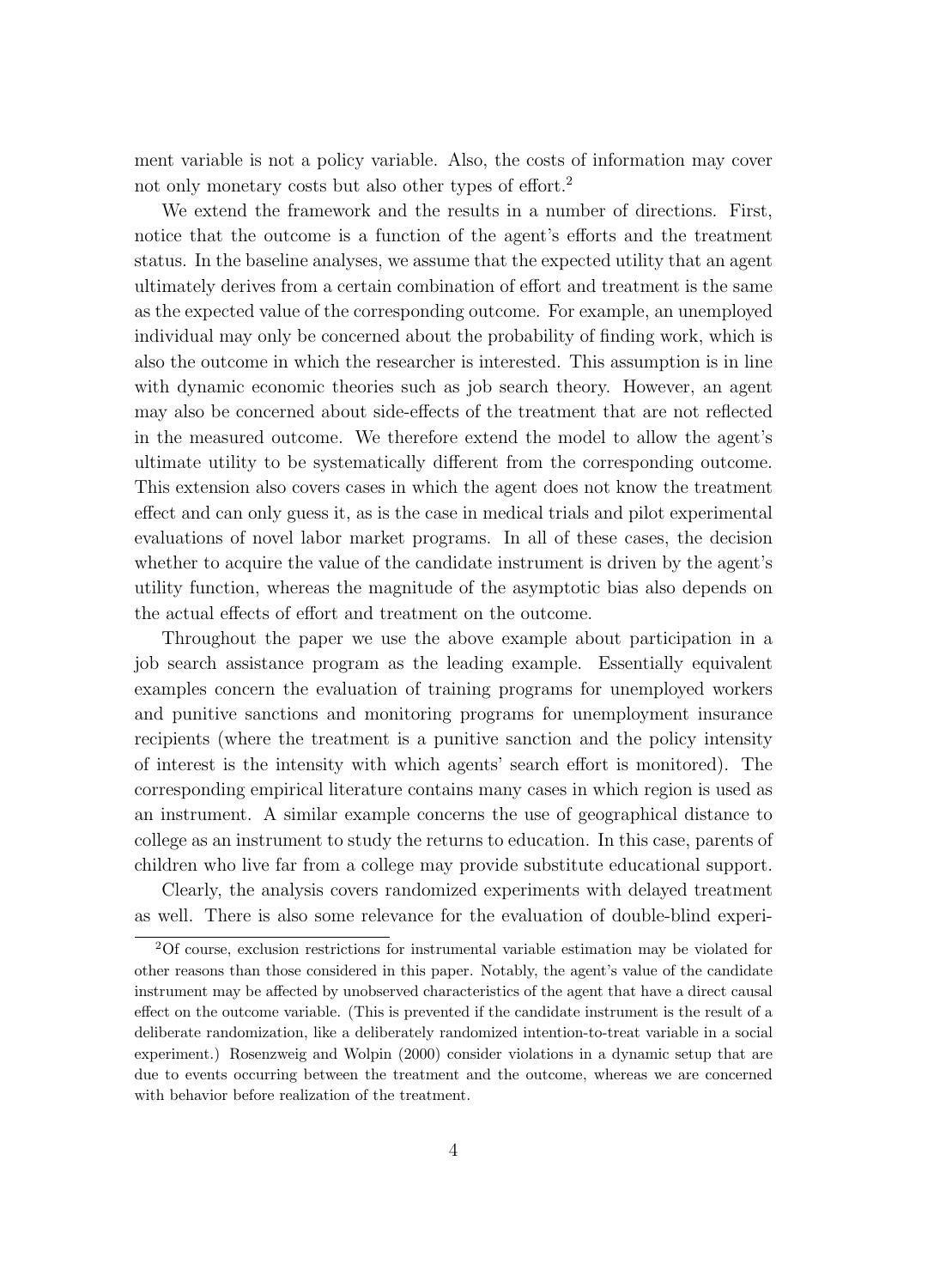ment variable is not a policy variable. Also, the costs of information may cover not only monetary costs but also other types of effort.<sup>2</sup>

We extend the framework and the results in a number of directions. First, notice that the outcome is a function of the agent's efforts and the treatment status. In the baseline analyses, we assume that the expected utility that an agent ultimately derives from a certain combination of effort and treatment is the same as the expected value of the corresponding outcome. For example, an unemployed individual may only be concerned about the probability of finding work, which is also the outcome in which the researcher is interested. This assumption is in line with dynamic economic theories such as job search theory. However, an agent may also be concerned about side-effects of the treatment that are not reflected in the measured outcome. We therefore extend the model to allow the agent's ultimate utility to be systematically different from the corresponding outcome. This extension also covers cases in which the agent does not know the treatment effect and can only guess it, as is the case in medical trials and pilot experimental evaluations of novel labor market programs. In all of these cases, the decision whether to acquire the value of the candidate instrument is driven by the agent's utility function, whereas the magnitude of the asymptotic bias also depends on the actual effects of effort and treatment on the outcome.

Throughout the paper we use the above example about participation in a job search assistance program as the leading example. Essentially equivalent examples concern the evaluation of training programs for unemployed workers and punitive sanctions and monitoring programs for unemployment insurance recipients (where the treatment is a punitive sanction and the policy intensity of interest is the intensity with which agents' search effort is monitored). The corresponding empirical literature contains many cases in which region is used as an instrument. A similar example concerns the use of geographical distance to college as an instrument to study the returns to education. In this case, parents of children who live far from a college may provide substitute educational support.

Clearly, the analysis covers randomized experiments with delayed treatment as well. There is also some relevance for the evaluation of double-blind experi-

<sup>2</sup>Of course, exclusion restrictions for instrumental variable estimation may be violated for other reasons than those considered in this paper. Notably, the agent's value of the candidate instrument may be affected by unobserved characteristics of the agent that have a direct causal effect on the outcome variable. (This is prevented if the candidate instrument is the result of a deliberate randomization, like a deliberately randomized intention-to-treat variable in a social experiment.) Rosenzweig and Wolpin (2000) consider violations in a dynamic setup that are due to events occurring between the treatment and the outcome, whereas we are concerned with behavior before realization of the treatment.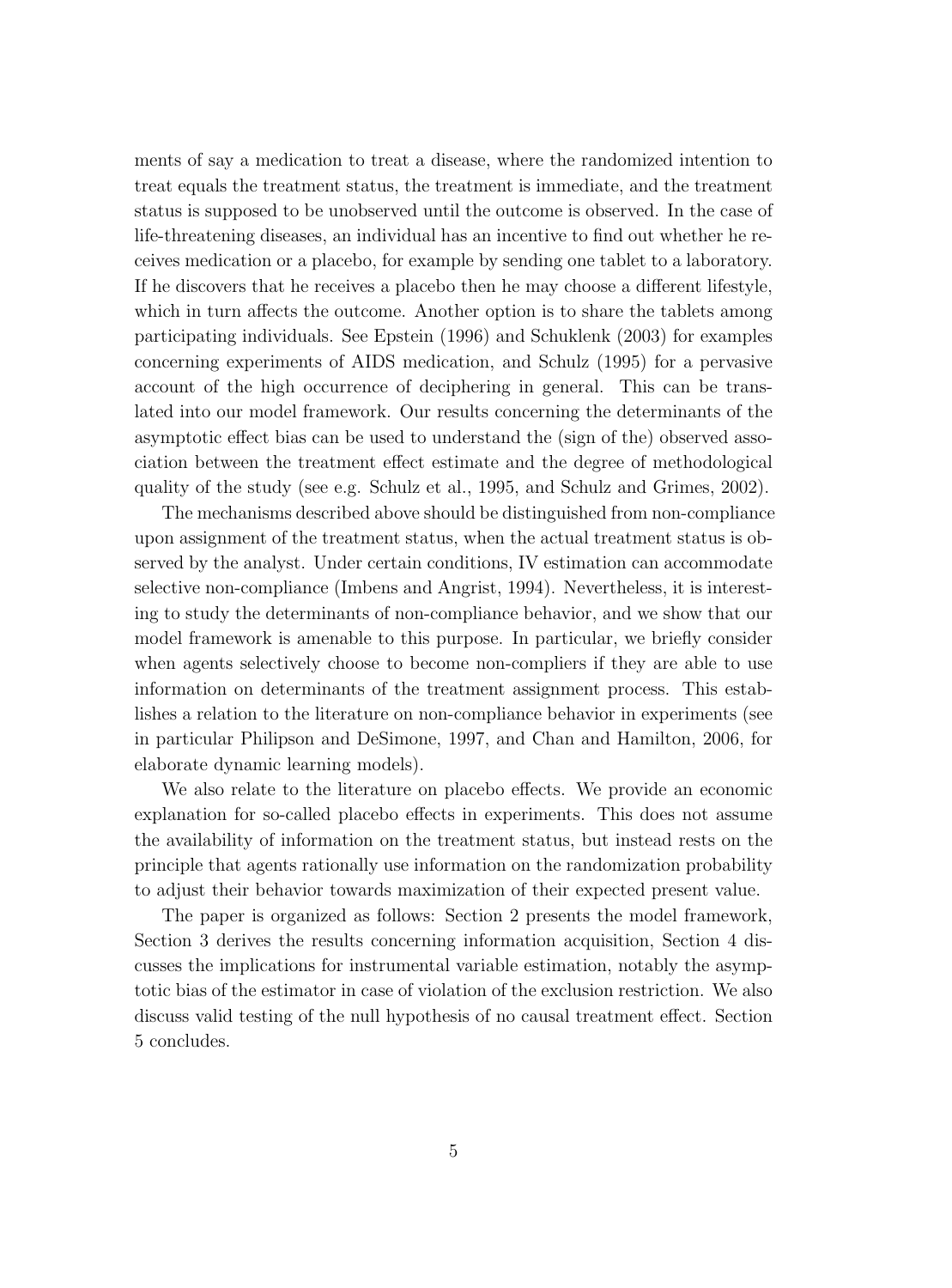ments of say a medication to treat a disease, where the randomized intention to treat equals the treatment status, the treatment is immediate, and the treatment status is supposed to be unobserved until the outcome is observed. In the case of life-threatening diseases, an individual has an incentive to find out whether he receives medication or a placebo, for example by sending one tablet to a laboratory. If he discovers that he receives a placebo then he may choose a different lifestyle, which in turn affects the outcome. Another option is to share the tablets among participating individuals. See Epstein (1996) and Schuklenk (2003) for examples concerning experiments of AIDS medication, and Schulz (1995) for a pervasive account of the high occurrence of deciphering in general. This can be translated into our model framework. Our results concerning the determinants of the asymptotic effect bias can be used to understand the (sign of the) observed association between the treatment effect estimate and the degree of methodological quality of the study (see e.g. Schulz et al., 1995, and Schulz and Grimes, 2002).

The mechanisms described above should be distinguished from non-compliance upon assignment of the treatment status, when the actual treatment status is observed by the analyst. Under certain conditions, IV estimation can accommodate selective non-compliance (Imbens and Angrist, 1994). Nevertheless, it is interesting to study the determinants of non-compliance behavior, and we show that our model framework is amenable to this purpose. In particular, we briefly consider when agents selectively choose to become non-compliers if they are able to use information on determinants of the treatment assignment process. This establishes a relation to the literature on non-compliance behavior in experiments (see in particular Philipson and DeSimone, 1997, and Chan and Hamilton, 2006, for elaborate dynamic learning models).

We also relate to the literature on placebo effects. We provide an economic explanation for so-called placebo effects in experiments. This does not assume the availability of information on the treatment status, but instead rests on the principle that agents rationally use information on the randomization probability to adjust their behavior towards maximization of their expected present value.

The paper is organized as follows: Section 2 presents the model framework, Section 3 derives the results concerning information acquisition, Section 4 discusses the implications for instrumental variable estimation, notably the asymptotic bias of the estimator in case of violation of the exclusion restriction. We also discuss valid testing of the null hypothesis of no causal treatment effect. Section 5 concludes.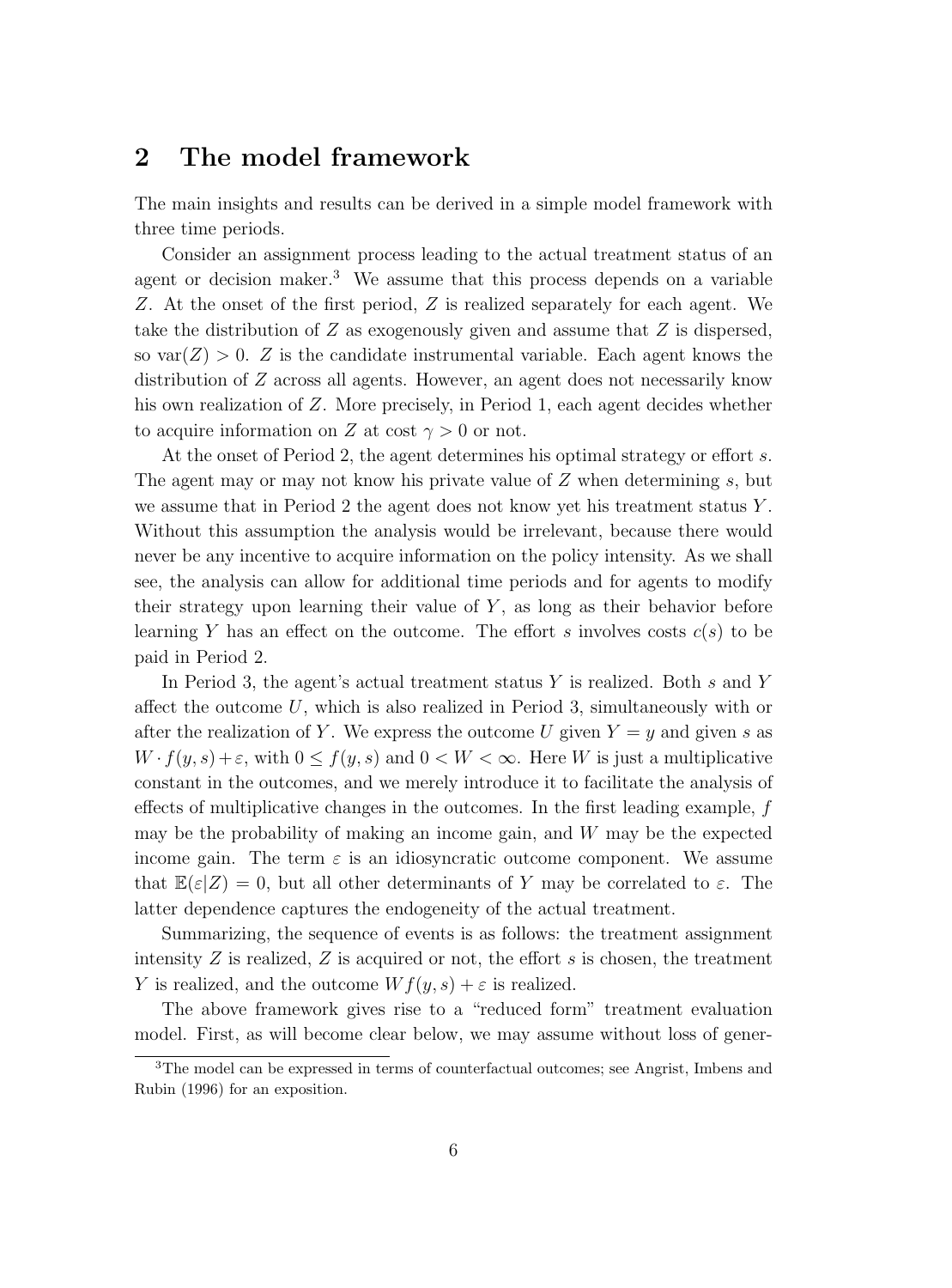## **2 The model framework**

The main insights and results can be derived in a simple model framework with three time periods.

Consider an assignment process leading to the actual treatment status of an agent or decision maker.<sup>3</sup> We assume that this process depends on a variable Z. At the onset of the first period, Z is realized separately for each agent. We take the distribution of  $Z$  as exogenously given and assume that  $Z$  is dispersed, so  $var(Z) > 0$ . Z is the candidate instrumental variable. Each agent knows the distribution of Z across all agents. However, an agent does not necessarily know his own realization of Z. More precisely, in Period 1, each agent decides whether to acquire information on Z at cost  $\gamma > 0$  or not.

At the onset of Period 2, the agent determines his optimal strategy or effort s. The agent may or may not know his private value of  $Z$  when determining  $s$ , but we assume that in Period 2 the agent does not know yet his treatment status  $Y$ . Without this assumption the analysis would be irrelevant, because there would never be any incentive to acquire information on the policy intensity. As we shall see, the analysis can allow for additional time periods and for agents to modify their strategy upon learning their value of  $Y$ , as long as their behavior before learning Y has an effect on the outcome. The effort s involves costs  $c(s)$  to be paid in Period 2.

In Period 3, the agent's actual treatment status  $Y$  is realized. Both s and Y affect the outcome  $U$ , which is also realized in Period 3, simultaneously with or after the realization of Y. We express the outcome U given  $Y = y$  and given s as  $W \cdot f(y, s) + \varepsilon$ , with  $0 \le f(y, s)$  and  $0 < W < \infty$ . Here W is just a multiplicative constant in the outcomes, and we merely introduce it to facilitate the analysis of effects of multiplicative changes in the outcomes. In the first leading example, f may be the probability of making an income gain, and  $W$  may be the expected income gain. The term  $\varepsilon$  is an idiosyncratic outcome component. We assume that  $\mathbb{E}(\varepsilon|Z) = 0$ , but all other determinants of Y may be correlated to  $\varepsilon$ . The latter dependence captures the endogeneity of the actual treatment.

Summarizing, the sequence of events is as follows: the treatment assignment intensity  $Z$  is realized,  $Z$  is acquired or not, the effort  $s$  is chosen, the treatment Y is realized, and the outcome  $Wf(y, s) + \varepsilon$  is realized.

The above framework gives rise to a "reduced form" treatment evaluation model. First, as will become clear below, we may assume without loss of gener-

<sup>3</sup>The model can be expressed in terms of counterfactual outcomes; see Angrist, Imbens and Rubin (1996) for an exposition.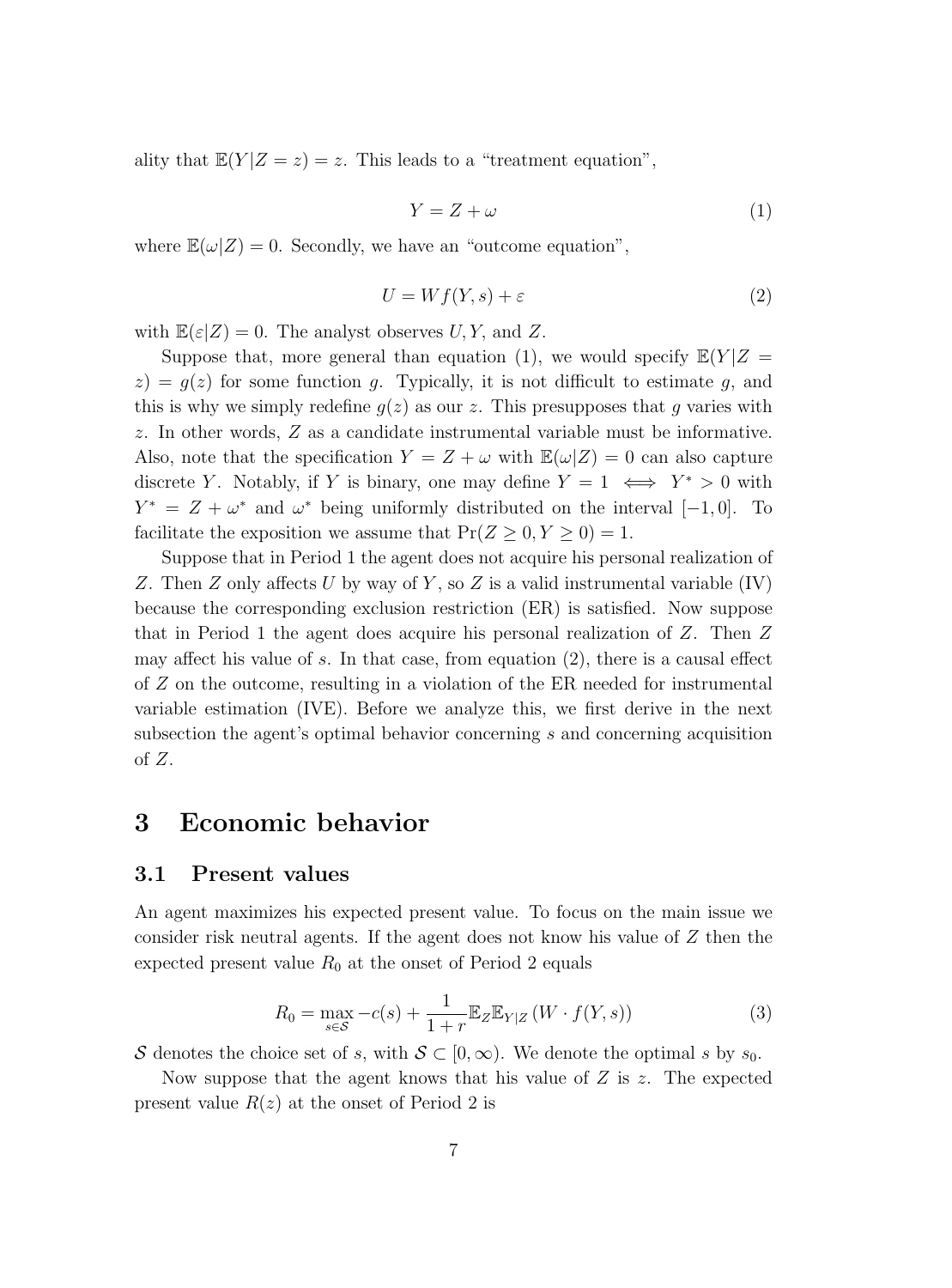ality that  $\mathbb{E}(Y|Z=z)=z$ . This leads to a "treatment equation",

$$
Y = Z + \omega \tag{1}
$$

where  $\mathbb{E}(\omega|Z) = 0$ . Secondly, we have an "outcome equation",

$$
U = Wf(Y, s) + \varepsilon \tag{2}
$$

with  $\mathbb{E}(\varepsilon|Z) = 0$ . The analyst observes U, Y, and Z.

Suppose that, more general than equation (1), we would specify  $\mathbb{E}(Y|Z =$  $z$ ) =  $q(z)$  for some function q. Typically, it is not difficult to estimate q, and this is why we simply redefine  $g(z)$  as our z. This presupposes that g varies with z. In other words, Z as a candidate instrumental variable must be informative. Also, note that the specification  $Y = Z + \omega$  with  $\mathbb{E}(\omega|Z) = 0$  can also capture discrete Y. Notably, if Y is binary, one may define  $Y = 1 \iff Y^* > 0$  with  $Y^* = Z + \omega^*$  and  $\omega^*$  being uniformly distributed on the interval [−1,0]. To facilitate the exposition we assume that  $Pr(Z \ge 0, Y \ge 0) = 1$ .

Suppose that in Period 1 the agent does not acquire his personal realization of Z. Then Z only affects U by way of Y, so Z is a valid instrumental variable  $(IV)$ because the corresponding exclusion restriction (ER) is satisfied. Now suppose that in Period 1 the agent does acquire his personal realization of Z. Then Z may affect his value of s. In that case, from equation (2), there is a causal effect of Z on the outcome, resulting in a violation of the ER needed for instrumental variable estimation (IVE). Before we analyze this, we first derive in the next subsection the agent's optimal behavior concerning s and concerning acquisition of  $Z$ .

### **3 Economic behavior**

#### **3.1 Present values**

An agent maximizes his expected present value. To focus on the main issue we consider risk neutral agents. If the agent does not know his value of  $Z$  then the expected present value  $R_0$  at the onset of Period 2 equals

$$
R_0 = \max_{s \in \mathcal{S}} -c(s) + \frac{1}{1+r} \mathbb{E}_Z \mathbb{E}_{Y|Z} \left( W \cdot f(Y, s) \right) \tag{3}
$$

S denotes the choice set of s, with  $S \subset [0,\infty)$ . We denote the optimal s by  $s_0$ .

Now suppose that the agent knows that his value of  $Z$  is  $z$ . The expected present value  $R(z)$  at the onset of Period 2 is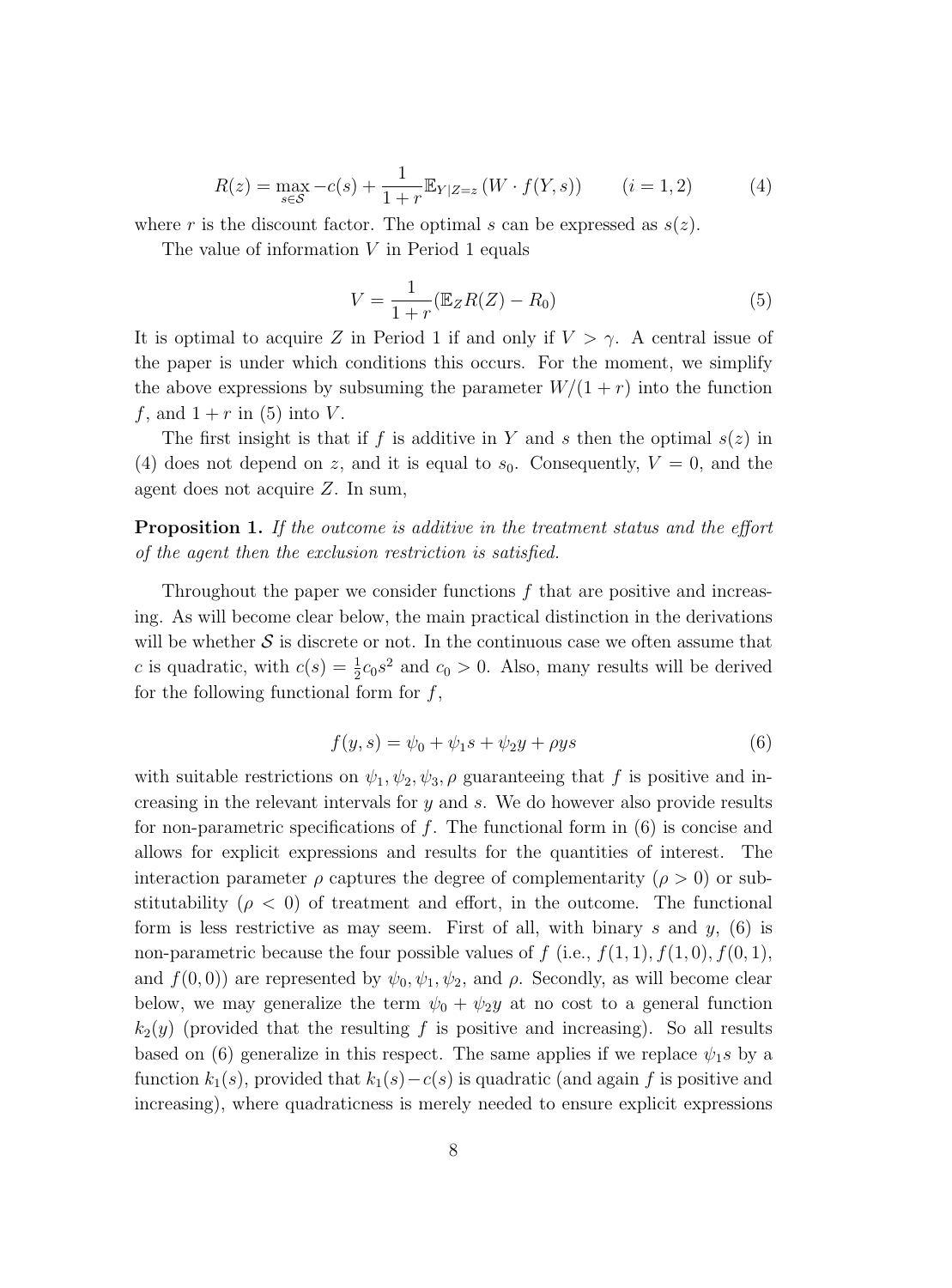$$
R(z) = \max_{s \in \mathcal{S}} -c(s) + \frac{1}{1+r} \mathbb{E}_{Y|Z=z} \left( W \cdot f(Y,s) \right) \qquad (i = 1, 2) \tag{4}
$$

where r is the discount factor. The optimal s can be expressed as  $s(z)$ .

The value of information  $V$  in Period 1 equals

$$
V = \frac{1}{1+r} (\mathbb{E}_Z R(Z) - R_0)
$$
\n<sup>(5)</sup>

It is optimal to acquire Z in Period 1 if and only if  $V > \gamma$ . A central issue of the paper is under which conditions this occurs. For the moment, we simplify the above expressions by subsuming the parameter  $W/(1 + r)$  into the function f, and  $1 + r$  in (5) into V.

The first insight is that if f is additive in Y and s then the optimal  $s(z)$  in (4) does not depend on z, and it is equal to  $s_0$ . Consequently,  $V = 0$ , and the agent does not acquire Z. In sum,

**Proposition 1.** If the outcome is additive in the treatment status and the effort of the agent then the exclusion restriction is satisfied.

Throughout the paper we consider functions  $f$  that are positive and increasing. As will become clear below, the main practical distinction in the derivations will be whether  $S$  is discrete or not. In the continuous case we often assume that c is quadratic, with  $c(s) = \frac{1}{2}c_0s^2$  and  $c_0 > 0$ . Also, many results will be derived for the following functional form for  $f$ ,

$$
f(y,s) = \psi_0 + \psi_1 s + \psi_2 y + \rho y s \tag{6}
$$

with suitable restrictions on  $\psi_1, \psi_2, \psi_3, \rho$  guaranteeing that f is positive and increasing in the relevant intervals for y and s. We do however also provide results for non-parametric specifications of f. The functional form in  $(6)$  is concise and allows for explicit expressions and results for the quantities of interest. The interaction parameter  $\rho$  captures the degree of complementarity  $(\rho > 0)$  or substitutability ( $\rho < 0$ ) of treatment and effort, in the outcome. The functional form is less restrictive as may seem. First of all, with binary  $s$  and  $y$ , (6) is non-parametric because the four possible values of f (i.e.,  $f(1,1), f(1,0), f(0,1),$ and  $f(0, 0)$  are represented by  $\psi_0, \psi_1, \psi_2$ , and  $\rho$ . Secondly, as will become clear below, we may generalize the term  $\psi_0 + \psi_2 y$  at no cost to a general function  $k_2(y)$  (provided that the resulting f is positive and increasing). So all results based on (6) generalize in this respect. The same applies if we replace  $\psi_1$ s by a function  $k_1(s)$ , provided that  $k_1(s)-c(s)$  is quadratic (and again f is positive and increasing), where quadraticness is merely needed to ensure explicit expressions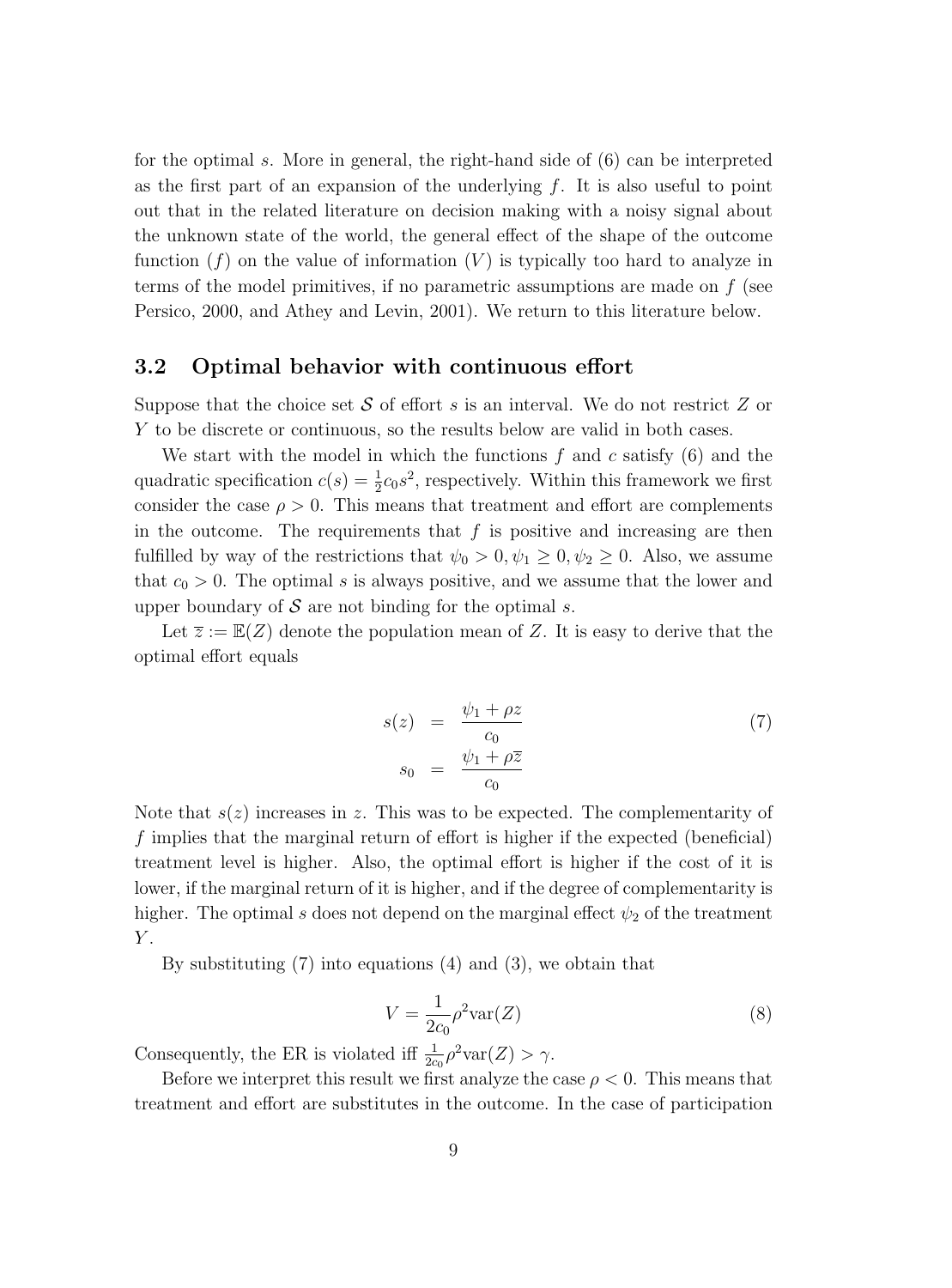for the optimal s. More in general, the right-hand side of (6) can be interpreted as the first part of an expansion of the underlying  $f$ . It is also useful to point out that in the related literature on decision making with a noisy signal about the unknown state of the world, the general effect of the shape of the outcome function  $(f)$  on the value of information  $(V)$  is typically too hard to analyze in terms of the model primitives, if no parametric assumptions are made on  $f$  (see Persico, 2000, and Athey and Levin, 2001). We return to this literature below.

#### **3.2 Optimal behavior with continuous effort**

Suppose that the choice set  $S$  of effort s is an interval. We do not restrict  $Z$  or Y to be discrete or continuous, so the results below are valid in both cases.

We start with the model in which the functions  $f$  and  $c$  satisfy  $(6)$  and the quadratic specification  $c(s) = \frac{1}{2}c_0s^2$ , respectively. Within this framework we first consider the case  $\rho > 0$ . This means that treatment and effort are complements in the outcome. The requirements that  $f$  is positive and increasing are then fulfilled by way of the restrictions that  $\psi_0 > 0, \psi_1 \geq 0, \psi_2 \geq 0$ . Also, we assume that  $c_0 > 0$ . The optimal s is always positive, and we assume that the lower and upper boundary of  $S$  are not binding for the optimal s.

Let  $\overline{z} := \mathbb{E}(Z)$  denote the population mean of Z. It is easy to derive that the optimal effort equals

$$
s(z) = \frac{\psi_1 + \rho z}{c_0}
$$
  
\n
$$
s_0 = \frac{\psi_1 + \rho \overline{z}}{c_0}
$$
\n(7)

Note that  $s(z)$  increases in z. This was to be expected. The complementarity of f implies that the marginal return of effort is higher if the expected (beneficial) treatment level is higher. Also, the optimal effort is higher if the cost of it is lower, if the marginal return of it is higher, and if the degree of complementarity is higher. The optimal s does not depend on the marginal effect  $\psi_2$  of the treatment  $\boldsymbol{Y}.$ 

By substituting (7) into equations (4) and (3), we obtain that

$$
V = \frac{1}{2c_0} \rho^2 \text{var}(Z)
$$
\n(8)

Consequently, the ER is violated iff  $\frac{1}{2c_0} \rho^2 \text{var}(Z) > \gamma$ .

Before we interpret this result we first analyze the case  $\rho < 0$ . This means that treatment and effort are substitutes in the outcome. In the case of participation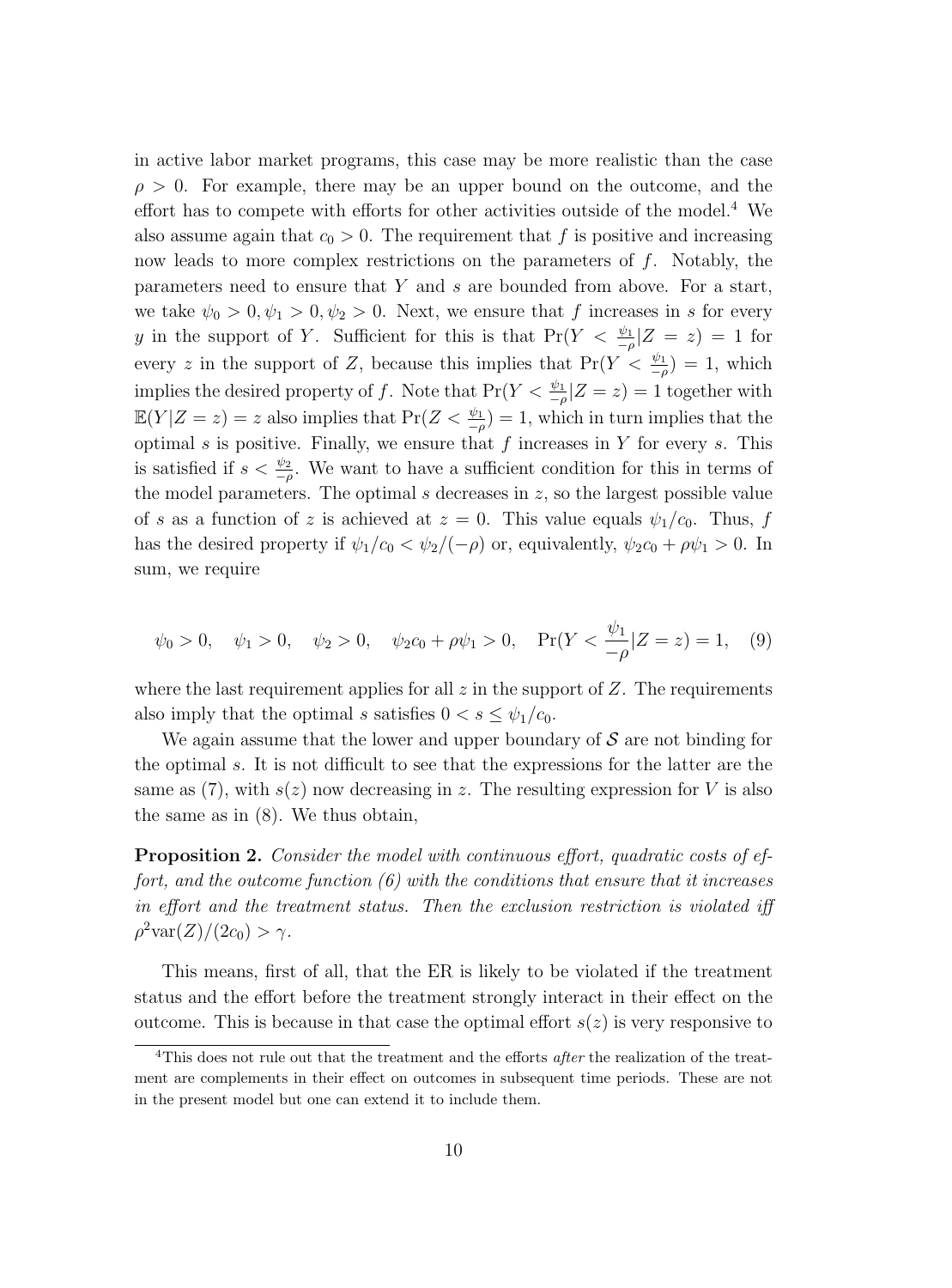in active labor market programs, this case may be more realistic than the case  $\rho > 0$ . For example, there may be an upper bound on the outcome, and the effort has to compete with efforts for other activities outside of the model.<sup>4</sup> We also assume again that  $c_0 > 0$ . The requirement that f is positive and increasing now leads to more complex restrictions on the parameters of  $f$ . Notably, the parameters need to ensure that Y and s are bounded from above. For a start, we take  $\psi_0 > 0, \psi_1 > 0, \psi_2 > 0$ . Next, we ensure that f increases in s for every y in the support of Y. Sufficient for this is that  $Pr(Y < \frac{\psi_1}{-\rho}|Z = z) = 1$  for every z in the support of Z, because this implies that  $Pr(Y < \frac{\psi_1}{-\rho}) = 1$ , which implies the desired property of f. Note that  $Pr(Y < \frac{\psi_1}{-\rho} | Z = z) = 1$  together with  $\mathbb{E}(Y|Z=z) = z$  also implies that  $\Pr(Z < \frac{\psi_1}{-\rho}) = 1$ , which in turn implies that the optimal  $s$  is positive. Finally, we ensure that  $f$  increases in  $Y$  for every  $s$ . This is satisfied if  $s < \frac{\psi_2}{-\rho}$ . We want to have a sufficient condition for this in terms of the model parameters. The optimal  $s$  decreases in  $z$ , so the largest possible value of s as a function of z is achieved at  $z = 0$ . This value equals  $\psi_1/c_0$ . Thus, f has the desired property if  $\psi_1/c_0 < \psi_2/(-\rho)$  or, equivalently,  $\psi_2 c_0 + \rho \psi_1 > 0$ . In sum, we require

$$
\psi_0 > 0
$$
,  $\psi_1 > 0$ ,  $\psi_2 > 0$ ,  $\psi_2 c_0 + \rho \psi_1 > 0$ ,  $Pr(Y < \frac{\psi_1}{-\rho} | Z = z) = 1$ , (9)

where the last requirement applies for all  $z$  in the support of  $Z$ . The requirements also imply that the optimal s satisfies  $0 < s \leq \psi_1/c_0$ .

We again assume that the lower and upper boundary of  $\mathcal S$  are not binding for the optimal s. It is not difficult to see that the expressions for the latter are the same as  $(7)$ , with  $s(z)$  now decreasing in z. The resulting expression for V is also the same as in (8). We thus obtain,

**Proposition 2.** Consider the model with continuous effort, quadratic costs of effort, and the outcome function  $(6)$  with the conditions that ensure that it increases in effort and the treatment status. Then the exclusion restriction is violated iff  $\rho^2 \text{var}(Z)/(2c_0) > \gamma$ .

This means, first of all, that the ER is likely to be violated if the treatment status and the effort before the treatment strongly interact in their effect on the outcome. This is because in that case the optimal effort  $s(z)$  is very responsive to

<sup>4</sup>This does not rule out that the treatment and the efforts *after* the realization of the treatment are complements in their effect on outcomes in subsequent time periods. These are not in the present model but one can extend it to include them.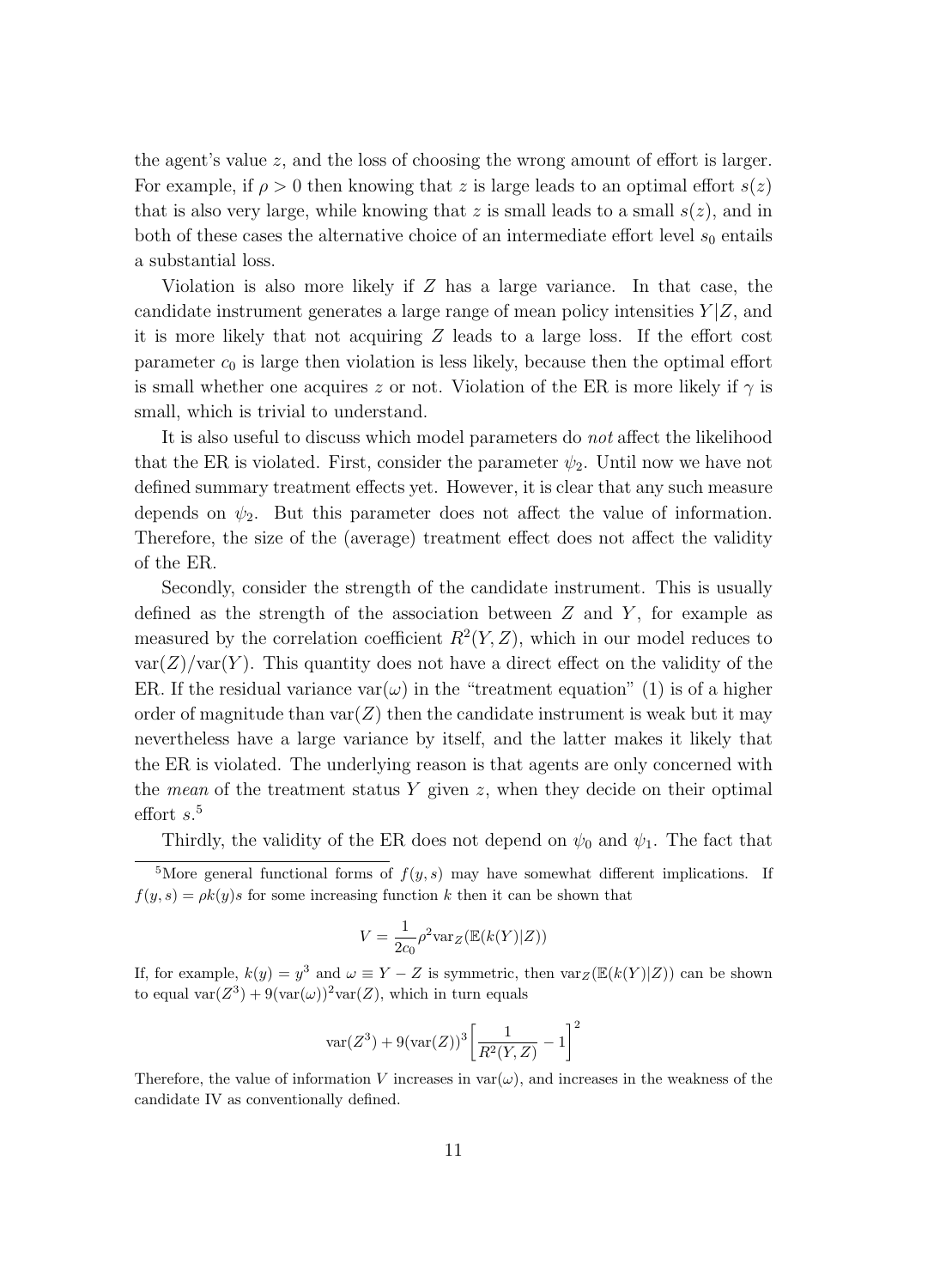the agent's value z, and the loss of choosing the wrong amount of effort is larger. For example, if  $\rho > 0$  then knowing that z is large leads to an optimal effort  $s(z)$ that is also very large, while knowing that z is small leads to a small  $s(z)$ , and in both of these cases the alternative choice of an intermediate effort level  $s_0$  entails a substantial loss.

Violation is also more likely if Z has a large variance. In that case, the candidate instrument generates a large range of mean policy intensities  $Y|Z$ , and it is more likely that not acquiring Z leads to a large loss. If the effort cost parameter  $c_0$  is large then violation is less likely, because then the optimal effort is small whether one acquires z or not. Violation of the ER is more likely if  $\gamma$  is small, which is trivial to understand.

It is also useful to discuss which model parameters do not affect the likelihood that the ER is violated. First, consider the parameter  $\psi_2$ . Until now we have not defined summary treatment effects yet. However, it is clear that any such measure depends on  $\psi_2$ . But this parameter does not affect the value of information. Therefore, the size of the (average) treatment effect does not affect the validity of the ER.

Secondly, consider the strength of the candidate instrument. This is usually defined as the strength of the association between  $Z$  and  $Y$ , for example as measured by the correlation coefficient  $R^2(Y, Z)$ , which in our model reduces to  $var(Z)/var(Y)$ . This quantity does not have a direct effect on the validity of the ER. If the residual variance var $(\omega)$  in the "treatment equation" (1) is of a higher order of magnitude than  $var(Z)$  then the candidate instrument is weak but it may nevertheless have a large variance by itself, and the latter makes it likely that the ER is violated. The underlying reason is that agents are only concerned with the *mean* of the treatment status  $Y$  given  $z$ , when they decide on their optimal  $\text{effort } s.$ <sup>5</sup>

Thirdly, the validity of the ER does not depend on  $\psi_0$  and  $\psi_1$ . The fact that

$$
V = \frac{1}{2c_0} \rho^2 \text{var}_Z(\mathbb{E}(k(Y)|Z))
$$

If, for example,  $k(y) = y^3$  and  $\omega \equiv Y - Z$  is symmetric, then  $var_Z(\mathbb{E}(k(Y)|Z))$  can be shown to equal var $(Z^3) + 9(\text{var}(\omega))^2 \text{var}(Z)$ , which in turn equals

$$
\text{var}(Z^3) + 9(\text{var}(Z))^3 \left[ \frac{1}{R^2(Y, Z)} - 1 \right]^2
$$

Therefore, the value of information V increases in  $var(\omega)$ , and increases in the weakness of the candidate IV as conventionally defined.

<sup>&</sup>lt;sup>5</sup>More general functional forms of  $f(y, s)$  may have somewhat different implications. If  $f(y, s) = \rho k(y) s$  for some increasing function k then it can be shown that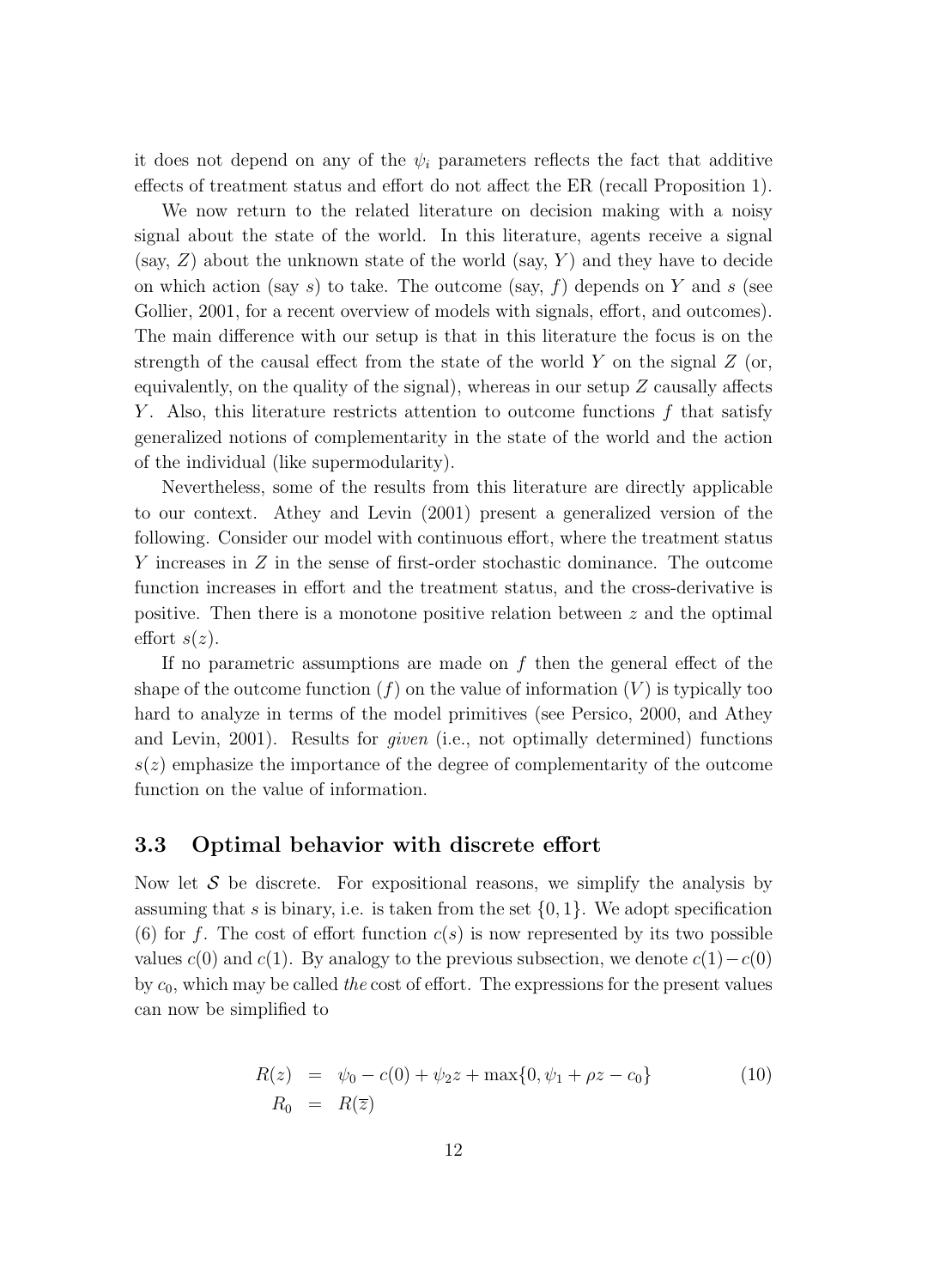it does not depend on any of the  $\psi_i$  parameters reflects the fact that additive effects of treatment status and effort do not affect the ER (recall Proposition 1).

We now return to the related literature on decision making with a noisy signal about the state of the world. In this literature, agents receive a signal (say,  $Z$ ) about the unknown state of the world (say, Y) and they have to decide on which action (say s) to take. The outcome (say, f) depends on Y and s (see Gollier, 2001, for a recent overview of models with signals, effort, and outcomes). The main difference with our setup is that in this literature the focus is on the strength of the causal effect from the state of the world Y on the signal  $Z$  (or, equivalently, on the quality of the signal), whereas in our setup  $Z$  causally affects Y. Also, this literature restricts attention to outcome functions  $f$  that satisfy generalized notions of complementarity in the state of the world and the action of the individual (like supermodularity).

Nevertheless, some of the results from this literature are directly applicable to our context. Athey and Levin (2001) present a generalized version of the following. Consider our model with continuous effort, where the treatment status Y increases in Z in the sense of first-order stochastic dominance. The outcome function increases in effort and the treatment status, and the cross-derivative is positive. Then there is a monotone positive relation between  $z$  and the optimal effort  $s(z)$ .

If no parametric assumptions are made on  $f$  then the general effect of the shape of the outcome function  $(f)$  on the value of information  $(V)$  is typically too hard to analyze in terms of the model primitives (see Persico, 2000, and Athey and Levin, 2001). Results for given (i.e., not optimally determined) functions  $s(z)$  emphasize the importance of the degree of complementarity of the outcome function on the value of information.

#### **3.3 Optimal behavior with discrete effort**

Now let  $S$  be discrete. For expositional reasons, we simplify the analysis by assuming that s is binary, i.e. is taken from the set  $\{0, 1\}$ . We adopt specification (6) for f. The cost of effort function  $c(s)$  is now represented by its two possible values  $c(0)$  and  $c(1)$ . By analogy to the previous subsection, we denote  $c(1)-c(0)$ by  $c_0$ , which may be called the cost of effort. The expressions for the present values can now be simplified to

$$
R(z) = \psi_0 - c(0) + \psi_2 z + \max\{0, \psi_1 + \rho z - c_0\}
$$
  
\n
$$
R_0 = R(\overline{z})
$$
\n(10)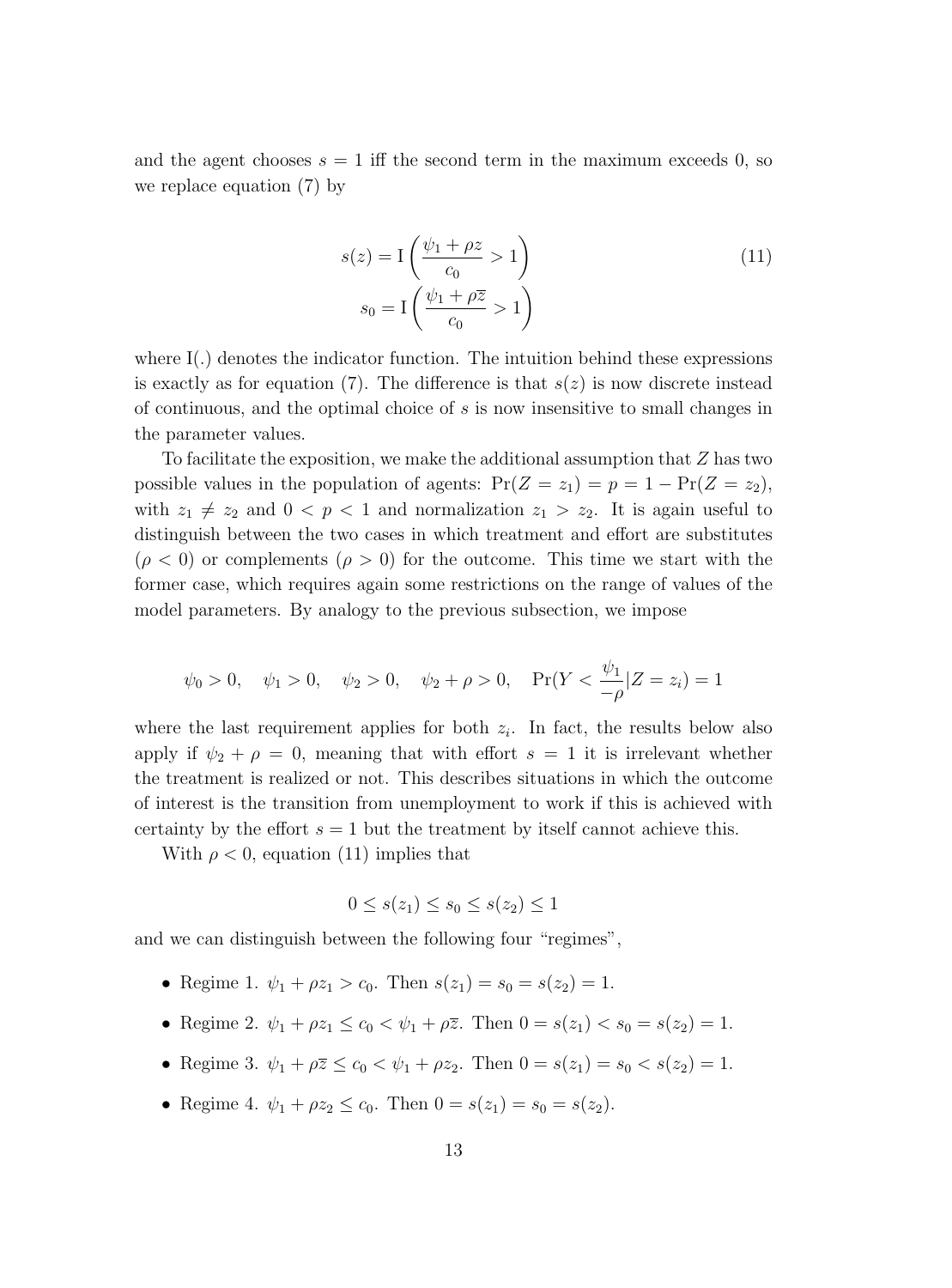and the agent chooses  $s = 1$  iff the second term in the maximum exceeds 0, so we replace equation (7) by

$$
s(z) = \mathcal{I}\left(\frac{\psi_1 + \rho z}{c_0} > 1\right)
$$
  
\n
$$
s_0 = \mathcal{I}\left(\frac{\psi_1 + \rho \overline{z}}{c_0} > 1\right)
$$
\n(11)

where  $I(.)$  denotes the indicator function. The intuition behind these expressions is exactly as for equation (7). The difference is that  $s(z)$  is now discrete instead of continuous, and the optimal choice of s is now insensitive to small changes in the parameter values.

To facilitate the exposition, we make the additional assumption that Z has two possible values in the population of agents:  $Pr(Z = z_1) = p = 1 - Pr(Z = z_2)$ , with  $z_1 \neq z_2$  and  $0 < p < 1$  and normalization  $z_1 > z_2$ . It is again useful to distinguish between the two cases in which treatment and effort are substitutes  $(\rho < 0)$  or complements  $(\rho > 0)$  for the outcome. This time we start with the former case, which requires again some restrictions on the range of values of the model parameters. By analogy to the previous subsection, we impose

$$
\psi_0 > 0
$$
,  $\psi_1 > 0$ ,  $\psi_2 > 0$ ,  $\psi_2 + \rho > 0$ ,  $Pr(Y < \frac{\psi_1}{-\rho} | Z = z_i) = 1$ 

where the last requirement applies for both  $z_i$ . In fact, the results below also apply if  $\psi_2 + \rho = 0$ , meaning that with effort  $s = 1$  it is irrelevant whether the treatment is realized or not. This describes situations in which the outcome of interest is the transition from unemployment to work if this is achieved with certainty by the effort  $s = 1$  but the treatment by itself cannot achieve this.

With  $\rho < 0$ , equation (11) implies that

$$
0 \le s(z_1) \le s_0 \le s(z_2) \le 1
$$

and we can distinguish between the following four "regimes",

- Regime 1.  $\psi_1 + \rho z_1 > c_0$ . Then  $s(z_1) = s_0 = s(z_2) = 1$ .
- Regime 2.  $\psi_1 + \rho z_1 \leq c_0 < \psi_1 + \rho \overline{z}$ . Then  $0 = s(z_1) < s_0 = s(z_2) = 1$ .
- Regime 3.  $\psi_1 + \rho \overline{z} \leq c_0 < \psi_1 + \rho z_2$ . Then  $0 = s(z_1) = s_0 < s(z_2) = 1$ .
- Regime 4.  $\psi_1 + \rho z_2 \le c_0$ . Then  $0 = s(z_1) = s_0 = s(z_2)$ .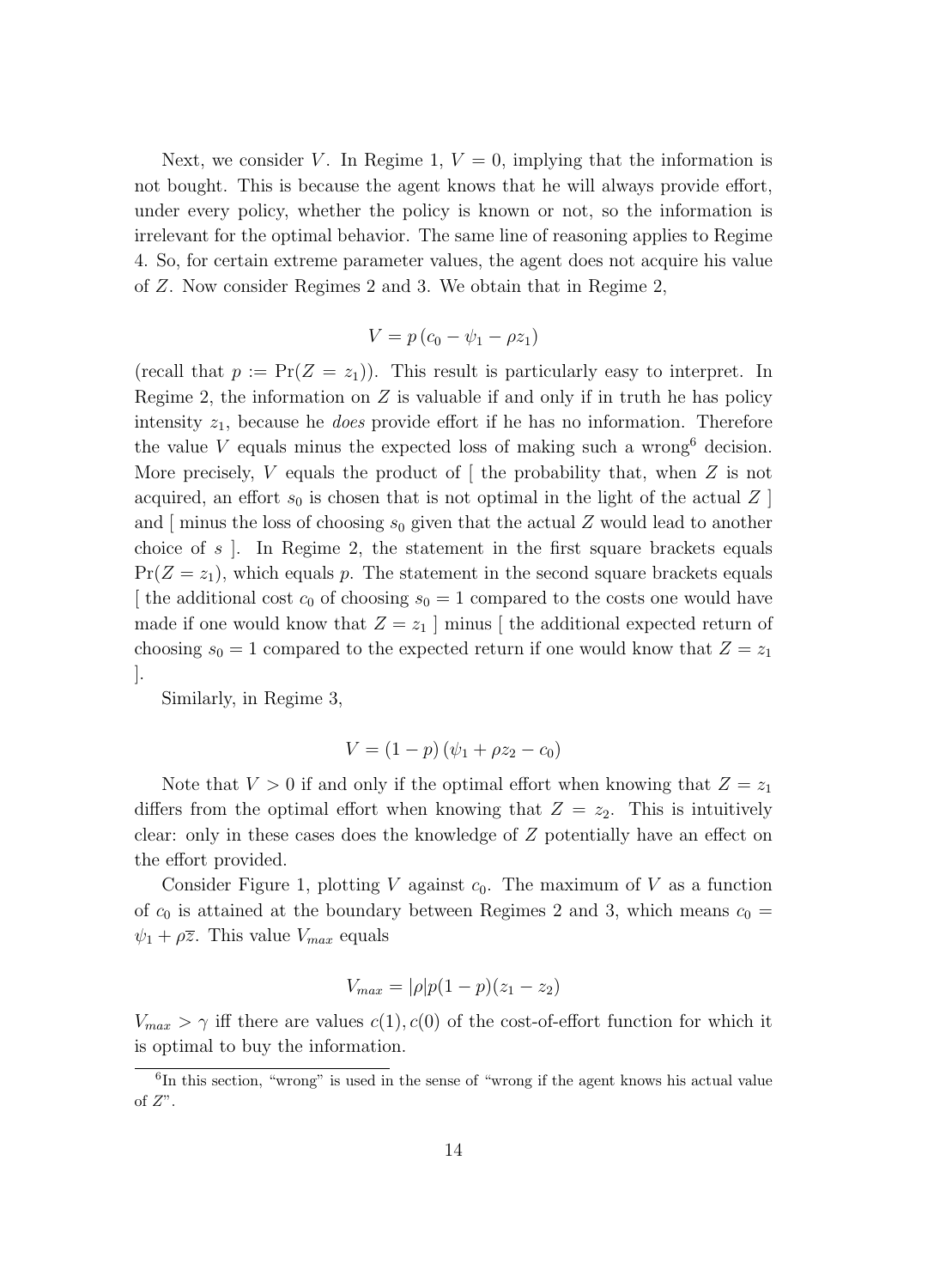Next, we consider V. In Regime 1,  $V = 0$ , implying that the information is not bought. This is because the agent knows that he will always provide effort, under every policy, whether the policy is known or not, so the information is irrelevant for the optimal behavior. The same line of reasoning applies to Regime 4. So, for certain extreme parameter values, the agent does not acquire his value of Z. Now consider Regimes 2 and 3. We obtain that in Regime 2,

$$
V = p\left(c_0 - \psi_1 - \rho z_1\right)
$$

(recall that  $p := \Pr(Z = z_1)$ ). This result is particularly easy to interpret. In Regime 2, the information on  $Z$  is valuable if and only if in truth he has policy intensity  $z_1$ , because he *does* provide effort if he has no information. Therefore the value V equals minus the expected loss of making such a wrong decision. More precisely, V equals the product of  $\lceil$  the probability that, when Z is not acquired, an effort  $s_0$  is chosen that is not optimal in the light of the actual Z and  $\lceil$  minus the loss of choosing  $s_0$  given that the actual Z would lead to another choice of  $s$ . In Regime 2, the statement in the first square brackets equals  $Pr(Z = z_1)$ , which equals p. The statement in the second square brackets equals [ the additional cost  $c_0$  of choosing  $s_0 = 1$  compared to the costs one would have made if one would know that  $Z = z_1$  minus [the additional expected return of choosing  $s_0 = 1$  compared to the expected return if one would know that  $Z = z_1$ ].

Similarly, in Regime 3,

$$
V = (1 - p)(\psi_1 + \rho z_2 - c_0)
$$

Note that  $V > 0$  if and only if the optimal effort when knowing that  $Z = z<sub>1</sub>$ differs from the optimal effort when knowing that  $Z = z_2$ . This is intuitively clear: only in these cases does the knowledge of Z potentially have an effect on the effort provided.

Consider Figure 1, plotting V against  $c_0$ . The maximum of V as a function of  $c_0$  is attained at the boundary between Regimes 2 and 3, which means  $c_0 =$  $\psi_1 + \rho \overline{z}$ . This value  $V_{max}$  equals

$$
V_{max} = |\rho|p(1-p)(z_1 - z_2)
$$

 $V_{max} > \gamma$  iff there are values  $c(1), c(0)$  of the cost-of-effort function for which it is optimal to buy the information.

 $6$ In this section, "wrong" is used in the sense of "wrong if the agent knows his actual value of  $Z$ ".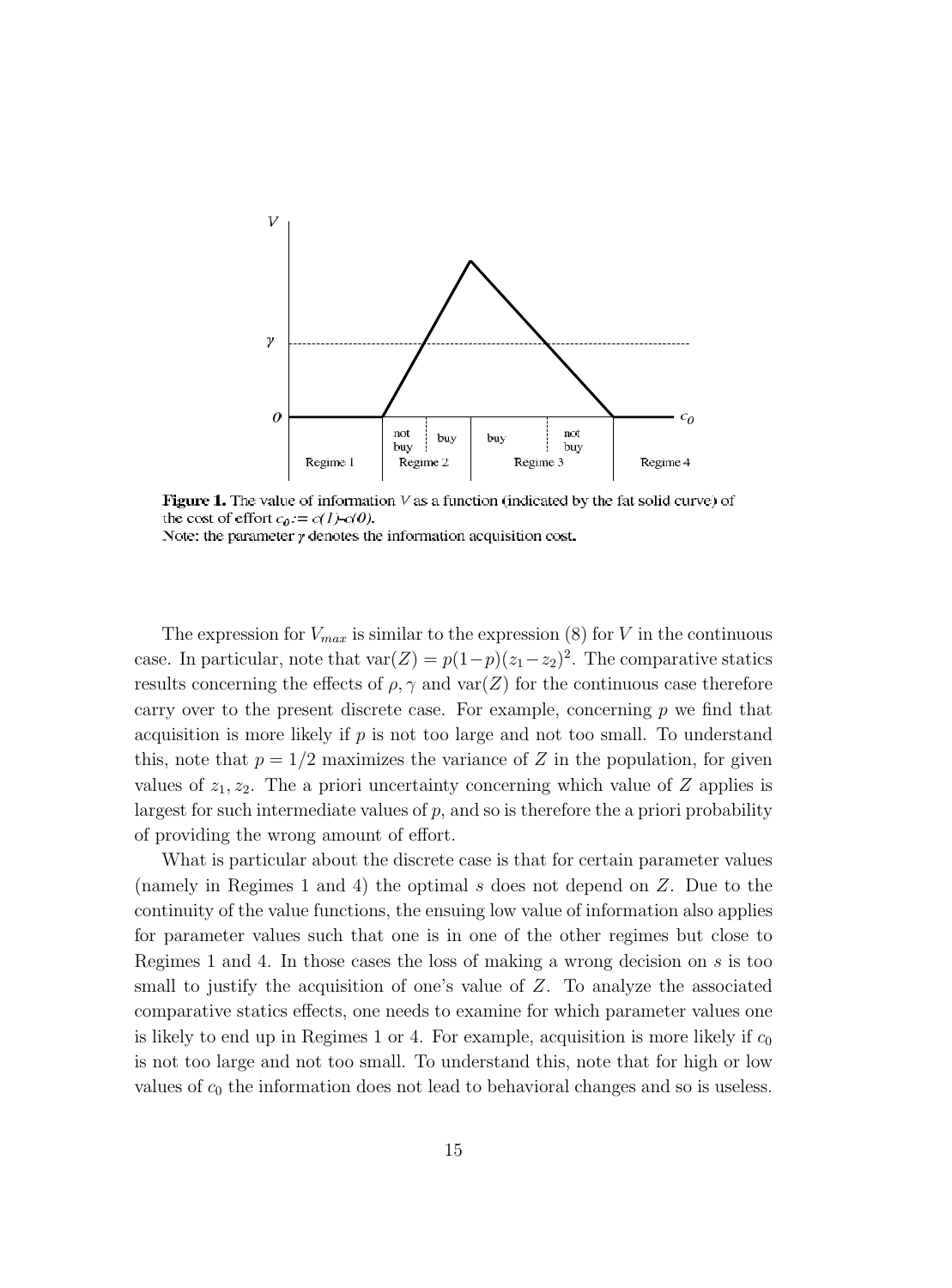

Figure 1. The value of information  $V$  as a function (indicated by the fat solid curve) of the cost of effort  $c_0 := c(1) - c(0)$ . Note: the parameter  $\gamma$  denotes the information acquisition cost.

The expression for  $V_{max}$  is similar to the expression (8) for V in the continuous case. In particular, note that  $var(Z) = p(1-p)(z_1-z_2)^2$ . The comparative statics results concerning the effects of  $\rho$ ,  $\gamma$  and var $(Z)$  for the continuous case therefore carry over to the present discrete case. For example, concerning  $p$  we find that acquisition is more likely if  $p$  is not too large and not too small. To understand this, note that  $p = 1/2$  maximizes the variance of Z in the population, for given values of  $z_1, z_2$ . The a priori uncertainty concerning which value of Z applies is largest for such intermediate values of  $p$ , and so is therefore the a priori probability of providing the wrong amount of effort.

What is particular about the discrete case is that for certain parameter values (namely in Regimes 1 and 4) the optimal s does not depend on Z. Due to the continuity of the value functions, the ensuing low value of information also applies for parameter values such that one is in one of the other regimes but close to Regimes 1 and 4. In those cases the loss of making a wrong decision on s is too small to justify the acquisition of one's value of  $Z$ . To analyze the associated comparative statics effects, one needs to examine for which parameter values one is likely to end up in Regimes 1 or 4. For example, acquisition is more likely if  $c_0$ is not too large and not too small. To understand this, note that for high or low values of  $c_0$  the information does not lead to behavioral changes and so is useless.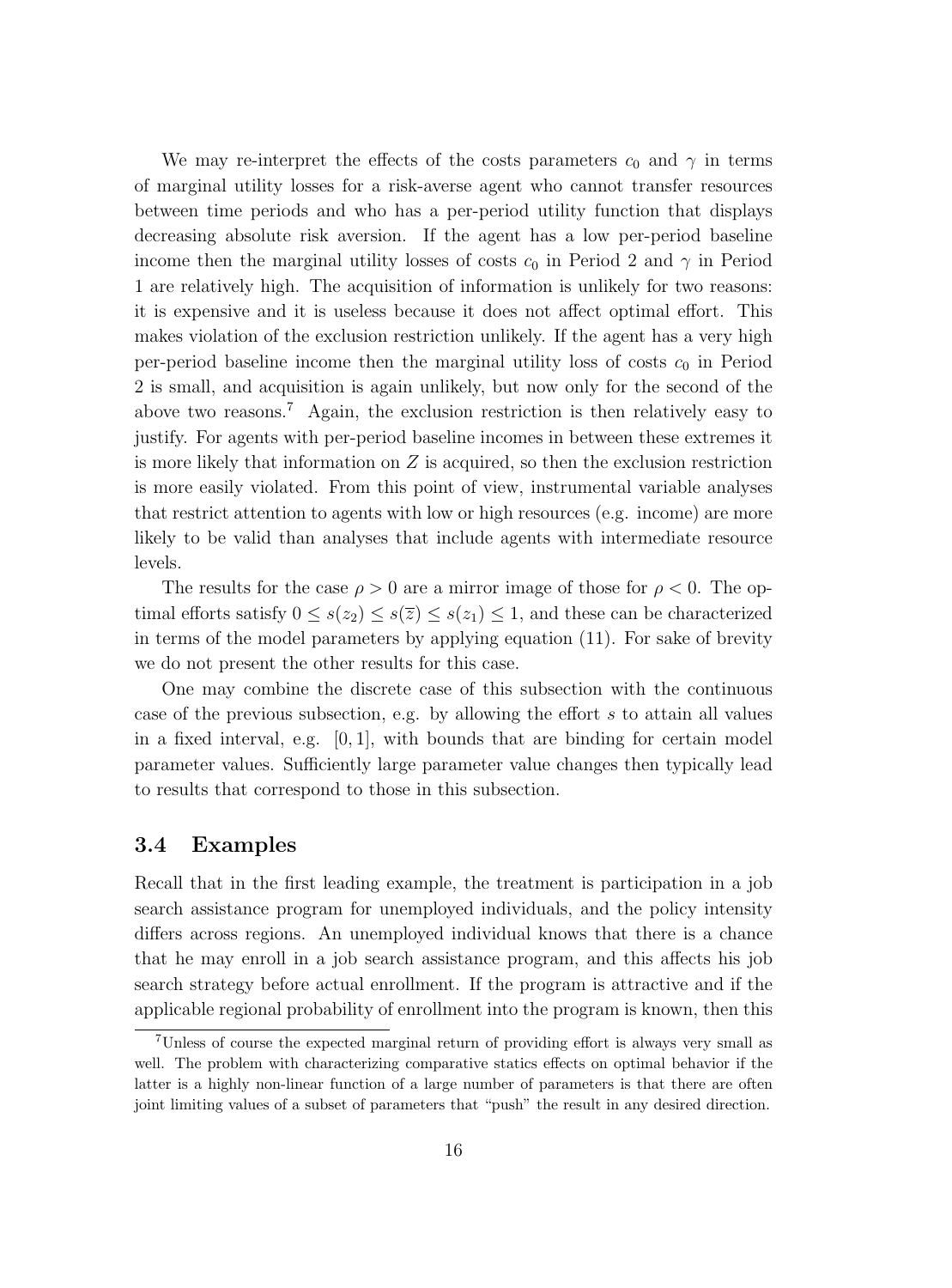We may re-interpret the effects of the costs parameters  $c_0$  and  $\gamma$  in terms of marginal utility losses for a risk-averse agent who cannot transfer resources between time periods and who has a per-period utility function that displays decreasing absolute risk aversion. If the agent has a low per-period baseline income then the marginal utility losses of costs  $c_0$  in Period 2 and  $\gamma$  in Period 1 are relatively high. The acquisition of information is unlikely for two reasons: it is expensive and it is useless because it does not affect optimal effort. This makes violation of the exclusion restriction unlikely. If the agent has a very high per-period baseline income then the marginal utility loss of costs  $c_0$  in Period 2 is small, and acquisition is again unlikely, but now only for the second of the above two reasons.<sup>7</sup> Again, the exclusion restriction is then relatively easy to justify. For agents with per-period baseline incomes in between these extremes it is more likely that information on  $Z$  is acquired, so then the exclusion restriction is more easily violated. From this point of view, instrumental variable analyses that restrict attention to agents with low or high resources (e.g. income) are more likely to be valid than analyses that include agents with intermediate resource levels.

The results for the case  $\rho > 0$  are a mirror image of those for  $\rho < 0$ . The optimal efforts satisfy  $0 \leq s(z_2) \leq s(\overline{z}) \leq s(z_1) \leq 1$ , and these can be characterized in terms of the model parameters by applying equation (11). For sake of brevity we do not present the other results for this case.

One may combine the discrete case of this subsection with the continuous case of the previous subsection, e.g. by allowing the effort s to attain all values in a fixed interval, e.g.  $[0, 1]$ , with bounds that are binding for certain model parameter values. Sufficiently large parameter value changes then typically lead to results that correspond to those in this subsection.

#### **3.4 Examples**

Recall that in the first leading example, the treatment is participation in a job search assistance program for unemployed individuals, and the policy intensity differs across regions. An unemployed individual knows that there is a chance that he may enroll in a job search assistance program, and this affects his job search strategy before actual enrollment. If the program is attractive and if the applicable regional probability of enrollment into the program is known, then this

<sup>7</sup>Unless of course the expected marginal return of providing effort is always very small as well. The problem with characterizing comparative statics effects on optimal behavior if the latter is a highly non-linear function of a large number of parameters is that there are often joint limiting values of a subset of parameters that "push" the result in any desired direction.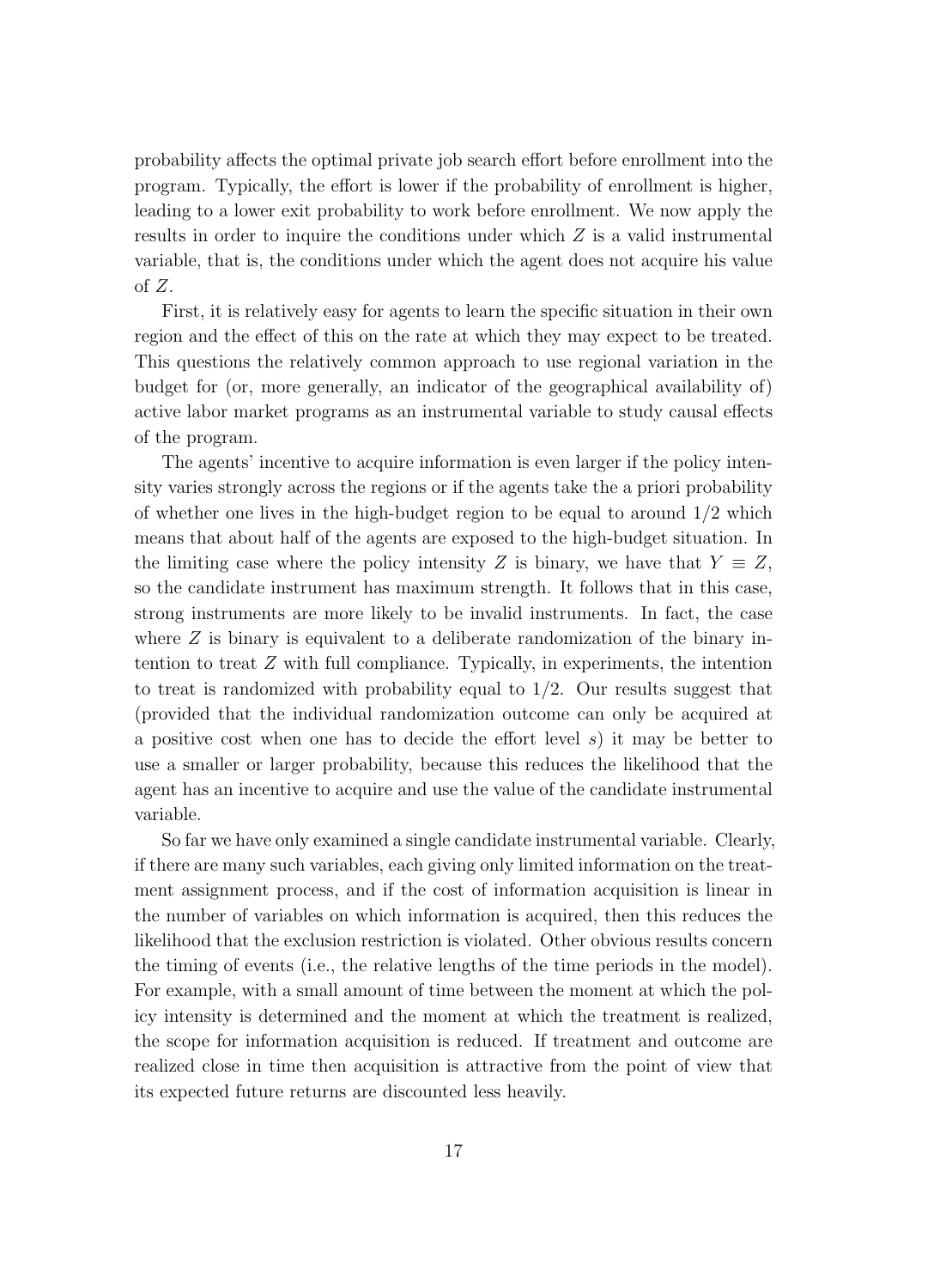probability affects the optimal private job search effort before enrollment into the program. Typically, the effort is lower if the probability of enrollment is higher, leading to a lower exit probability to work before enrollment. We now apply the results in order to inquire the conditions under which Z is a valid instrumental variable, that is, the conditions under which the agent does not acquire his value of Z.

First, it is relatively easy for agents to learn the specific situation in their own region and the effect of this on the rate at which they may expect to be treated. This questions the relatively common approach to use regional variation in the budget for (or, more generally, an indicator of the geographical availability of) active labor market programs as an instrumental variable to study causal effects of the program.

The agents' incentive to acquire information is even larger if the policy intensity varies strongly across the regions or if the agents take the a priori probability of whether one lives in the high-budget region to be equal to around  $1/2$  which means that about half of the agents are exposed to the high-budget situation. In the limiting case where the policy intensity Z is binary, we have that  $Y \equiv Z$ , so the candidate instrument has maximum strength. It follows that in this case, strong instruments are more likely to be invalid instruments. In fact, the case where  $Z$  is binary is equivalent to a deliberate randomization of the binary intention to treat Z with full compliance. Typically, in experiments, the intention to treat is randomized with probability equal to  $1/2$ . Our results suggest that (provided that the individual randomization outcome can only be acquired at a positive cost when one has to decide the effort level s) it may be better to use a smaller or larger probability, because this reduces the likelihood that the agent has an incentive to acquire and use the value of the candidate instrumental variable.

So far we have only examined a single candidate instrumental variable. Clearly, if there are many such variables, each giving only limited information on the treatment assignment process, and if the cost of information acquisition is linear in the number of variables on which information is acquired, then this reduces the likelihood that the exclusion restriction is violated. Other obvious results concern the timing of events (i.e., the relative lengths of the time periods in the model). For example, with a small amount of time between the moment at which the policy intensity is determined and the moment at which the treatment is realized, the scope for information acquisition is reduced. If treatment and outcome are realized close in time then acquisition is attractive from the point of view that its expected future returns are discounted less heavily.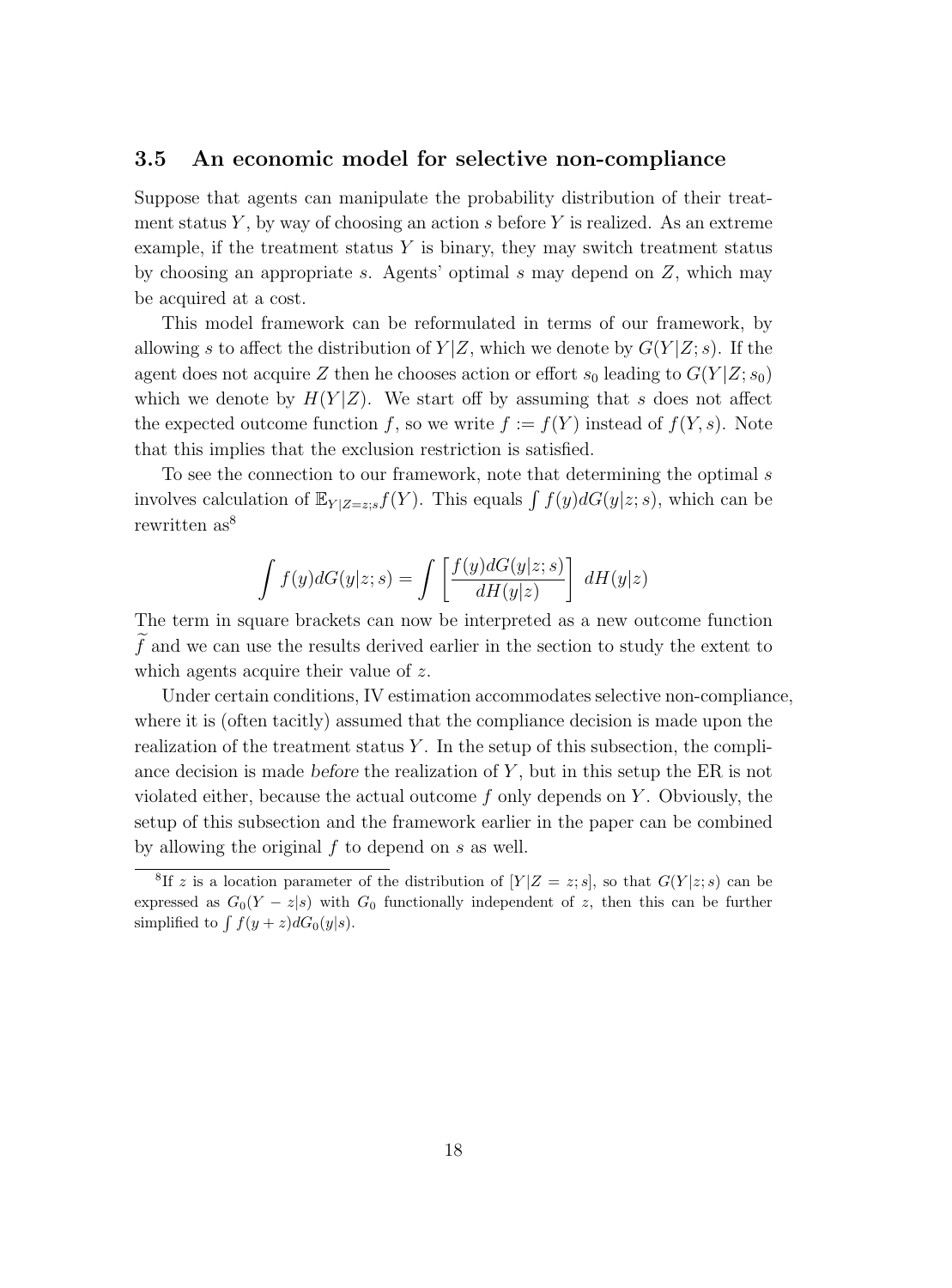#### **3.5 An economic model for selective non-compliance**

Suppose that agents can manipulate the probability distribution of their treatment status Y, by way of choosing an action s before Y is realized. As an extreme example, if the treatment status  $Y$  is binary, they may switch treatment status by choosing an appropriate s. Agents' optimal s may depend on  $Z$ , which may be acquired at a cost.

This model framework can be reformulated in terms of our framework, by allowing s to affect the distribution of  $Y|Z$ , which we denote by  $G(Y|Z; s)$ . If the agent does not acquire Z then he chooses action or effort  $s_0$  leading to  $G(Y|Z; s_0)$ which we denote by  $H(Y|Z)$ . We start off by assuming that s does not affect the expected outcome function f, so we write  $f := f(Y)$  instead of  $f(Y, s)$ . Note that this implies that the exclusion restriction is satisfied.

To see the connection to our framework, note that determining the optimal s involves calculation of  $\mathbb{E}_{Y|Z=z,s}f(Y)$ . This equals  $\int f(y)dG(y|z; s)$ , which can be rewritten as<sup>8</sup>

$$
\int f(y)dG(y|z;s) = \int \left[\frac{f(y)dG(y|z;s)}{dH(y|z)}\right] dH(y|z)
$$

The term in square brackets can now be interpreted as a new outcome function f and we can use the results derived earlier in the section to study the extent to which agents acquire their value of z.

Under certain conditions, IV estimation accommodates selective non-compliance, where it is (often tacitly) assumed that the compliance decision is made upon the realization of the treatment status  $Y$ . In the setup of this subsection, the compliance decision is made *before* the realization of Y, but in this setup the ER is not violated either, because the actual outcome  $f$  only depends on  $Y$ . Obviously, the setupof this subsection and the framework earlier in the paper can be combined by allowing the original  $f$  to depend on  $s$  as well.

<sup>&</sup>lt;sup>8</sup>If z is a location parameter of the distribution of  $[Y|Z=z;s]$ , so that  $G(Y|z;s)$  can be expressed as  $G_0(Y-z|s)$  with  $G_0$  functionally independent of z, then this can be further simplified to  $\int f(y+z)dG_0(y|s)$ .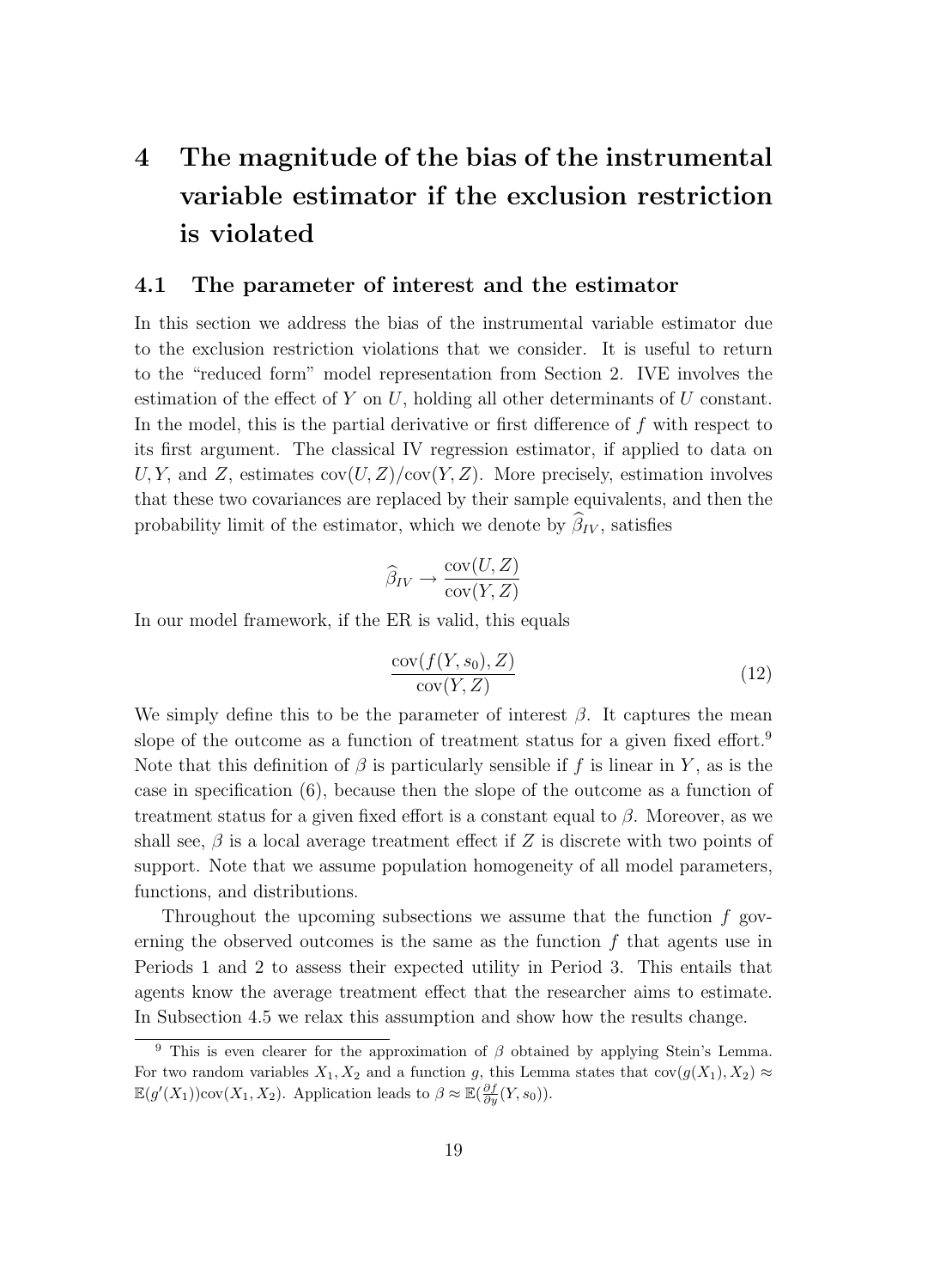## **4 The magnitude of the bias of the instrumental variable estimator if the exclusion restriction is violated**

#### **4.1 The parameter of interest and the estimator**

In this section we address the bias of the instrumental variable estimator due to the exclusion restriction violations that we consider. It is useful to return to the "reduced form" model representation from Section 2. IVE involves the estimation of the effect of  $Y$  on  $U$ , holding all other determinants of  $U$  constant. In the model, this is the partial derivative or first difference of f with respect to its first argument. The classical IV regression estimator, if applied to data on U, Y, and Z, estimates  $cov(U, Z)/cov(Y, Z)$ . More precisely, estimation involves that these two covariances are replaced by their sample equivalents, and then the probability limit of the estimator, which we denote by  $\beta_{IV}$ , satisfies

$$
\widehat{\beta}_{IV} \to \frac{\text{cov}(U, Z)}{\text{cov}(Y, Z)}
$$

In our model framework, if the ER is valid, this equals

$$
\frac{\text{cov}(f(Y, s_0), Z)}{\text{cov}(Y, Z)}\tag{12}
$$

We simply define this to be the parameter of interest  $\beta$ . It captures the mean slope of the outcome as a function of treatment status for a given fixed effort.<sup>9</sup> Note that this definition of  $\beta$  is particularly sensible if f is linear in Y, as is the case in specification (6), because then the slope of the outcome as a function of treatment status for a given fixed effort is a constant equal to  $\beta$ . Moreover, as we shall see,  $\beta$  is a local average treatment effect if Z is discrete with two points of support. Note that we assume population homogeneity of all model parameters, functions, and distributions.

Throughout the upcoming subsections we assume that the function f governing the observed outcomes is the same as the function  $f$  that agents use in Periods 1 and 2 to assess their expected utility in Period 3. This entails that agents know the average treatment effect that the researcher aims to estimate. In Subsection 4.5 we relax this assumption and show how the results change.

<sup>&</sup>lt;sup>9</sup> This is even clearer for the approximation of  $\beta$  obtained by applying Stein's Lemma. For two random variables  $X_1, X_2$  and a function g, this Lemma states that  $cov(g(X_1), X_2) \approx$  $\mathbb{E}(g'(X_1))\text{cov}(X_1, X_2)$ . Application leads to  $\beta \approx \mathbb{E}(\frac{\partial f}{\partial y}(Y, s_0))$ .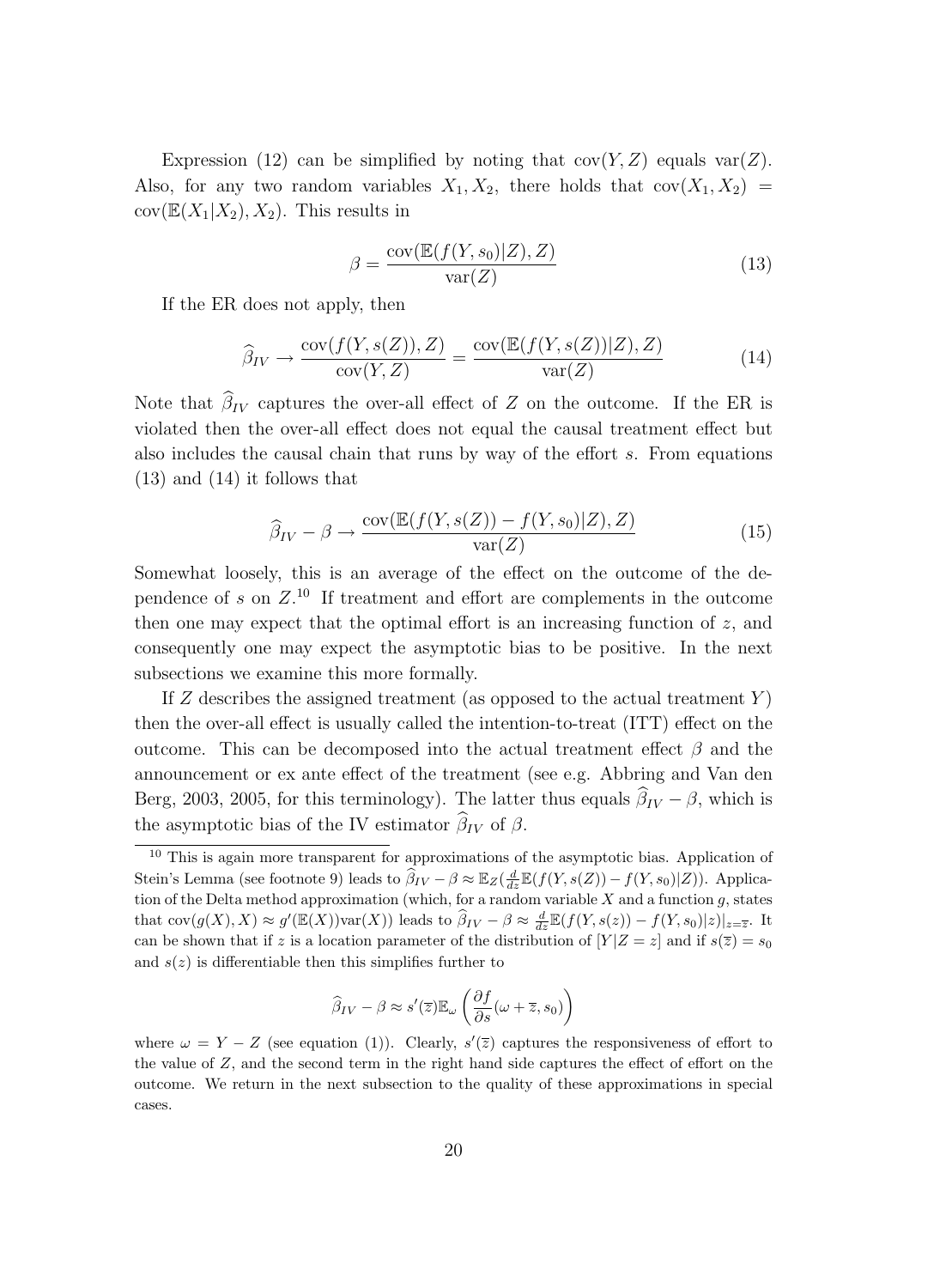Expression (12) can be simplified by noting that  $cov(Y, Z)$  equals  $var(Z)$ . Also, for any two random variables  $X_1, X_2$ , there holds that  $cov(X_1, X_2)$  $cov(\mathbb{E}(X_1|X_2), X_2)$ . This results in

$$
\beta = \frac{\text{cov}(\mathbb{E}(f(Y, s_0)|Z), Z)}{\text{var}(Z)}\tag{13}
$$

If the ER does not apply, then

$$
\widehat{\beta}_{IV} \to \frac{\text{cov}(f(Y, s(Z)), Z)}{\text{cov}(Y, Z)} = \frac{\text{cov}(\mathbb{E}(f(Y, s(Z))|Z), Z)}{\text{var}(Z)}\tag{14}
$$

Note that  $\beta_{IV}$  captures the over-all effect of Z on the outcome. If the ER is violated then the over-all effect does not equal the causal treatment effect but also includes the causal chain that runs by way of the effort s. From equations (13) and (14) it follows that

$$
\widehat{\beta}_{IV} - \beta \to \frac{\text{cov}(\mathbb{E}(f(Y, s(Z)) - f(Y, s_0)|Z), Z)}{\text{var}(Z)}\tag{15}
$$

Somewhat loosely, this is an average of the effect on the outcome of the dependence of s on  $Z$ .<sup>10</sup> If treatment and effort are complements in the outcome then one may expect that the optimal effort is an increasing function of  $z$ , and consequently one may expect the asymptotic bias to be positive. In the next subsections we examine this more formally.

If Z describes the assigned treatment (as opposed to the actual treatment  $Y$ ) then the over-all effect is usually called the intention-to-treat (ITT) effect on the outcome. This can be decomposed into the actual treatment effect  $\beta$  and the announcement or ex ante effect of the treatment (see e.g. Abbring and Van den Berg, 2003, 2005, for this terminology). The latter thus equals  $\beta_{IV} - \beta$ , which is the asymptotic bias of the IV estimator  $\beta_{IV}$  of  $\beta$ .

$$
\widehat{\beta}_{IV} - \beta \approx s'(\overline{z}) \mathbb{E}_{\omega} \left( \frac{\partial f}{\partial s} (\omega + \overline{z}, s_0) \right)
$$

<sup>&</sup>lt;sup>10</sup> This is again more transparent for approximations of the asymptotic bias. Application of Stein's Lemma (see footnote 9) leads to  $\widehat{\beta}_{IV} - \beta \approx \mathbb{E}_Z(\frac{d}{dz}\mathbb{E}(f(Y,s(Z)) - f(Y,s_0)|Z))$ . Application of the Delta method approximation (which, for a random variable  $X$  and a function  $g$ , states that  $cov(g(X), X) \approx g'(\mathbb{E}(X)) var(X)$  leads to  $\widehat{\beta}_{IV} - \beta \approx \frac{d}{dz} \mathbb{E}(f(Y, s(z)) - f(Y, s_0)|z)|_{z=\overline{z}}$ . It can be shown that if z is a location parameter of the distribution of  $[Y|Z=z]$  and if  $s(\overline{z})=s_0$ and  $s(z)$  is differentiable then this simplifies further to

where  $\omega = Y - Z$  (see equation (1)). Clearly,  $s'(\overline{z})$  captures the responsiveness of effort to the value of Z, and the second term in the right hand side captures the effect of effort on the outcome. We return in the next subsection to the quality of these approximations in special cases.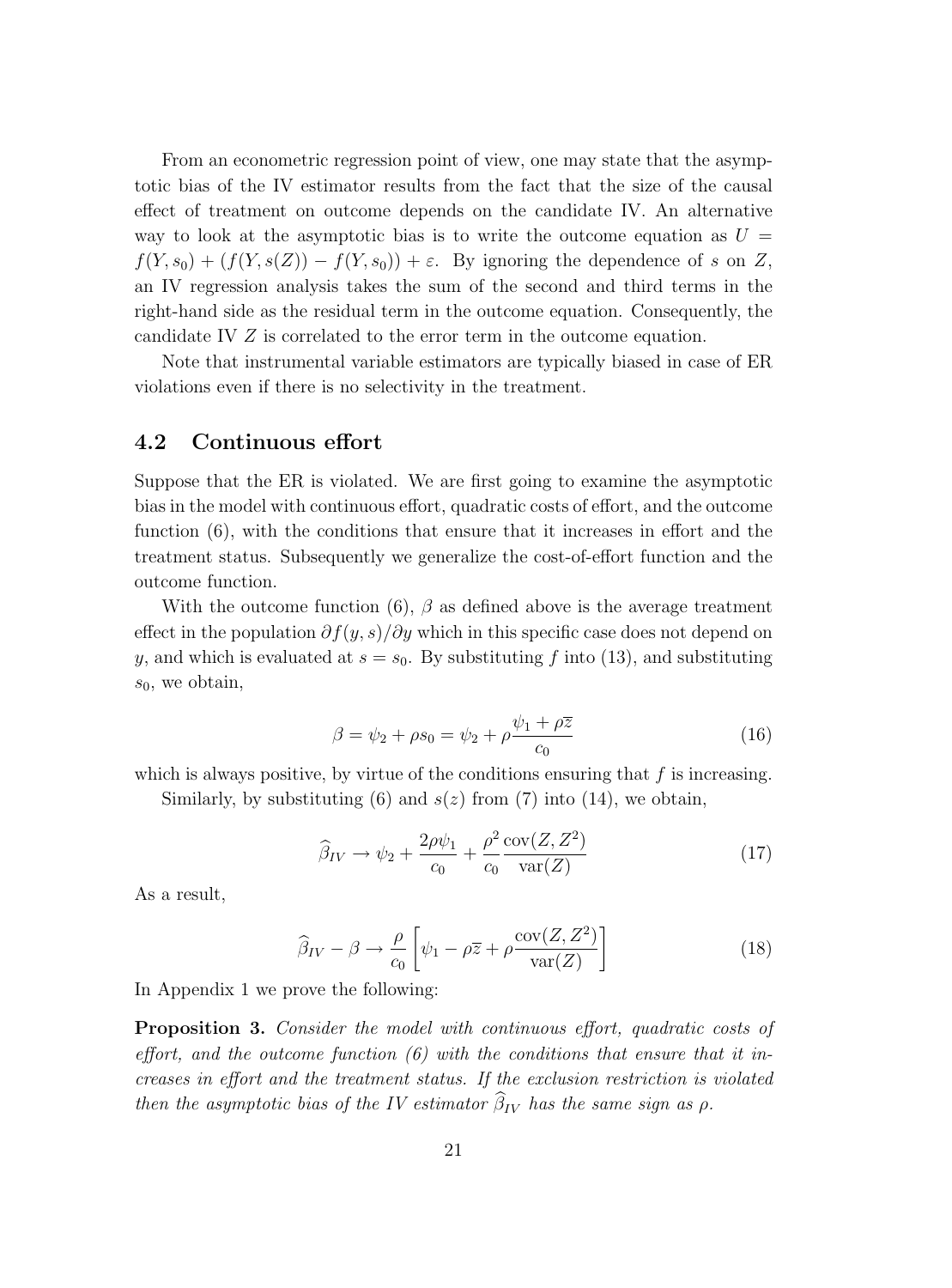From an econometric regression point of view, one may state that the asymptotic bias of the IV estimator results from the fact that the size of the causal effect of treatment on outcome depends on the candidate IV. An alternative way to look at the asymptotic bias is to write the outcome equation as  $U =$  $f(Y,s_0)+(f(Y,s(Z))-f(Y,s_0))+\varepsilon$ . By ignoring the dependence of s on Z, an IV regression analysis takes the sum of the second and third terms in the right-hand side as the residual term in the outcome equation. Consequently, the candidate IV Z is correlated to the error term in the outcome equation.

Note that instrumental variable estimators are typically biased in case of ER violations even if there is no selectivity in the treatment.

#### **4.2 Continuous effort**

Suppose that the ER is violated. We are first going to examine the asymptotic bias in the model with continuous effort, quadratic costs of effort, and the outcome function (6), with the conditions that ensure that it increases in effort and the treatment status. Subsequently we generalize the cost-of-effort function and the outcome function.

With the outcome function (6),  $\beta$  as defined above is the average treatment effect in the population  $\partial f(y, s)/\partial y$  which in this specific case does not depend on y, and which is evaluated at  $s = s_0$ . By substituting f into (13), and substituting  $s_0$ , we obtain,

$$
\beta = \psi_2 + \rho s_0 = \psi_2 + \rho \frac{\psi_1 + \rho \overline{z}}{c_0} \tag{16}
$$

which is always positive, by virtue of the conditions ensuring that  $f$  is increasing.

Similarly, by substituting (6) and  $s(z)$  from (7) into (14), we obtain,

$$
\widehat{\beta}_{IV} \to \psi_2 + \frac{2\rho\psi_1}{c_0} + \frac{\rho^2}{c_0} \frac{\text{cov}(Z, Z^2)}{\text{var}(Z)}\tag{17}
$$

As a result,

$$
\widehat{\beta}_{IV} - \beta \to \frac{\rho}{c_0} \left[ \psi_1 - \rho \overline{z} + \rho \frac{\text{cov}(Z, Z^2)}{\text{var}(Z)} \right]
$$
(18)

In Appendix 1 we prove the following:

**Proposition 3.** Consider the model with continuous effort, quadratic costs of effort, and the outcome function  $(6)$  with the conditions that ensure that it increases in effort and the treatment status. If the exclusion restriction is violated then the asymptotic bias of the IV estimator  $\beta_{IV}$  has the same sign as  $\rho$ .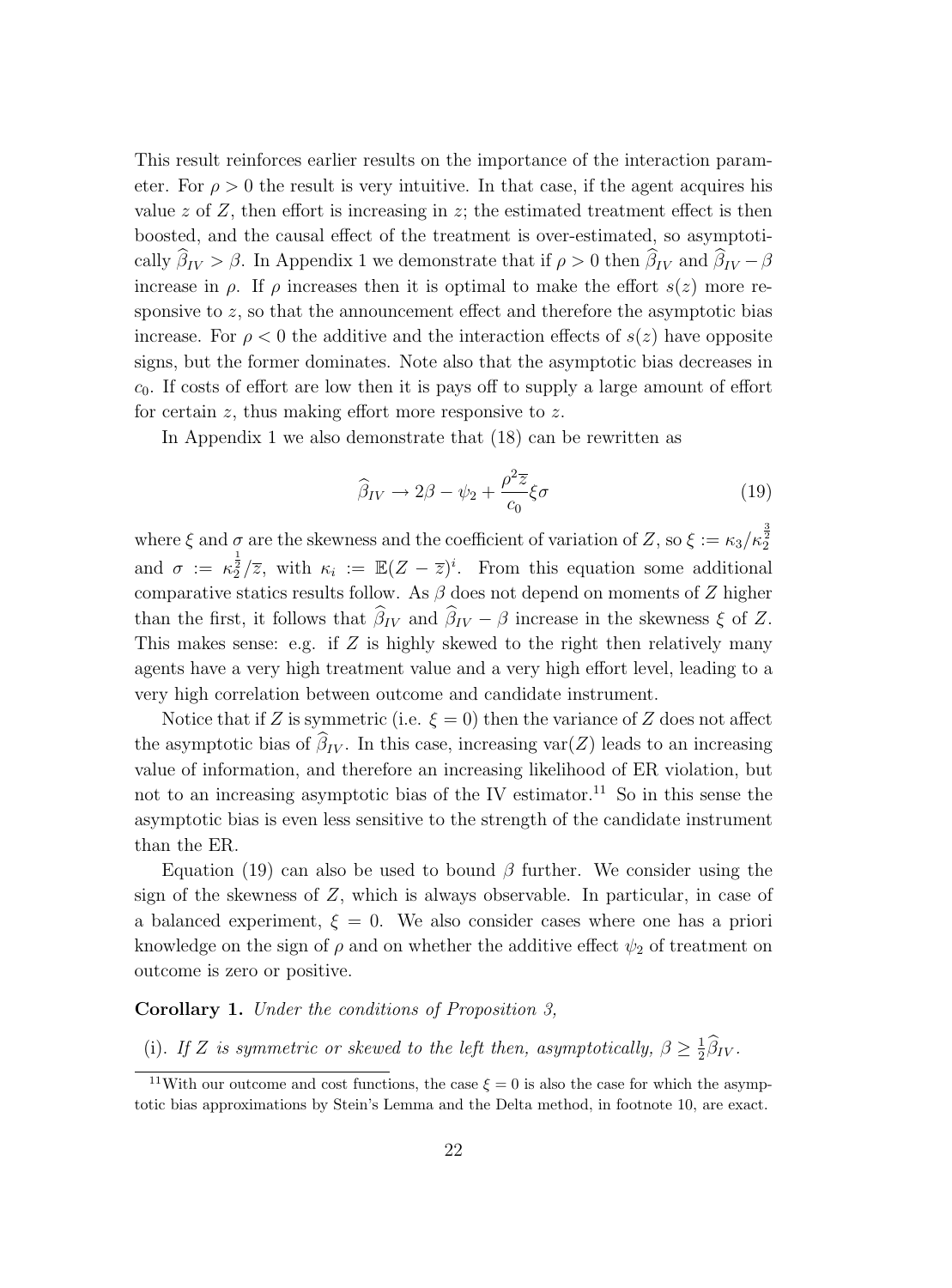This result reinforces earlier results on the importance of the interaction parameter. For  $\rho > 0$  the result is very intuitive. In that case, if the agent acquires his value  $z$  of  $Z$ , then effort is increasing in  $z$ ; the estimated treatment effect is then boosted, and the causal effect of the treatment is over-estimated, so asymptotically  $\beta_{IV} > \beta$ . In Appendix 1 we demonstrate that if  $\rho > 0$  then  $\beta_{IV}$  and  $\beta_{IV} - \beta$ increase in  $\rho$ . If  $\rho$  increases then it is optimal to make the effort  $s(z)$  more responsive to  $z$ , so that the announcement effect and therefore the asymptotic bias increase. For  $\rho < 0$  the additive and the interaction effects of  $s(z)$  have opposite signs, but the former dominates. Note also that the asymptotic bias decreases in  $c_0$ . If costs of effort are low then it is pays off to supply a large amount of effort for certain  $z$ , thus making effort more responsive to  $z$ .

In Appendix 1 we also demonstrate that (18) can be rewritten as

$$
\widehat{\beta}_{IV} \to 2\beta - \psi_2 + \frac{\rho^2 \overline{z}}{c_0} \xi \sigma \tag{19}
$$

where  $\xi$  and  $\sigma$  are the skewness and the coefficient of variation of  $Z$ , so  $\xi := \kappa_3 / \kappa_2^{\frac{3}{2}}$ and  $\sigma := \kappa_2^{\frac{1}{2}}/\overline{z}$ , with  $\kappa_i := \mathbb{E}(Z - \overline{z})^i$ . From this equation some additional comparative statics results follow. As  $\beta$  does not depend on moments of Z higher than the first, it follows that  $\beta_{IV}$  and  $\beta_{IV} - \beta$  increase in the skewness  $\xi$  of Z. This makes sense: e.g. if  $Z$  is highly skewed to the right then relatively many agents have a very high treatment value and a very high effort level, leading to a very high correlation between outcome and candidate instrument.

Notice that if Z is symmetric (i.e.  $\xi = 0$ ) then the variance of Z does not affect the asymptotic bias of  $\beta_{IV}$ . In this case, increasing  $var(Z)$  leads to an increasing value of information, and therefore an increasing likelihood of ER violation, but not to an increasing asymptotic bias of the IV estimator.<sup>11</sup> So in this sense the asymptotic bias is even less sensitive to the strength of the candidate instrument than the ER.

Equation (19) can also be used to bound  $\beta$  further. We consider using the sign of the skewness of  $Z$ , which is always observable. In particular, in case of a balanced experiment,  $\xi = 0$ . We also consider cases where one has a priori knowledge on the sign of  $\rho$  and on whether the additive effect  $\psi_2$  of treatment on outcome is zero or positive.

**Corollary 1.** Under the conditions of Proposition 3,

(i). If Z is symmetric or skewed to the left then, asymptotically,  $\beta \geq \frac{1}{2}\widehat{\beta}_{IV}$ .

<sup>&</sup>lt;sup>11</sup>With our outcome and cost functions, the case  $\xi = 0$  is also the case for which the asymptotic bias approximations by Stein's Lemma and the Delta method, in footnote 10, are exact.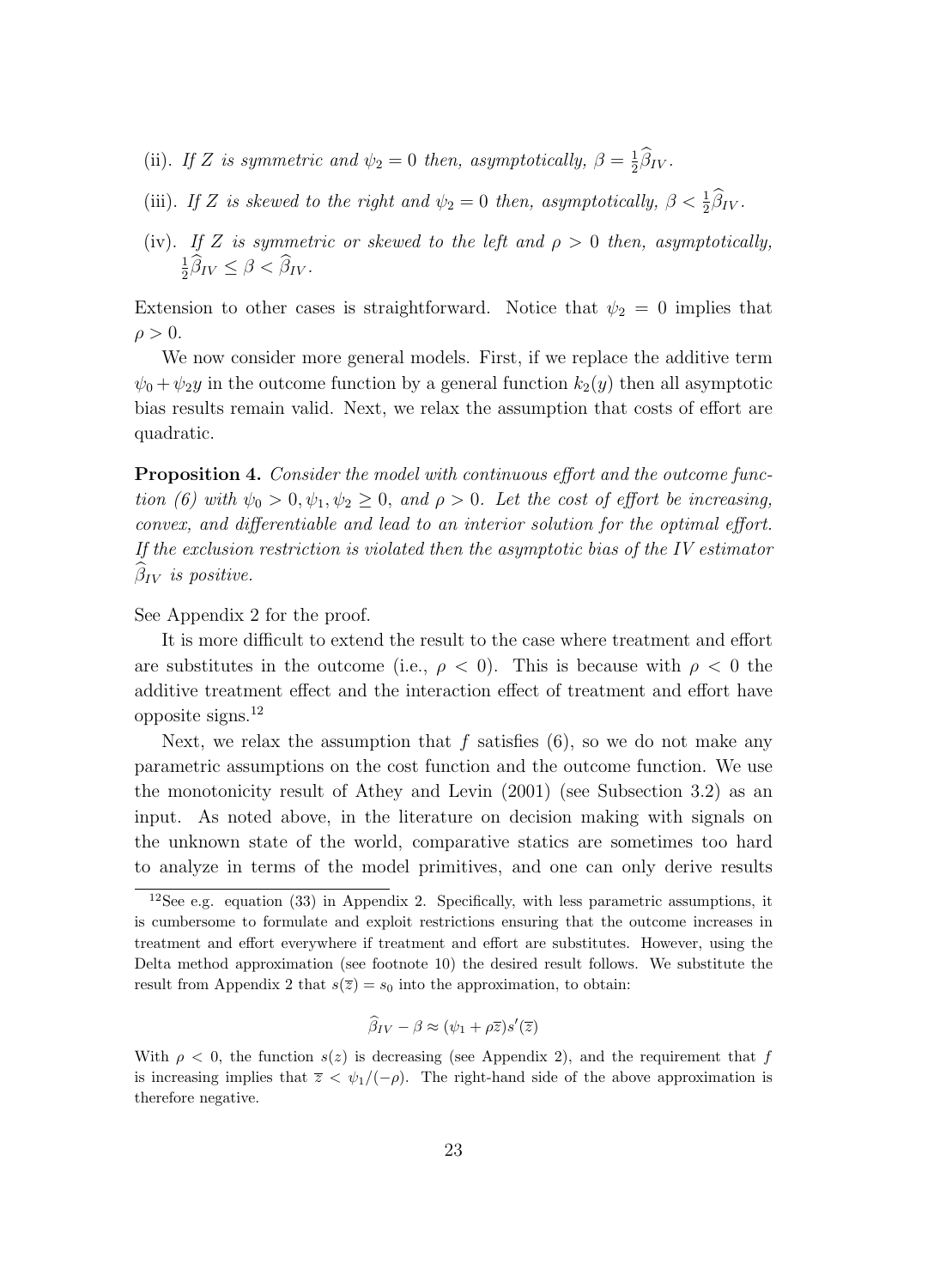- (ii). If Z is symmetric and  $\psi_2 = 0$  then, asymptotically,  $\beta = \frac{1}{2}\widehat{\beta}_{IV}$ .
- (iii). If Z is skewed to the right and  $\psi_2 = 0$  then, asymptotically,  $\beta < \frac{1}{2}\widehat{\beta}_{IV}$ .
- (iv). If Z is symmetric or skewed to the left and  $\rho > 0$  then, asymptotically,  $\frac{1}{2}\widehat{\beta}_{IV} \leq \beta < \widehat{\beta}_{IV}.$

Extension to other cases is straightforward. Notice that  $\psi_2 = 0$  implies that  $\rho > 0$ .

We now consider more general models. First, if we replace the additive term  $\psi_0 + \psi_2 y$  in the outcome function by a general function  $k_2(y)$  then all asymptotic bias results remain valid. Next, we relax the assumption that costs of effort are quadratic.

**Proposition 4.** Consider the model with continuous effort and the outcome function (6) with  $\psi_0 > 0, \psi_1, \psi_2 \geq 0$ , and  $\rho > 0$ . Let the cost of effort be increasing, convex, and differentiable and lead to an interior solution for the optimal effort. If the exclusion restriction is violated then the asymptotic bias of the IV estimator  $\beta_{IV}$  is positive.

See Appendix 2 for the proof.

It is more difficult to extend the result to the case where treatment and effort are substitutes in the outcome (i.e.,  $\rho < 0$ ). This is because with  $\rho < 0$  the additive treatment effect and the interaction effect of treatment and effort have opposite signs.<sup>12</sup>

Next, we relax the assumption that f satisfies  $(6)$ , so we do not make any parametric assumptions on the cost function and the outcome function. We use the monotonicity result of Athey and Levin (2001) (see Subsection 3.2) as an input. As noted above, in the literature on decision making with signals on the unknown state of the world, comparative statics are sometimes too hard to analyze in terms of the model primitives, and one can only derive results

$$
\widehat{\beta}_{IV} - \beta \approx (\psi_1 + \rho \overline{z})s'(\overline{z})
$$

 $12$ See e.g. equation (33) in Appendix 2. Specifically, with less parametric assumptions, it is cumbersome to formulate and exploit restrictions ensuring that the outcome increases in treatment and effort everywhere if treatment and effort are substitutes. However, using the Delta method approximation (see footnote 10) the desired result follows. We substitute the result from Appendix 2 that  $s(\overline{z}) = s_0$  into the approximation, to obtain:

With  $\rho < 0$ , the function  $s(z)$  is decreasing (see Appendix 2), and the requirement that f is increasing implies that  $\overline{z} \langle \psi_1/(-\rho) \rangle$ . The right-hand side of the above approximation is therefore negative.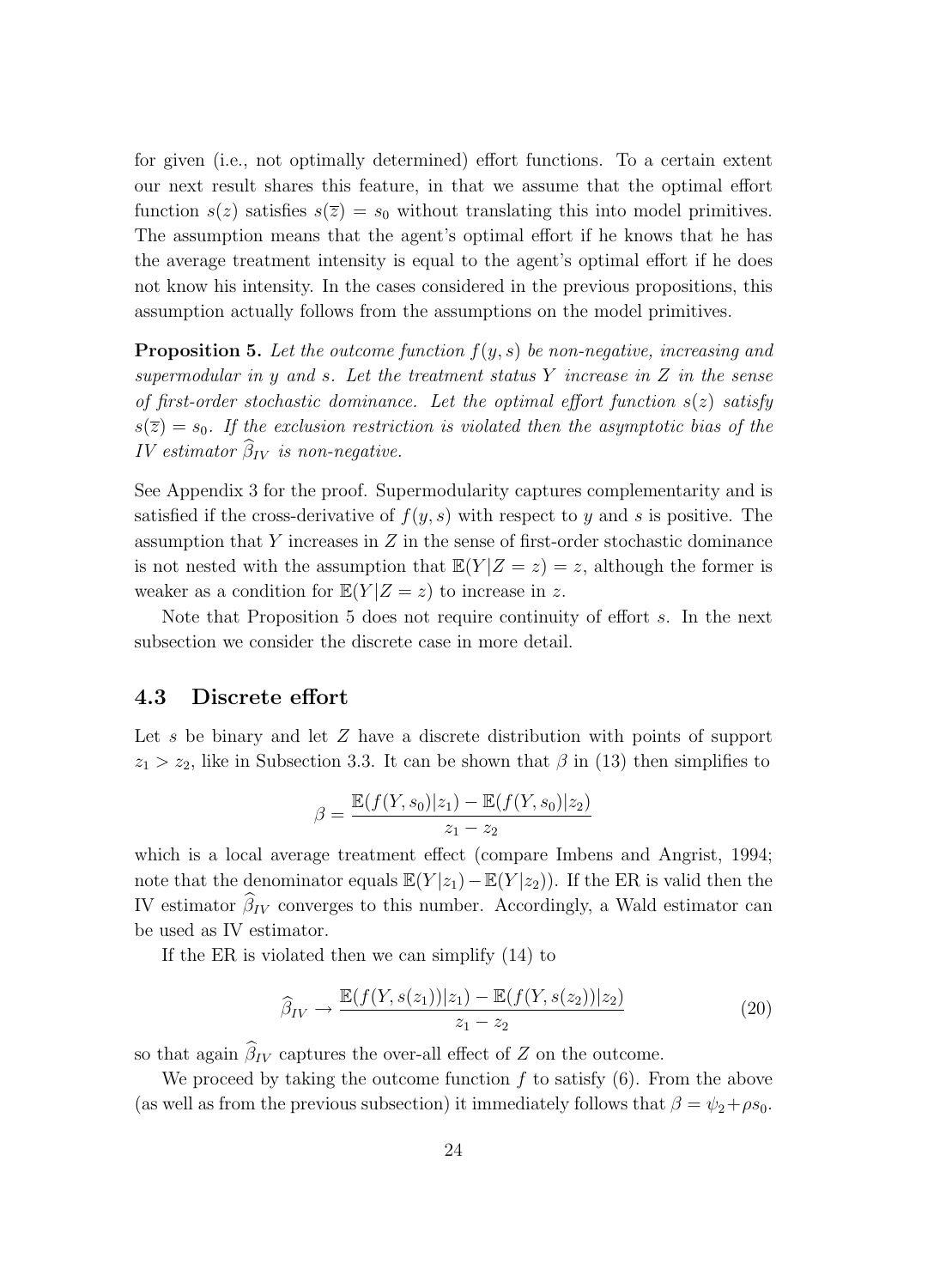for given (i.e., not optimally determined) effort functions. To a certain extent our next result shares this feature, in that we assume that the optimal effort function  $s(z)$  satisfies  $s(\overline{z}) = s_0$  without translating this into model primitives. The assumption means that the agent's optimal effort if he knows that he has the average treatment intensity is equal to the agent's optimal effort if he does not know his intensity. In the cases considered in the previous propositions, this assumption actually follows from the assumptions on the model primitives.

**Proposition 5.** Let the outcome function  $f(y, s)$  be non-negative, increasing and supermodular in y and s. Let the treatment status  $Y$  increase in  $Z$  in the sense of first-order stochastic dominance. Let the optimal effort function  $s(z)$  satisfy  $s(\overline{z}) = s_0$ . If the exclusion restriction is violated then the asymptotic bias of the *IV* estimator  $\beta_{IV}$  is non-negative.

See Appendix 3 for the proof. Supermodularity captures complementarity and is satisfied if the cross-derivative of  $f(y, s)$  with respect to y and s is positive. The assumption that  $Y$  increases in  $Z$  in the sense of first-order stochastic dominance is not nested with the assumption that  $\mathbb{E}(Y|Z=z)=z$ , although the former is weaker as a condition for  $\mathbb{E}(Y|Z=z)$  to increase in z.

Note that Proposition 5 does not require continuity of effort s. In the next subsection we consider the discrete case in more detail.

#### **4.3 Discrete effort**

Let s be binary and let Z have a discrete distribution with points of support  $z_1 > z_2$ , like in Subsection 3.3. It can be shown that  $\beta$  in (13) then simplifies to

$$
\beta = \frac{\mathbb{E}(f(Y, s_0)|z_1) - \mathbb{E}(f(Y, s_0)|z_2)}{z_1 - z_2}
$$

which is a local average treatment effect (compare Imbens and Angrist, 1994; note that the denominator equals  $\mathbb{E}(Y | z_1) - \mathbb{E}(Y | z_2)$ . If the ER is valid then the IV estimator  $\beta_{IV}$  converges to this number. Accordingly, a Wald estimator can be used as IV estimator.

If the ER is violated then we can simplify (14) to

$$
\widehat{\beta}_{IV} \to \frac{\mathbb{E}(f(Y, s(z_1))|z_1) - \mathbb{E}(f(Y, s(z_2))|z_2)}{z_1 - z_2}
$$
\n(20)

so that again  $\beta_{IV}$  captures the over-all effect of Z on the outcome.

We proceed by taking the outcome function  $f$  to satisfy  $(6)$ . From the above (as well as from the previous subsection) it immediately follows that  $\beta = \psi_2 + \rho s_0$ .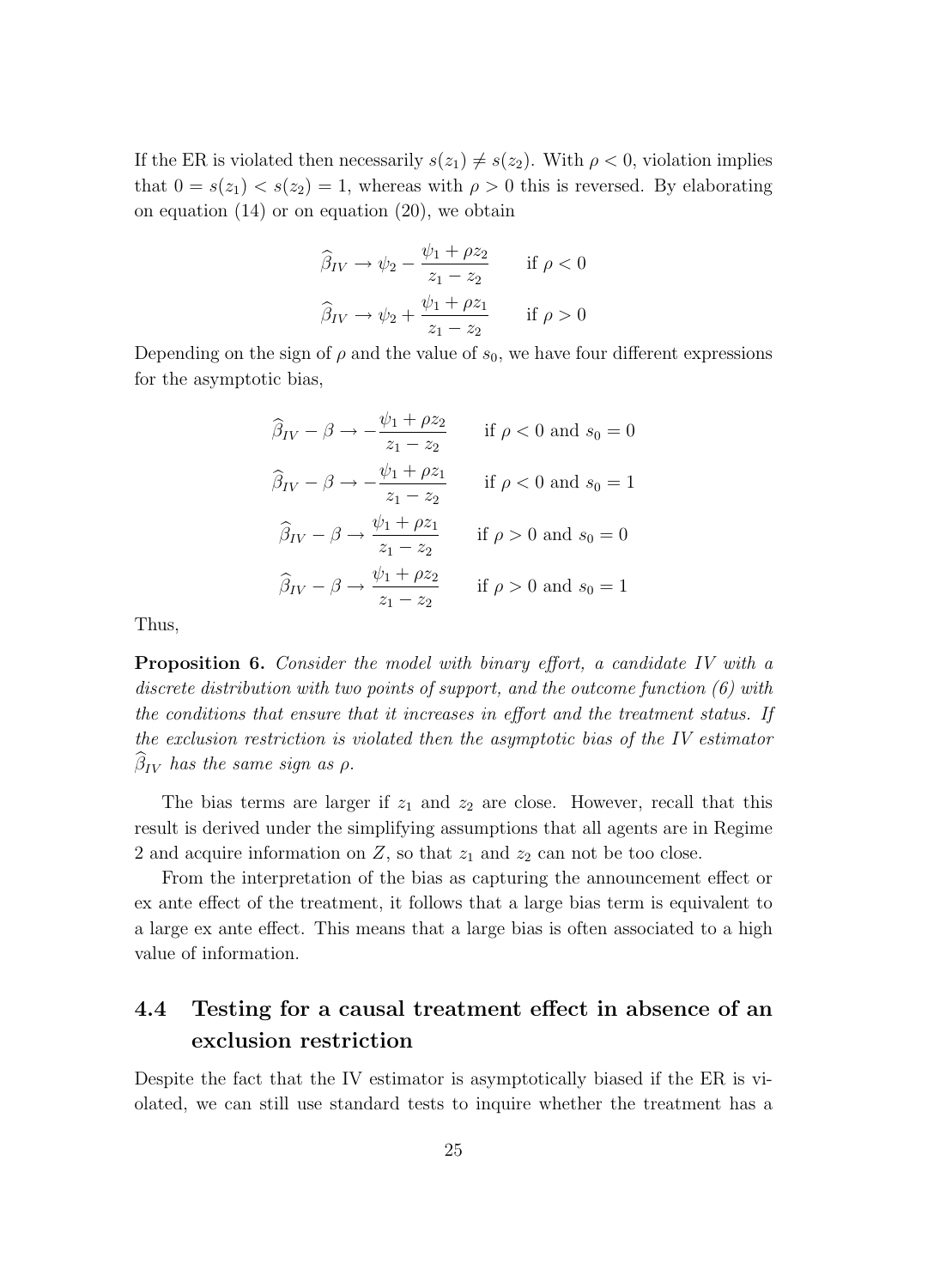If the ER is violated then necessarily  $s(z_1) \neq s(z_2)$ . With  $\rho < 0$ , violation implies that  $0 = s(z_1) < s(z_2) = 1$ , whereas with  $\rho > 0$  this is reversed. By elaborating on equation  $(14)$  or on equation  $(20)$ , we obtain

$$
\widehat{\beta}_{IV} \to \psi_2 - \frac{\psi_1 + \rho z_2}{z_1 - z_2} \quad \text{if } \rho < 0
$$

$$
\widehat{\beta}_{IV} \to \psi_2 + \frac{\psi_1 + \rho z_1}{z_1 - z_2} \quad \text{if } \rho > 0
$$

Depending on the sign of  $\rho$  and the value of  $s_0$ , we have four different expressions for the asymptotic bias,

$$
\widehat{\beta}_{IV} - \beta \rightarrow -\frac{\psi_1 + \rho z_2}{z_1 - z_2} \quad \text{if } \rho < 0 \text{ and } s_0 = 0
$$
  

$$
\widehat{\beta}_{IV} - \beta \rightarrow -\frac{\psi_1 + \rho z_1}{z_1 - z_2} \quad \text{if } \rho < 0 \text{ and } s_0 = 1
$$
  

$$
\widehat{\beta}_{IV} - \beta \rightarrow \frac{\psi_1 + \rho z_1}{z_1 - z_2} \quad \text{if } \rho > 0 \text{ and } s_0 = 0
$$
  

$$
\widehat{\beta}_{IV} - \beta \rightarrow \frac{\psi_1 + \rho z_2}{z_1 - z_2} \quad \text{if } \rho > 0 \text{ and } s_0 = 1
$$

Thus,

**Proposition 6.** Consider the model with binary effort, a candidate IV with a discrete distribution with two points of support, and the outcome function (6) with the conditions that ensure that it increases in effort and the treatment status. If the exclusion restriction is violated then the asymptotic bias of the IV estimator  $\beta_{IV}$  has the same sign as  $\rho$ .

The bias terms are larger if  $z_1$  and  $z_2$  are close. However, recall that this result is derived under the simplifying assumptions that all agents are in Regime 2 and acquire information on  $Z$ , so that  $z_1$  and  $z_2$  can not be too close.

From the interpretation of the bias as capturing the announcement effect or ex ante effect of the treatment, it follows that a large bias term is equivalent to a large ex ante effect. This means that a large bias is often associated to a high value of information.

## **4.4 Testing for a causal treatment effect in absence of an exclusion restriction**

Despite the fact that the IV estimator is asymptotically biased if the ER is violated, we can still use standard tests to inquire whether the treatment has a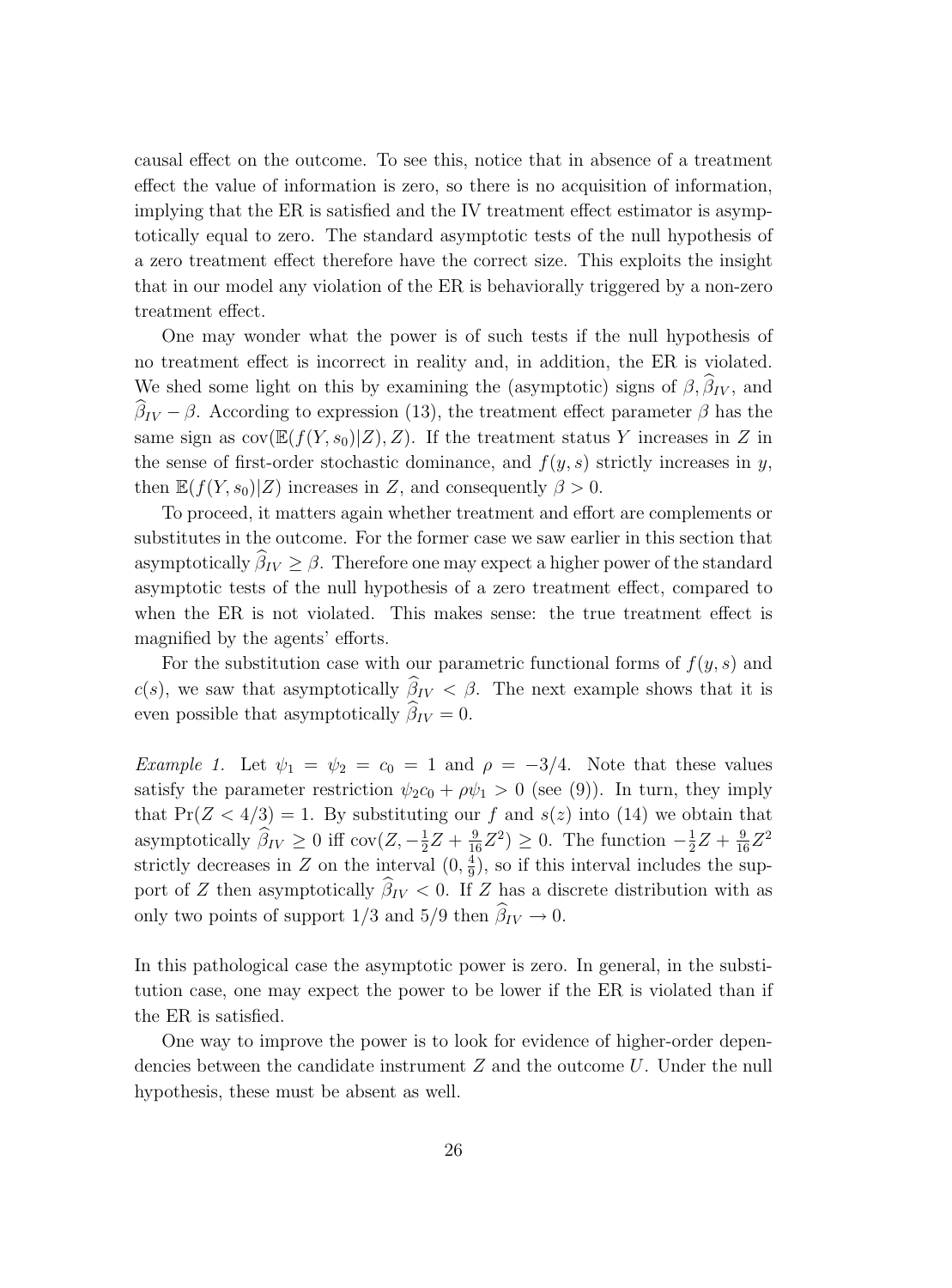causal effect on the outcome. To see this, notice that in absence of a treatment effect the value of information is zero, so there is no acquisition of information, implying that the ER is satisfied and the IV treatment effect estimator is asymptotically equal to zero. The standard asymptotic tests of the null hypothesis of a zero treatment effect therefore have the correct size. This exploits the insight that in our model any violation of the ER is behaviorally triggered by a non-zero treatment effect.

One may wonder what the power is of such tests if the null hypothesis of no treatment effect is incorrect in reality and, in addition, the ER is violated. We shed some light on this by examining the (asymptotic) signs of  $\beta$ ,  $\beta_{IV}$ , and  $\beta_{IV} - \beta$ . According to expression (13), the treatment effect parameter  $\beta$  has the same sign as  $cov(\mathbb{E}(f(Y,s_0)|Z), Z)$ . If the treatment status Y increases in Z in the sense of first-order stochastic dominance, and  $f(y, s)$  strictly increases in y, then  $\mathbb{E}(f(Y,s_0)|Z)$  increases in Z, and consequently  $\beta > 0$ .

To proceed, it matters again whether treatment and effort are complements or substitutes in the outcome. For the former case we saw earlier in this section that asymptotically  $\beta_{IV} \geq \beta$ . Therefore one may expect a higher power of the standard asymptotic tests of the null hypothesis of a zero treatment effect, compared to when the ER is not violated. This makes sense: the true treatment effect is magnified by the agents' efforts.

For the substitution case with our parametric functional forms of  $f(y, s)$  and  $c(s)$ , we saw that asymptotically  $\beta_{IV} < \beta$ . The next example shows that it is even possible that asymptotically  $\beta_{IV} = 0$ .

Example 1. Let  $\psi_1 = \psi_2 = c_0 = 1$  and  $\rho = -3/4$ . Note that these values satisfy the parameter restriction  $\psi_2 c_0 + \rho \psi_1 > 0$  (see (9)). In turn, they imply that  $Pr(Z < 4/3) = 1$ . By substituting our f and  $s(z)$  into (14) we obtain that asymptotically  $\widehat{\beta}_{IV} \ge 0$  iff cov $(Z, -\frac{1}{2}Z + \frac{9}{16}Z^2) \ge 0$ . The function  $-\frac{1}{2}Z + \frac{9}{16}Z^2$ strictly decreases in Z on the interval  $(0, \frac{4}{9})$ , so if this interval includes the support of Z then asymptotically  $\beta_{IV} < 0$ . If Z has a discrete distribution with as only two points of support  $1/3$  and  $5/9$  then  $\beta_{IV} \rightarrow 0$ .

In this pathological case the asymptotic power is zero. In general, in the substitution case, one may expect the power to be lower if the ER is violated than if the ER is satisfied.

One way to improve the power is to look for evidence of higher-order dependencies between the candidate instrument Z and the outcome U. Under the null hypothesis, these must be absent as well.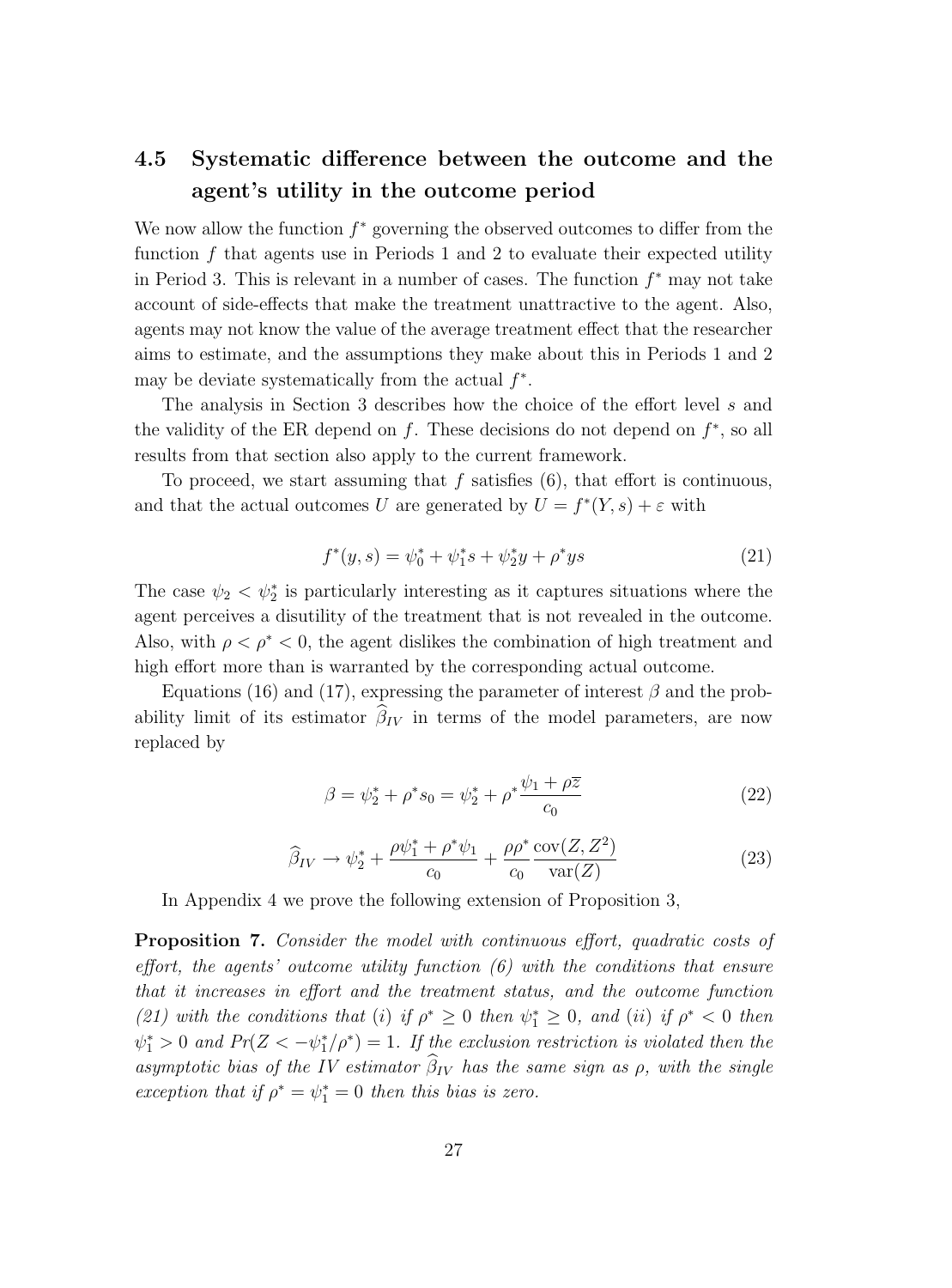## **4.5 Systematic difference between the outcome and the agent's utility in the outcome period**

We now allow the function  $f^*$  governing the observed outcomes to differ from the function f that agents use in Periods 1 and 2 to evaluate their expected utility in Period 3. This is relevant in a number of cases. The function  $f^*$  may not take account of side-effects that make the treatment unattractive to the agent. Also, agents may not know the value of the average treatment effect that the researcher aims to estimate, and the assumptions they make about this in Periods 1 and 2 may be deviate systematically from the actual  $f^*$ .

The analysis in Section 3 describes how the choice of the effort level s and the validity of the ER depend on f. These decisions do not depend on  $f^*$ , so all results from that section also apply to the current framework.

To proceed, we start assuming that  $f$  satisfies  $(6)$ , that effort is continuous, and that the actual outcomes U are generated by  $U = f^*(Y, s) + \varepsilon$  with

$$
f^*(y,s) = \psi_0^* + \psi_1^*s + \psi_2^*y + \rho^*ys \tag{21}
$$

The case  $\psi_2 < \psi_2^*$  is particularly interesting as it captures situations where the agent perceives a disutility of the treatment that is not revealed in the outcome. Also, with  $\rho < \rho^* < 0$ , the agent dislikes the combination of high treatment and high effort more than is warranted by the corresponding actual outcome.

Equations (16) and (17), expressing the parameter of interest  $\beta$  and the probability limit of its estimator  $\beta_{IV}$  in terms of the model parameters, are now replaced by

$$
\beta = \psi_2^* + \rho^* s_0 = \psi_2^* + \rho^* \frac{\psi_1 + \rho \overline{z}}{c_0} \tag{22}
$$

$$
\widehat{\beta}_{IV} \rightarrow \psi_2^* + \frac{\rho \psi_1^* + \rho^* \psi_1}{c_0} + \frac{\rho \rho^*}{c_0} \frac{\text{cov}(Z, Z^2)}{\text{var}(Z)}\tag{23}
$$

In Appendix 4 we prove the following extension of Proposition 3,

**Proposition 7.** Consider the model with continuous effort, quadratic costs of effort, the agents' outcome utility function  $(6)$  with the conditions that ensure that it increases in effort and the treatment status, and the outcome function (21) with the conditions that (i) if  $\rho^* \geq 0$  then  $\psi_1^* \geq 0$ , and (ii) if  $\rho^* < 0$  then  $\psi_1^* > 0$  and  $Pr(Z < -\psi_1^*/\rho^*) = 1$ . If the exclusion restriction is violated then the asymptotic bias of the IV estimator  $\beta_{IV}$  has the same sign as  $\rho$ , with the single exception that if  $\rho^* = \psi_1^* = 0$  then this bias is zero.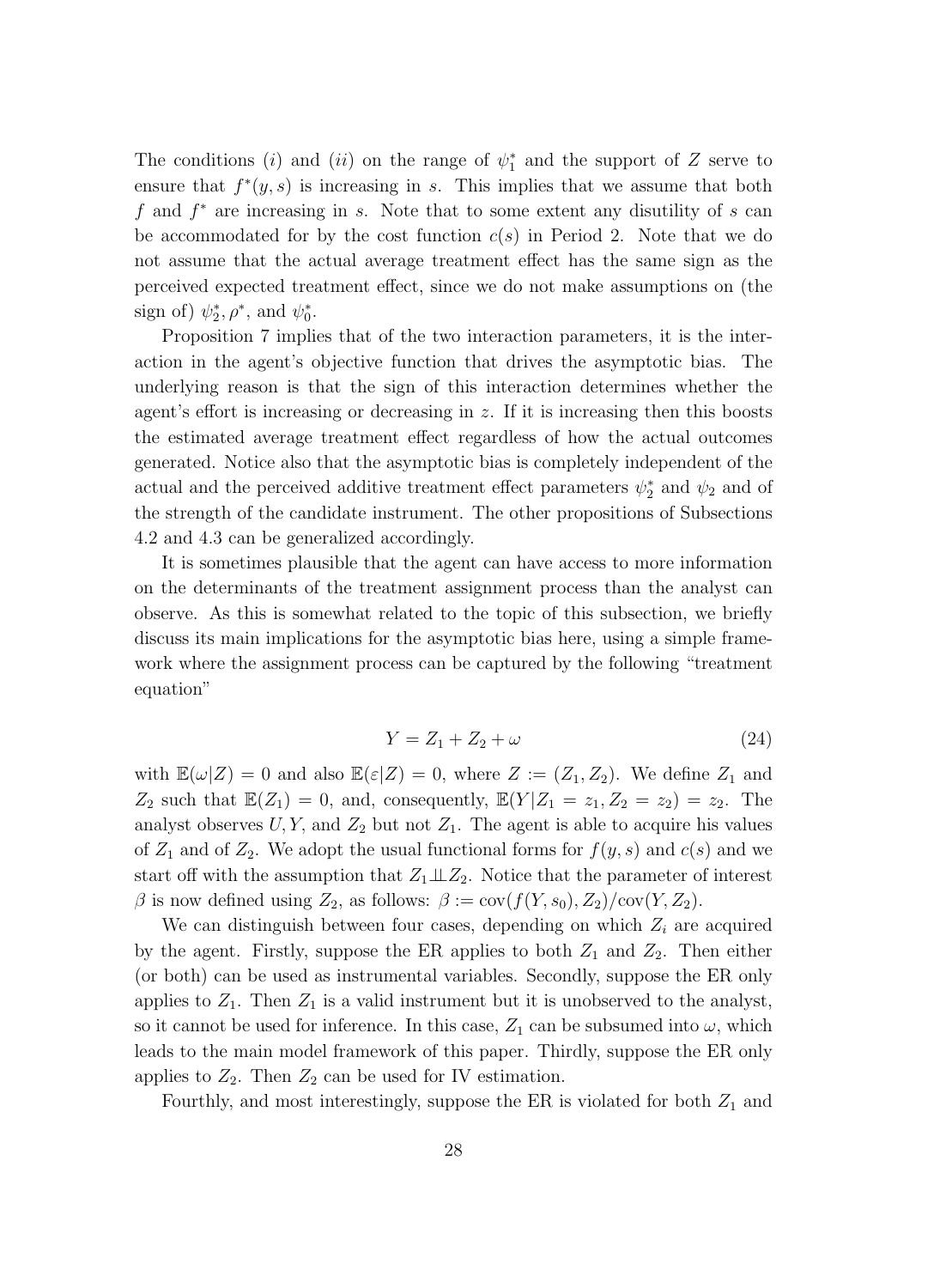The conditions (*i*) and (*ii*) on the range of  $\psi_1^*$  and the support of Z serve to ensure that  $f^*(y, s)$  is increasing in s. This implies that we assume that both f and  $f^*$  are increasing in s. Note that to some extent any disutility of s can be accommodated for by the cost function  $c(s)$  in Period 2. Note that we do not assume that the actual average treatment effect has the same sign as the perceived expected treatment effect, since we do not make assumptions on (the sign of)  $\psi_2^*, \rho^*,$  and  $\psi_0^*$ .

Proposition 7 implies that of the two interaction parameters, it is the interaction in the agent's objective function that drives the asymptotic bias. The underlying reason is that the sign of this interaction determines whether the agent's effort is increasing or decreasing in z. If it is increasing then this boosts the estimated average treatment effect regardless of how the actual outcomes generated. Notice also that the asymptotic bias is completely independent of the actual and the perceived additive treatment effect parameters  $\psi_2^*$  and  $\psi_2$  and of the strength of the candidate instrument. The other propositions of Subsections 4.2 and 4.3 can be generalized accordingly.

It is sometimes plausible that the agent can have access to more information on the determinants of the treatment assignment process than the analyst can observe. As this is somewhat related to the topic of this subsection, we briefly discuss its main implications for the asymptotic bias here, using a simple framework where the assignment process can be captured by the following "treatment equation"

$$
Y = Z_1 + Z_2 + \omega \tag{24}
$$

with  $\mathbb{E}(\omega|Z) = 0$  and also  $\mathbb{E}(\varepsilon|Z) = 0$ , where  $Z := (Z_1, Z_2)$ . We define  $Z_1$  and  $Z_2$  such that  $\mathbb{E}(Z_1) = 0$ , and, consequently,  $\mathbb{E}(Y|Z_1 = z_1, Z_2 = z_2) = z_2$ . The analyst observes  $U, Y$ , and  $Z_2$  but not  $Z_1$ . The agent is able to acquire his values of  $Z_1$  and of  $Z_2$ . We adopt the usual functional forms for  $f(y, s)$  and  $c(s)$  and we start off with the assumption that  $Z_1 \perp Z_2$ . Notice that the parameter of interest β is now defined using  $Z_2$ , as follows:  $β := cov(f(Y, s_0), Z_2)/cov(Y, Z_2)$ .

We can distinguish between four cases, depending on which  $Z_i$  are acquired by the agent. Firstly, suppose the ER applies to both  $Z_1$  and  $Z_2$ . Then either (or both) can be used as instrumental variables. Secondly, suppose the ER only applies to  $Z_1$ . Then  $Z_1$  is a valid instrument but it is unobserved to the analyst, so it cannot be used for inference. In this case,  $Z_1$  can be subsumed into  $\omega$ , which leads to the main model framework of this paper. Thirdly, suppose the ER only applies to  $Z_2$ . Then  $Z_2$  can be used for IV estimation.

Fourthly, and most interestingly, suppose the ER is violated for both  $Z_1$  and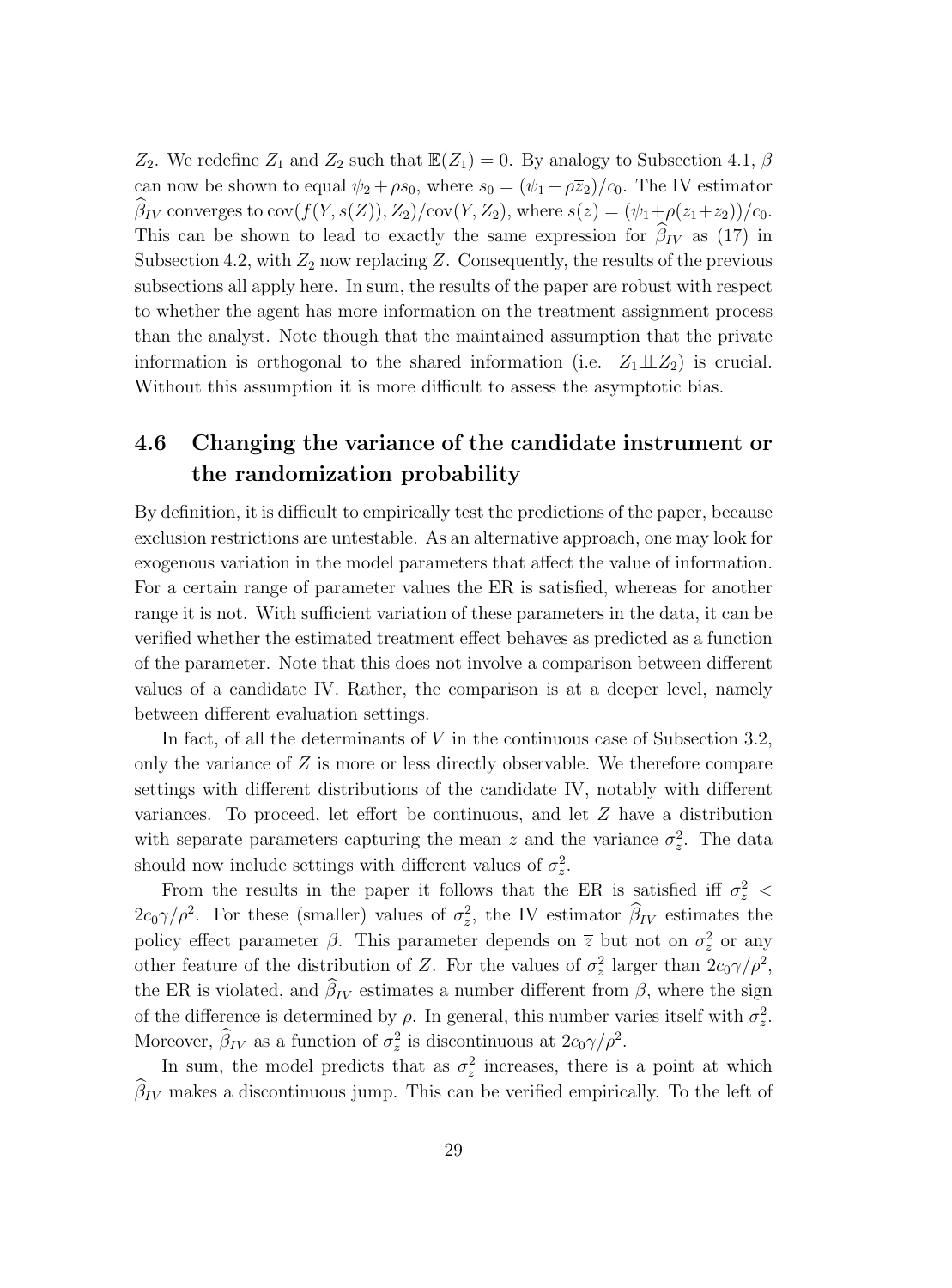$Z_2$ . We redefine  $Z_1$  and  $Z_2$  such that  $\mathbb{E}(Z_1) = 0$ . By analogy to Subsection 4.1,  $\beta$ can now be shown to equal  $\psi_2 + \rho s_0$ , where  $s_0 = (\psi_1 + \rho \overline{z}_2)/c_0$ . The IV estimator  $\beta_{IV}$  converges to  $cov(f(Y, s(Z)), Z_2)/cov(Y, Z_2)$ , where  $s(z)=(\psi_1+\rho(z_1+z_2))/c_0$ . This can be shown to lead to exactly the same expression for  $\beta_{IV}$  as (17) in Subsection 4.2, with  $Z_2$  now replacing Z. Consequently, the results of the previous subsections all apply here. In sum, the results of the paper are robust with respect to whether the agent has more information on the treatment assignment process than the analyst. Note though that the maintained assumption that the private information is orthogonal to the shared information (i.e.  $Z_1 \perp Z_2$ ) is crucial. Without this assumption it is more difficult to assess the asymptotic bias.

## **4.6 Changing the variance of the candidate instrument or the randomization probability**

By definition, it is difficult to empirically test the predictions of the paper, because exclusion restrictions are untestable. As an alternative approach, one may look for exogenous variation in the model parameters that affect the value of information. For a certain range of parameter values the ER is satisfied, whereas for another range it is not. With sufficient variation of these parameters in the data, it can be verified whether the estimated treatment effect behaves as predicted as a function of the parameter. Note that this does not involve a comparison between different values of a candidate IV. Rather, the comparison is at a deeper level, namely between different evaluation settings.

In fact, of all the determinants of V in the continuous case of Subsection 3.2, only the variance of Z is more or less directly observable. We therefore compare settings with different distributions of the candidate IV, notably with different variances. To proceed, let effort be continuous, and let Z have a distribution with separate parameters capturing the mean  $\bar{z}$  and the variance  $\sigma_z^2$ . The data should now include settings with different values of  $\sigma_z^2$ .

From the results in the paper it follows that the ER is satisfied iff  $\sigma_z^2$  <  $2c_0\gamma/\rho^2$ . For these (smaller) values of  $\sigma_z^2$ , the IV estimator  $\hat{\beta}_{IV}$  estimates the policy effect parameter  $\beta$ . This parameter depends on  $\bar{z}$  but not on  $\sigma_z^2$  or any other feature of the distribution of Z. For the values of  $\sigma_z^2$  larger than  $2c_0\gamma/\rho^2$ , the ER is violated, and  $\beta_{IV}$  estimates a number different from  $\beta$ , where the sign of the difference is determined by  $\rho$ . In general, this number varies itself with  $\sigma_z^2$ . Moreover,  $\hat{\beta}_{IV}$  as a function of  $\sigma_z^2$  is discontinuous at  $2c_0\gamma/\rho^2$ .

In sum, the model predicts that as  $\sigma_z^2$  increases, there is a point at which  $\beta_{IV}$  makes a discontinuous jump. This can be verified empirically. To the left of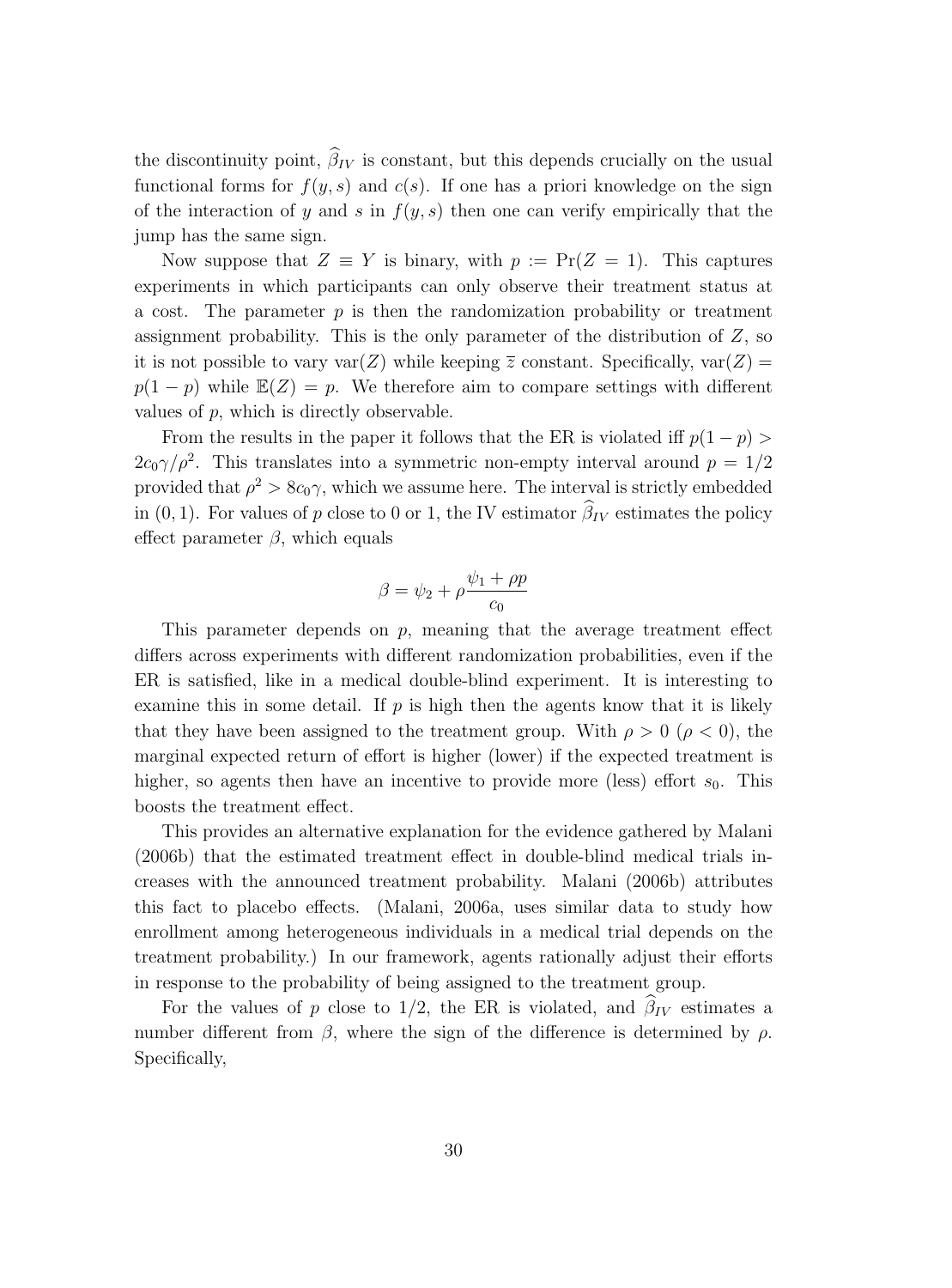the discontinuity point,  $\beta_{IV}$  is constant, but this depends crucially on the usual functional forms for  $f(y, s)$  and  $c(s)$ . If one has a priori knowledge on the sign of the interaction of y and s in  $f(y, s)$  then one can verify empirically that the jump has the same sign.

Now suppose that  $Z \equiv Y$  is binary, with  $p := \Pr(Z = 1)$ . This captures experiments in which participants can only observe their treatment status at a cost. The parameter  $p$  is then the randomization probability or treatment assignment probability. This is the only parameter of the distribution of Z, so it is not possible to vary  $var(Z)$  while keeping  $\overline{z}$  constant. Specifically,  $var(Z)$  =  $p(1-p)$  while  $\mathbb{E}(Z) = p$ . We therefore aim to compare settings with different values of p, which is directly observable.

From the results in the paper it follows that the ER is violated iff  $p(1-p)$  $2c_0\gamma/\rho^2$ . This translates into a symmetric non-empty interval around  $p = 1/2$ provided that  $\rho^2 > 8c_0\gamma$ , which we assume here. The interval is strictly embedded in (0, 1). For values of p close to 0 or 1, the IV estimator  $\beta_{IV}$  estimates the policy effect parameter  $\beta$ , which equals

$$
\beta = \psi_2 + \rho \frac{\psi_1 + \rho p}{c_0}
$$

This parameter depends on  $p$ , meaning that the average treatment effect differs across experiments with different randomization probabilities, even if the ER is satisfied, like in a medical double-blind experiment. It is interesting to examine this in some detail. If  $p$  is high then the agents know that it is likely that they have been assigned to the treatment group. With  $\rho > 0$  ( $\rho < 0$ ), the marginal expected return of effort is higher (lower) if the expected treatment is higher, so agents then have an incentive to provide more (less) effort  $s_0$ . This boosts the treatment effect.

This provides an alternative explanation for the evidence gathered by Malani (2006b) that the estimated treatment effect in double-blind medical trials increases with the announced treatment probability. Malani (2006b) attributes this fact to placebo effects. (Malani, 2006a, uses similar data to study how enrollment among heterogeneous individuals in a medical trial depends on the treatment probability.) In our framework, agents rationally adjust their efforts in response to the probability of being assigned to the treatment group.

For the values of p close to 1/2, the ER is violated, and  $\beta_{IV}$  estimates a number different from  $\beta$ , where the sign of the difference is determined by  $\rho$ . Specifically,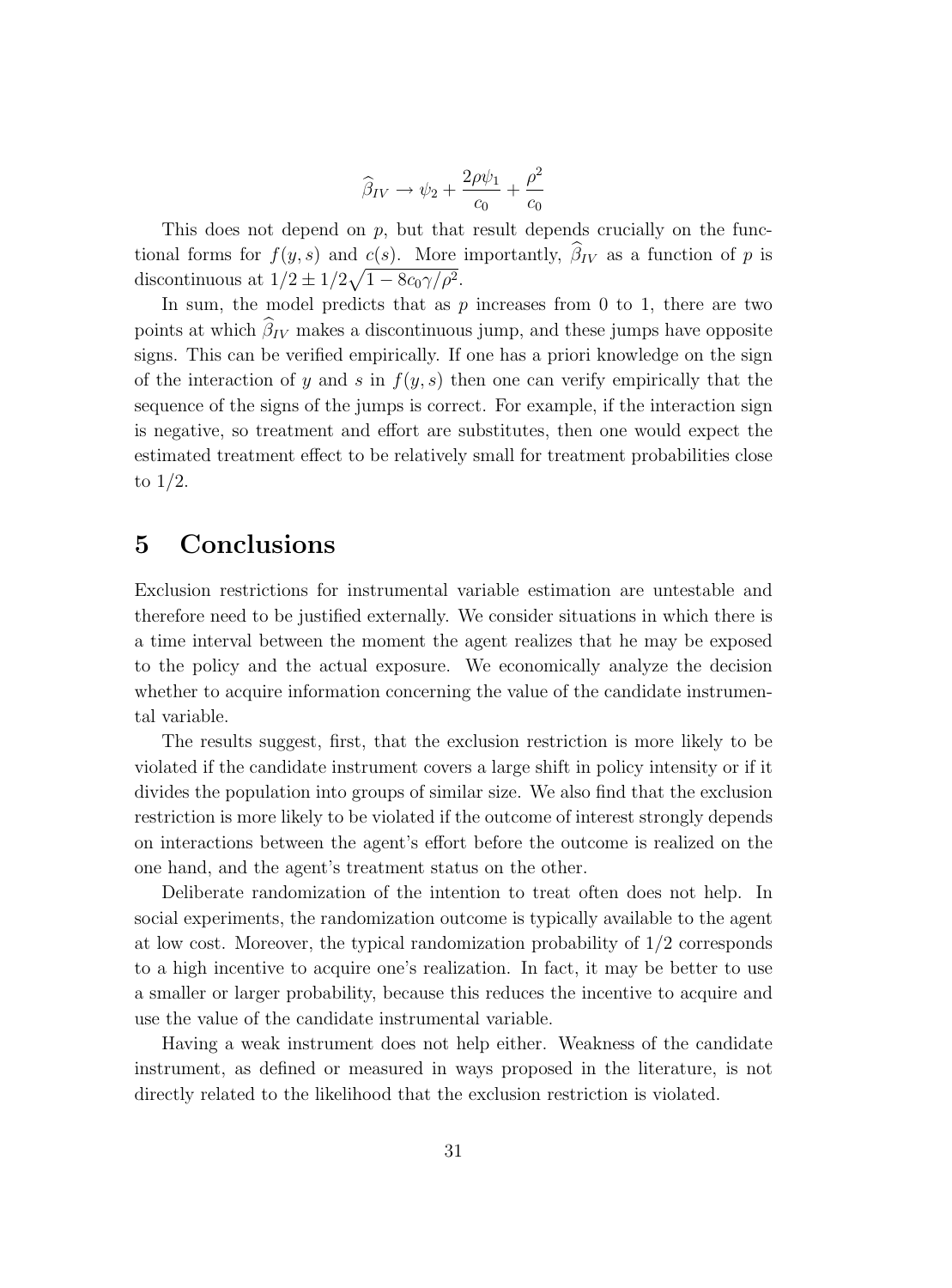$$
\widehat{\beta}_{IV} \rightarrow \psi_2 + \frac{2\rho\psi_1}{c_0} + \frac{\rho^2}{c_0}
$$

This does not depend on p, but that result depends crucially on the functional forms for  $f(y, s)$  and  $c(s)$ . More importantly,  $\beta_{IV}$  as a function of p is discontinuous at  $1/2 \pm 1/2\sqrt{1-8c_0\gamma/\rho^2}$ .

In sum, the model predicts that as  $p$  increases from 0 to 1, there are two points at which  $\beta_{IV}$  makes a discontinuous jump, and these jumps have opposite signs. This can be verified empirically. If one has a priori knowledge on the sign of the interaction of y and s in  $f(y, s)$  then one can verify empirically that the sequence of the signs of the jumps is correct. For example, if the interaction sign is negative, so treatment and effort are substitutes, then one would expect the estimated treatment effect to be relatively small for treatment probabilities close to 1/2.

## **5 Conclusions**

Exclusion restrictions for instrumental variable estimation are untestable and therefore need to be justified externally. We consider situations in which there is a time interval between the moment the agent realizes that he may be exposed to the policy and the actual exposure. We economically analyze the decision whether to acquire information concerning the value of the candidate instrumental variable.

The results suggest, first, that the exclusion restriction is more likely to be violated if the candidate instrument covers a large shift in policy intensity or if it divides the population into groups of similar size. We also find that the exclusion restriction is more likely to be violated if the outcome of interest strongly depends on interactions between the agent's effort before the outcome is realized on the one hand, and the agent's treatment status on the other.

Deliberate randomization of the intention to treat often does not help. In social experiments, the randomization outcome is typically available to the agent at low cost. Moreover, the typical randomization probability of 1/2 corresponds to a high incentive to acquire one's realization. In fact, it may be better to use a smaller or larger probability, because this reduces the incentive to acquire and use the value of the candidate instrumental variable.

Having a weak instrument does not helpeither. Weakness of the candidate instrument, as defined or measured in ways proposed in the literature, is not directly related to the likelihood that the exclusion restriction is violated.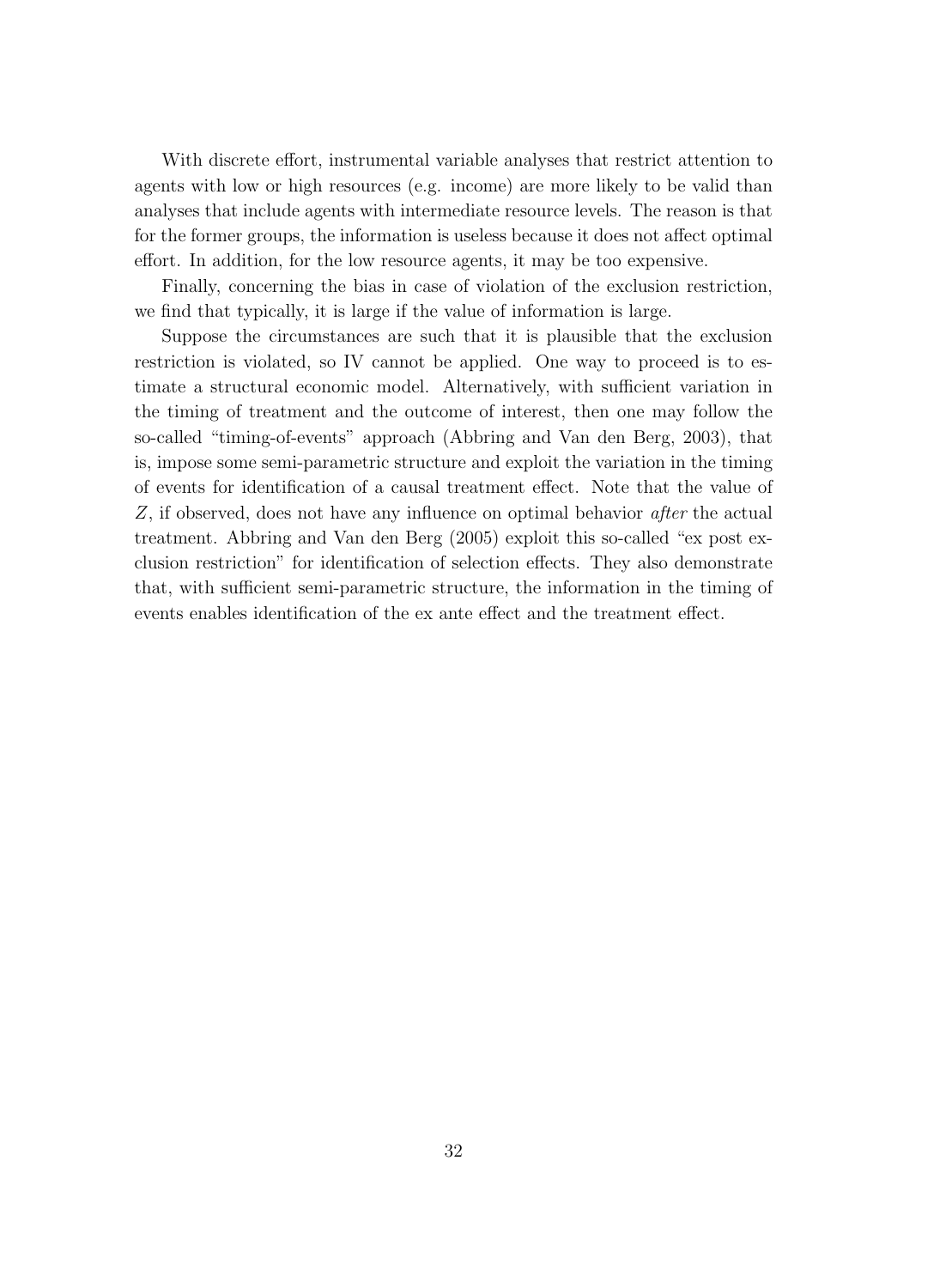With discrete effort, instrumental variable analyses that restrict attention to agents with low or high resources (e.g. income) are more likely to be valid than analyses that include agents with intermediate resource levels. The reason is that for the former groups, the information is useless because it does not affect optimal effort. In addition, for the low resource agents, it may be too expensive.

Finally, concerning the bias in case of violation of the exclusion restriction, we find that typically, it is large if the value of information is large.

Suppose the circumstances are such that it is plausible that the exclusion restriction is violated, so IV cannot be applied. One way to proceed is to estimate a structural economic model. Alternatively, with sufficient variation in the timing of treatment and the outcome of interest, then one may follow the so-called "timing-of-events" approach (Abbring and Van den Berg, 2003), that is, impose some semi-parametric structure and exploit the variation in the timing of events for identification of a causal treatment effect. Note that the value of Z, if observed, does not have any influence on optimal behavior *after* the actual treatment. Abbring and Van den Berg (2005) exploit this so-called "ex post exclusion restriction" for identification of selection effects. They also demonstrate that, with sufficient semi-parametric structure, the information in the timing of events enables identification of the ex ante effect and the treatment effect.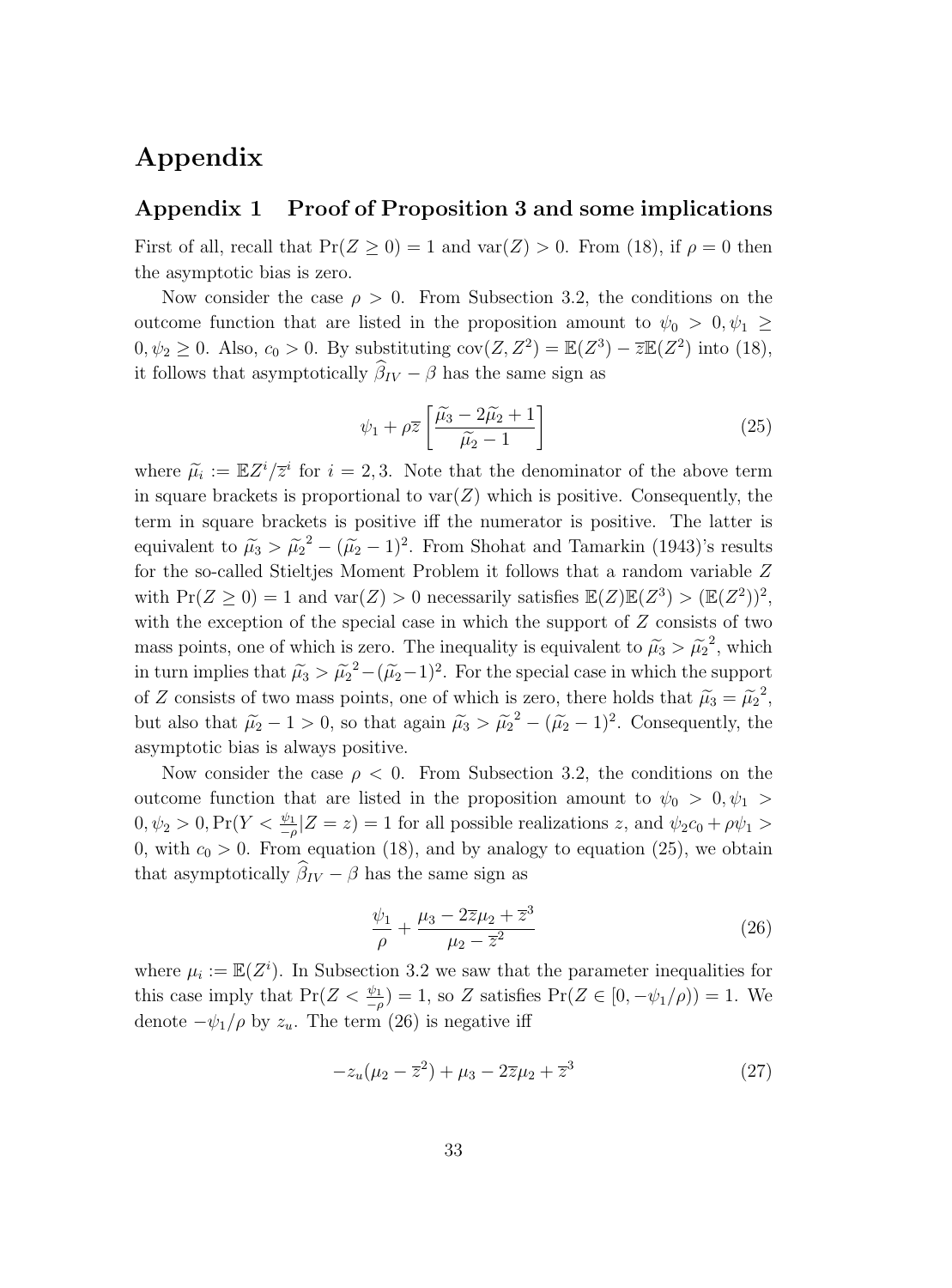## **Appendix**

#### **Appendix 1 Proof of Proposition 3 and some implications**

First of all, recall that  $Pr(Z \ge 0) = 1$  and  $var(Z) > 0$ . From (18), if  $\rho = 0$  then the asymptotic bias is zero.

Now consider the case  $\rho > 0$ . From Subsection 3.2, the conditions on the outcome function that are listed in the proposition amount to  $\psi_0 > 0, \psi_1 \geq$  $0, \psi_2 \geq 0$ . Also,  $c_0 > 0$ . By substituting  $cov(Z, Z^2) = \mathbb{E}(Z^3) - \overline{z} \mathbb{E}(Z^2)$  into (18), it follows that asymptotically  $\beta_{IV} - \beta$  has the same sign as

$$
\psi_1 + \rho \overline{z} \left[ \frac{\widetilde{\mu_3} - 2\widetilde{\mu_2} + 1}{\widetilde{\mu_2} - 1} \right] \tag{25}
$$

where  $\tilde{\mu}_i := \mathbb{E}Z^i/\overline{z}^i$  for  $i = 2, 3$ . Note that the denominator of the above term in square brackets is proportional to  $var(Z)$  which is positive. Consequently, the term in square brackets is positive iff the numerator is positive. The latter is equivalent to  $\tilde{\mu}_3 > \tilde{\mu}_2^2 - (\tilde{\mu}_2 - 1)^2$ . From Shohat and Tamarkin (1943)'s results for the so-called Stieltjes Moment Problem it follows that a random variable Z with  $Pr(Z \ge 0) = 1$  and  $var(Z) > 0$  necessarily satisfies  $\mathbb{E}(Z)\mathbb{E}(Z^3) > (\mathbb{E}(Z^2))^2$ , with the exception of the special case in which the support of  $Z$  consists of two mass points, one of which is zero. The inequality is equivalent to  $\tilde{\mu}_3 > \tilde{\mu}_2^2$ , which in turn implies that  $\tilde{\mu}_3 > \tilde{\mu}_2^2 - (\tilde{\mu}_2 - 1)^2$ . For the special case in which the support of Z consists of two mass points, one of which is zero, there holds that  $\tilde{\mu}_3 = \tilde{\mu}_2^2$ , but also that  $\tilde{\mu}_2 - 1 > 0$ , so that again  $\tilde{\mu}_3 > \tilde{\mu}_2^2 - (\tilde{\mu}_2 - 1)^2$ . Consequently, the asymptotic bias is always positive.

Now consider the case  $\rho < 0$ . From Subsection 3.2, the conditions on the outcome function that are listed in the proposition amount to  $\psi_0 > 0, \psi_1 >$  $0, \psi_2 > 0, \Pr(Y \leq \frac{\psi_1}{-\rho} | Z = z) = 1$  for all possible realizations z, and  $\psi_2 c_0 + \rho \psi_1 > 0$ 0, with  $c_0 > 0$ . From equation (18), and by analogy to equation (25), we obtain that asymptotically  $\beta_{IV} - \beta$  has the same sign as

$$
\frac{\psi_1}{\rho} + \frac{\mu_3 - 2\overline{z}\mu_2 + \overline{z}^3}{\mu_2 - \overline{z}^2} \tag{26}
$$

where  $\mu_i := \mathbb{E}(Z^i)$ . In Subsection 3.2 we saw that the parameter inequalities for this case imply that  $Pr(Z < \frac{\psi_1}{-\rho}) = 1$ , so Z satisfies  $Pr(Z \in [0, -\psi_1/\rho)) = 1$ . We denote  $-\psi_1/\rho$  by  $z_u$ . The term (26) is negative iff

$$
-z_u(\mu_2 - \overline{z}^2) + \mu_3 - 2\overline{z}\mu_2 + \overline{z}^3 \tag{27}
$$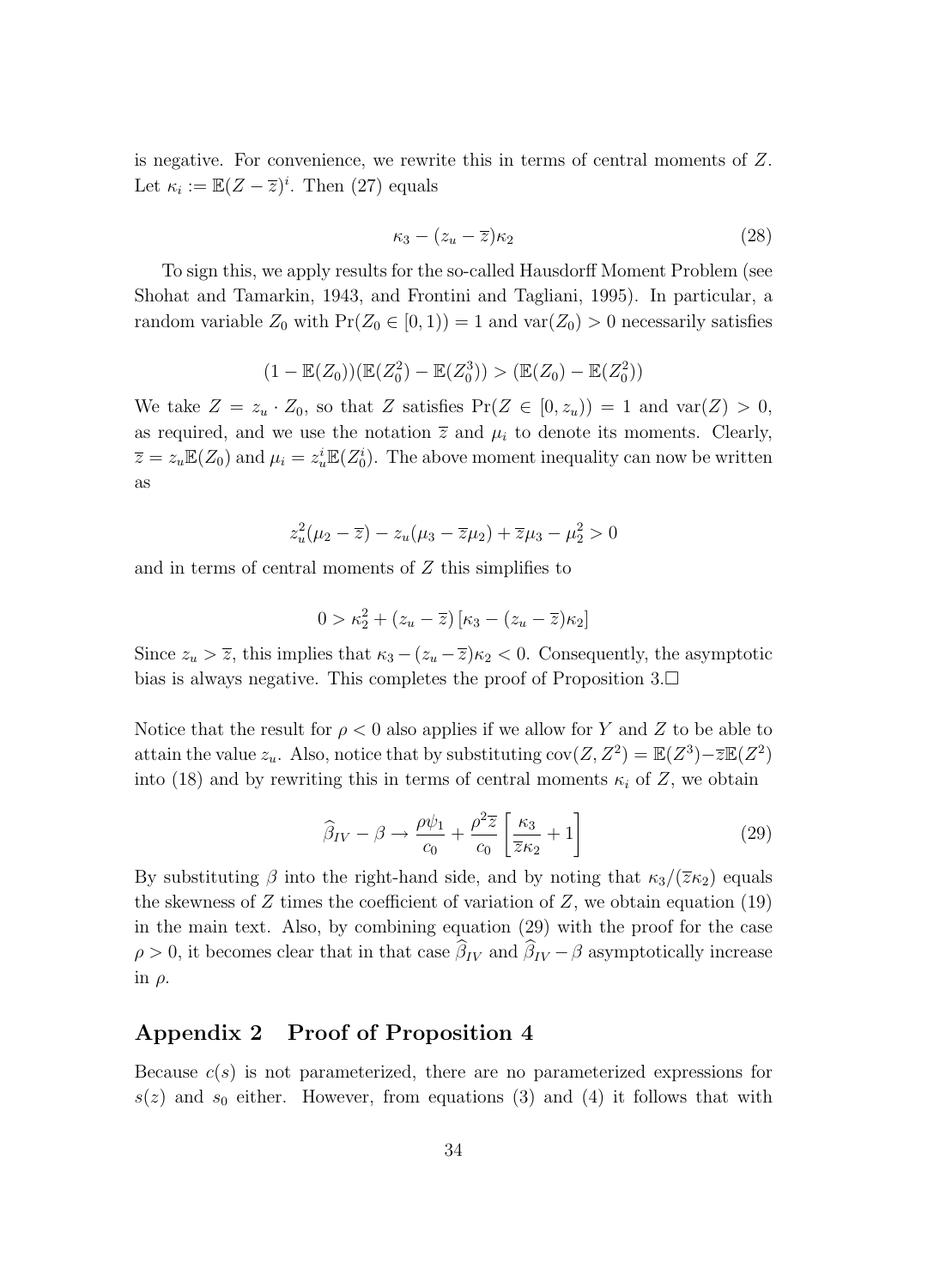is negative. For convenience, we rewrite this in terms of central moments of Z. Let  $\kappa_i := \mathbb{E}(Z - \overline{z})^i$ . Then (27) equals

$$
\kappa_3 - (z_u - \overline{z})\kappa_2 \tag{28}
$$

To sign this, we apply results for the so-called Hausdorff Moment Problem (see Shohat and Tamarkin, 1943, and Frontini and Tagliani, 1995). In particular, a random variable  $Z_0$  with  $Pr(Z_0 \in [0, 1)) = 1$  and  $var(Z_0) > 0$  necessarily satisfies

$$
(1 - \mathbb{E}(Z_0))(\mathbb{E}(Z_0^2) - \mathbb{E}(Z_0^3)) > (\mathbb{E}(Z_0) - \mathbb{E}(Z_0^2))
$$

We take  $Z = z_u \cdot Z_0$ , so that Z satisfies  $Pr(Z \in [0, z_u)) = 1$  and  $var(Z) > 0$ , as required, and we use the notation  $\overline{z}$  and  $\mu_i$  to denote its moments. Clearly,  $\overline{z} = z_u \mathbb{E}(Z_0)$  and  $\mu_i = z_u^i \mathbb{E}(Z_0^i)$ . The above moment inequality can now be written as

$$
z_u^2(\mu_2 - \overline{z}) - z_u(\mu_3 - \overline{z}\mu_2) + \overline{z}\mu_3 - \mu_2^2 > 0
$$

and in terms of central moments of Z this simplifies to

$$
0 > \kappa_2^2 + (z_u - \overline{z}) \left[ \kappa_3 - (z_u - \overline{z}) \kappa_2 \right]
$$

Since  $z_u > \overline{z}$ , this implies that  $\kappa_3 - (z_u - \overline{z})\kappa_2 < 0$ . Consequently, the asymptotic bias is always negative. This completes the proof of Proposition  $3.\Box$ 

Notice that the result for  $\rho < 0$  also applies if we allow for Y and Z to be able to attain the value  $z_u$ . Also, notice that by substituting  $cov(Z, Z^2) = \mathbb{E}(Z^3) - \overline{z}\mathbb{E}(Z^2)$ into (18) and by rewriting this in terms of central moments  $\kappa_i$  of Z, we obtain

$$
\widehat{\beta}_{IV} - \beta \rightarrow \frac{\rho \psi_1}{c_0} + \frac{\rho^2 \overline{z}}{c_0} \left[ \frac{\kappa_3}{\overline{z} \kappa_2} + 1 \right]
$$
\n(29)

By substituting  $\beta$  into the right-hand side, and by noting that  $\kappa_3/(\overline{z}\kappa_2)$  equals the skewness of  $Z$  times the coefficient of variation of  $Z$ , we obtain equation (19) in the main text. Also, by combining equation (29) with the proof for the case  $\rho > 0$ , it becomes clear that in that case  $\beta_{IV}$  and  $\beta_{IV} - \beta$  asymptotically increase in  $\rho$ .

#### **Appendix 2 Proof of Proposition 4**

Because  $c(s)$  is not parameterized, there are no parameterized expressions for  $s(z)$  and  $s_0$  either. However, from equations (3) and (4) it follows that with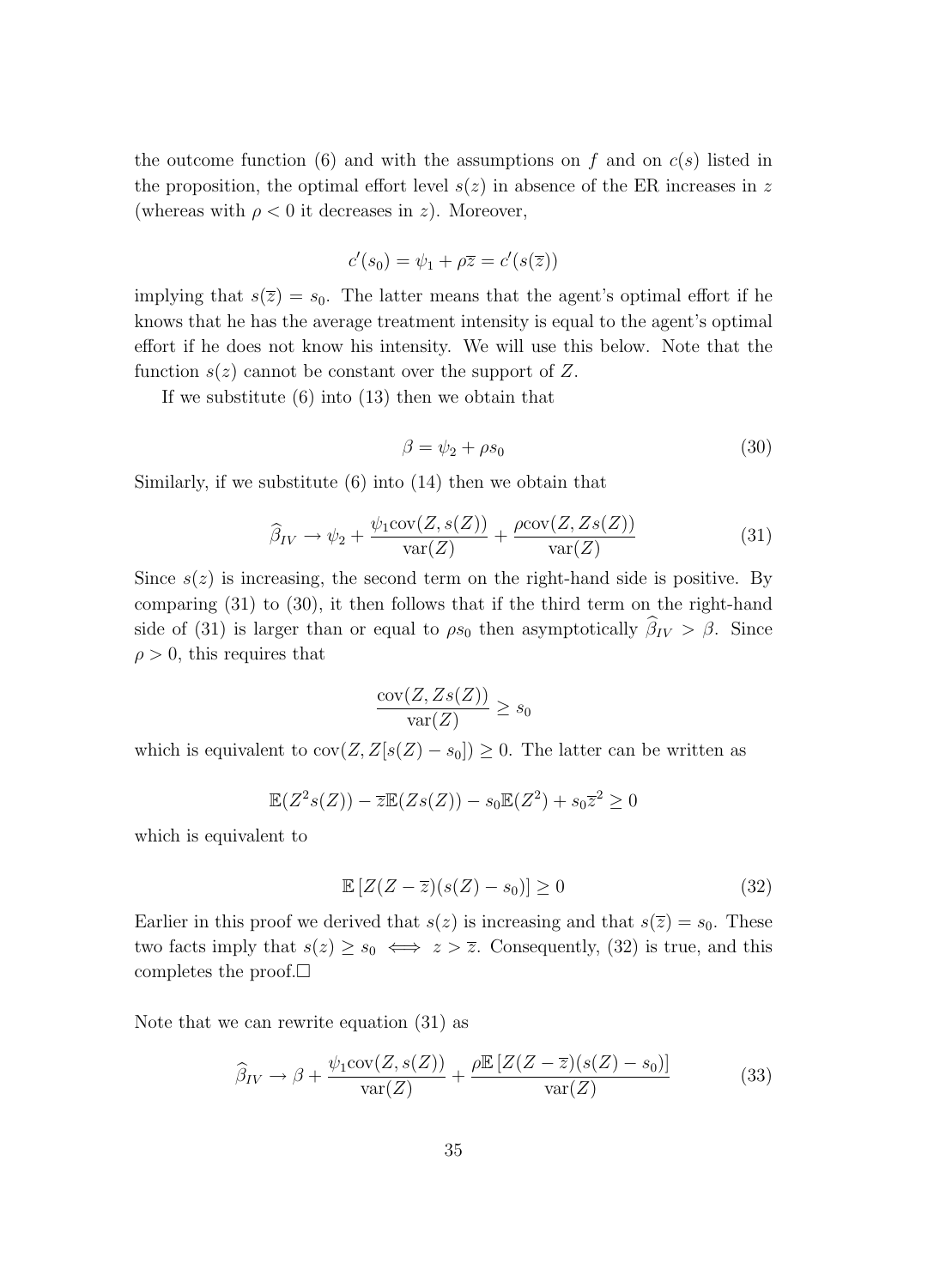the outcome function (6) and with the assumptions on f and on  $c(s)$  listed in the proposition, the optimal effort level  $s(z)$  in absence of the ER increases in z (whereas with  $\rho < 0$  it decreases in z). Moreover,

$$
c'(s_0) = \psi_1 + \rho \overline{z} = c'(s(\overline{z}))
$$

implying that  $s(\overline{z}) = s_0$ . The latter means that the agent's optimal effort if he knows that he has the average treatment intensity is equal to the agent's optimal effort if he does not know his intensity. We will use this below. Note that the function  $s(z)$  cannot be constant over the support of Z.

If we substitute  $(6)$  into  $(13)$  then we obtain that

$$
\beta = \psi_2 + \rho s_0 \tag{30}
$$

Similarly, if we substitute (6) into (14) then we obtain that

$$
\widehat{\beta}_{IV} \to \psi_2 + \frac{\psi_1 \text{cov}(Z, s(Z))}{\text{var}(Z)} + \frac{\rho \text{cov}(Z, Zs(Z))}{\text{var}(Z)} \tag{31}
$$

Since  $s(z)$  is increasing, the second term on the right-hand side is positive. By comparing (31) to (30), it then follows that if the third term on the right-hand side of (31) is larger than or equal to  $\rho s_0$  then asymptotically  $\beta_{IV} > \beta$ . Since  $\rho > 0$ , this requires that

$$
\frac{\text{cov}(Z, Zs(Z))}{\text{var}(Z)} \ge s_0
$$

which is equivalent to  $cov(Z, Z[s(Z) - s_0]) \geq 0$ . The latter can be written as

$$
\mathbb{E}(Z^2s(Z)) - \overline{z}\mathbb{E}(Zs(Z)) - s_0\mathbb{E}(Z^2) + s_0\overline{z}^2 \ge 0
$$

which is equivalent to

$$
\mathbb{E}\left[Z(Z-\overline{z})(s(Z)-s_0)\right] \ge 0\tag{32}
$$

Earlier in this proof we derived that  $s(z)$  is increasing and that  $s(\overline{z}) = s_0$ . These two facts imply that  $s(z) \geq s_0 \iff z > \overline{z}$ . Consequently, (32) is true, and this completes the proof. $\square$ 

Note that we can rewrite equation (31) as

$$
\widehat{\beta}_{IV} \to \beta + \frac{\psi_1 \text{cov}(Z, s(Z))}{\text{var}(Z)} + \frac{\rho \mathbb{E}\left[Z(Z - \overline{z})(s(Z) - s_0)\right]}{\text{var}(Z)}\tag{33}
$$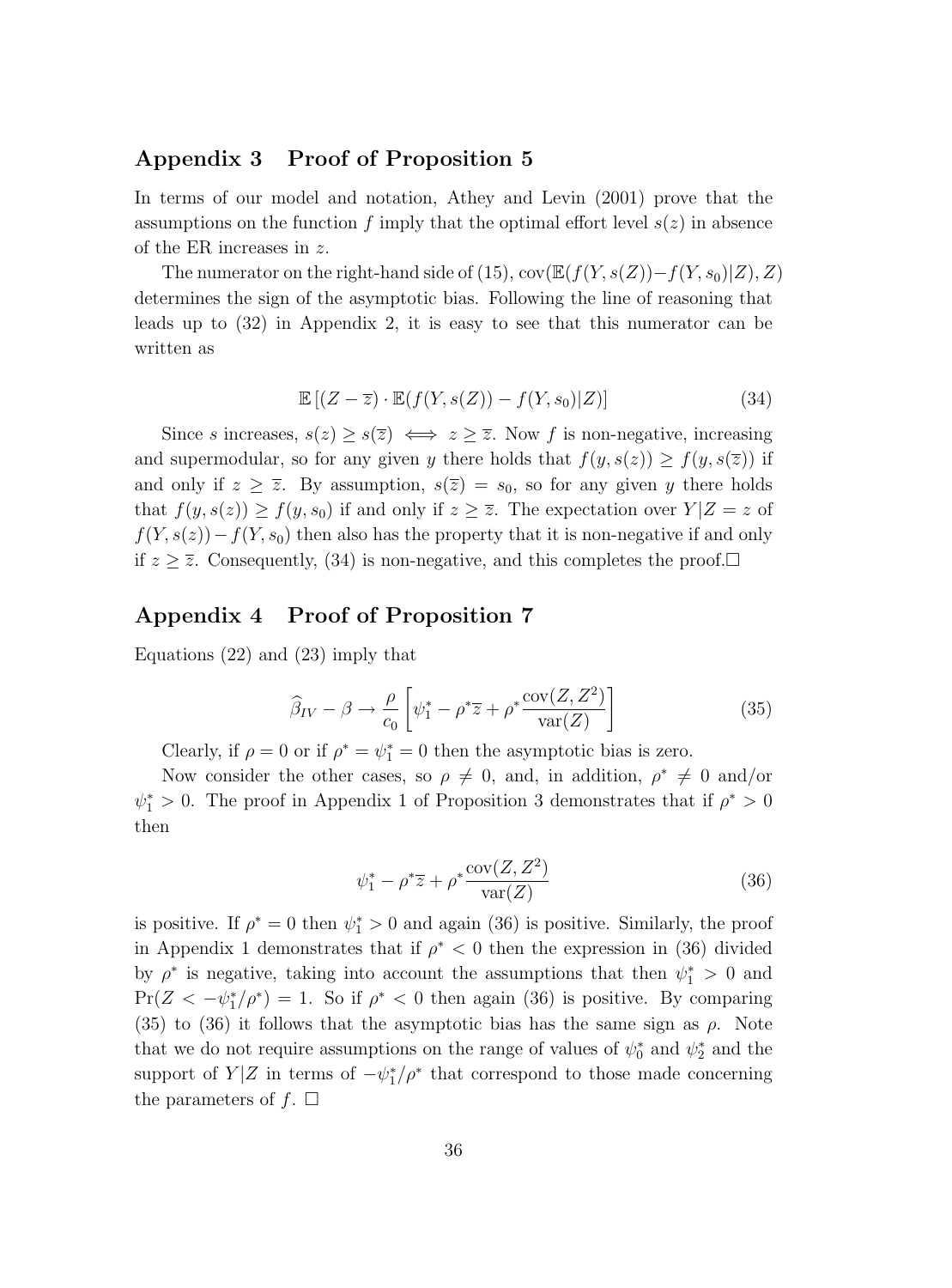#### **Appendix 3 Proof of Proposition 5**

In terms of our model and notation, Athey and Levin (2001) prove that the assumptions on the function f imply that the optimal effort level  $s(z)$  in absence of the ER increases in z.

The numerator on the right-hand side of (15), cov( $\mathbb{E}(f(Y,s(Z)) - f(Y,s_0)|Z)$ , Z) determines the sign of the asymptotic bias. Following the line of reasoning that leads up to  $(32)$  in Appendix 2, it is easy to see that this numerator can be written as

$$
\mathbb{E}\left[ (Z - \overline{z}) \cdot \mathbb{E}(f(Y, s(Z)) - f(Y, s_0)|Z) \right]
$$
\n(34)

Since s increases,  $s(z) \geq s(\overline{z}) \iff z \geq \overline{z}$ . Now f is non-negative, increasing and supermodular, so for any given y there holds that  $f(y, s(z)) \ge f(y, s(\overline{z}))$  if and only if  $z \ge \overline{z}$ . By assumption,  $s(\overline{z}) = s_0$ , so for any given y there holds that  $f(y, s(z)) \ge f(y, s_0)$  if and only if  $z \ge \overline{z}$ . The expectation over  $Y|Z = z$  of  $f(Y,s(z))-f(Y,s_0)$  then also has the property that it is non-negative if and only if  $z \geq \overline{z}$ . Consequently, (34) is non-negative, and this completes the proof.

#### **Appendix 4 Proof of Proposition 7**

Equations (22) and (23) imply that

$$
\widehat{\beta}_{IV} - \beta \to \frac{\rho}{c_0} \left[ \psi_1^* - \rho^* \overline{z} + \rho^* \frac{\text{cov}(Z, Z^2)}{\text{var}(Z)} \right]
$$
(35)

Clearly, if  $\rho = 0$  or if  $\rho^* = \psi_1^* = 0$  then the asymptotic bias is zero.

Now consider the other cases, so  $\rho \neq 0$ , and, in addition,  $\rho^* \neq 0$  and/or  $\psi_1^* > 0$ . The proof in Appendix 1 of Proposition 3 demonstrates that if  $\rho^* > 0$ then

$$
\psi_1^* - \rho^* \overline{z} + \rho^* \frac{\text{cov}(Z, Z^2)}{\text{var}(Z)}\tag{36}
$$

is positive. If  $\rho^* = 0$  then  $\psi_1^* > 0$  and again (36) is positive. Similarly, the proof in Appendix 1 demonstrates that if  $\rho^* < 0$  then the expression in (36) divided by  $\rho^*$  is negative, taking into account the assumptions that then  $\psi_1^* > 0$  and  $Pr(Z < -\psi_1^*/\rho^*) = 1$ . So if  $\rho^* < 0$  then again (36) is positive. By comparing  $(35)$  to  $(36)$  it follows that the asymptotic bias has the same sign as  $\rho$ . Note that we do not require assumptions on the range of values of  $\psi_0^*$  and  $\psi_2^*$  and the support of  $Y|Z$  in terms of  $-\psi_1^*/\rho^*$  that correspond to those made concerning the parameters of  $f$ .  $\Box$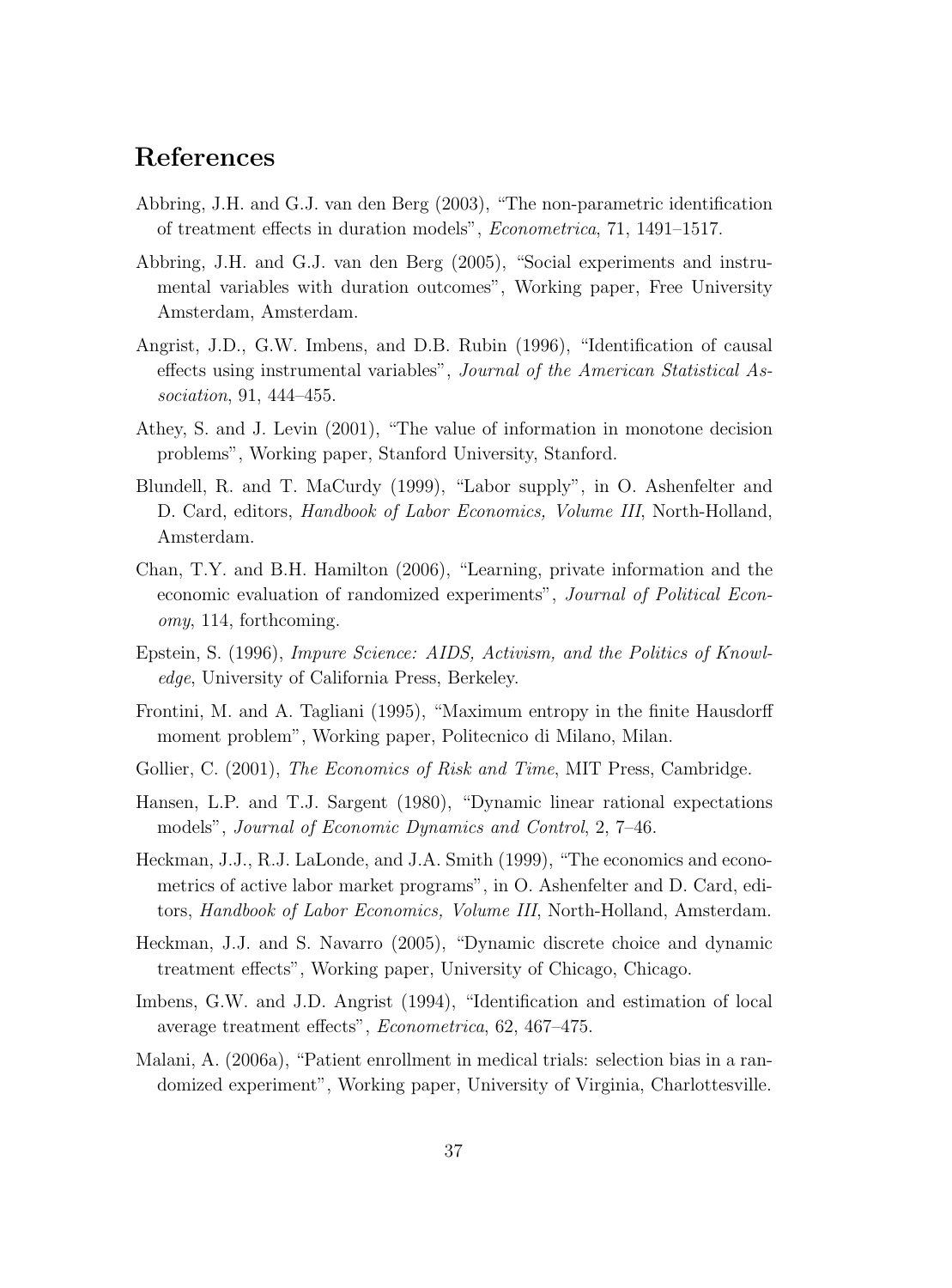## **References**

- Abbring, J.H. and G.J. van den Berg (2003), "The non-parametric identification of treatment effects in duration models", Econometrica, 71, 1491–1517.
- Abbring, J.H. and G.J. van den Berg (2005), "Social experiments and instrumental variables with duration outcomes", Working paper, Free University Amsterdam, Amsterdam.
- Angrist, J.D., G.W. Imbens, and D.B. Rubin (1996), "Identification of causal effects using instrumental variables", Journal of the American Statistical Association, 91, 444–455.
- Athey, S. and J. Levin (2001), "The value of information in monotone decision problems", Working paper, Stanford University, Stanford.
- Blundell, R. and T. MaCurdy (1999), "Labor supply", in O. Ashenfelter and D. Card, editors, Handbook of Labor Economics, Volume III, North-Holland, Amsterdam.
- Chan, T.Y. and B.H. Hamilton (2006), "Learning, private information and the economic evaluation of randomized experiments", Journal of Political Economy, 114, forthcoming.
- Epstein, S. (1996), Impure Science: AIDS, Activism, and the Politics of Knowledge, University of California Press, Berkeley.
- Frontini, M. and A. Tagliani (1995), "Maximum entropy in the finite Hausdorff moment problem", Working paper, Politecnico di Milano, Milan.
- Gollier, C. (2001), *The Economics of Risk and Time*, MIT Press, Cambridge.
- Hansen, L.P. and T.J. Sargent (1980), "Dynamic linear rational expectations models", Journal of Economic Dynamics and Control, 2, 7–46.
- Heckman, J.J., R.J. LaLonde, and J.A. Smith (1999), "The economics and econometrics of active labor market programs", in O. Ashenfelter and D. Card, editors, Handbook of Labor Economics, Volume III, North-Holland, Amsterdam.
- Heckman, J.J. and S. Navarro (2005), "Dynamic discrete choice and dynamic treatment effects", Working paper, University of Chicago, Chicago.
- Imbens, G.W. and J.D. Angrist (1994), "Identification and estimation of local average treatment effects", Econometrica, 62, 467–475.
- Malani, A. (2006a), "Patient enrollment in medical trials: selection bias in a randomized experiment", Working paper, University of Virginia, Charlottesville.